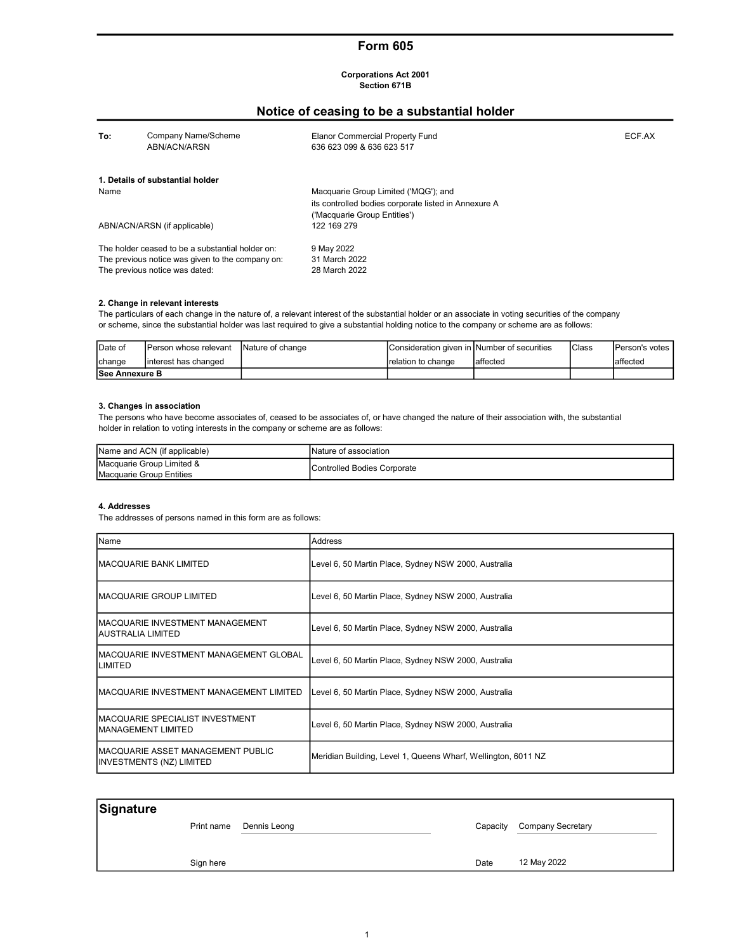# Form 605

#### Corporations Act 2001 Section 671B

# Notice of ceasing to be a substantial holder

| To:  | Company Name/Scheme<br>ABN/ACN/ARSN              | Elanor Commercial Property Fund<br>636 623 099 & 636 623 517 | ECF.AX |
|------|--------------------------------------------------|--------------------------------------------------------------|--------|
|      | 1. Details of substantial holder                 |                                                              |        |
| Name |                                                  | Macquarie Group Limited ('MQG'); and                         |        |
|      |                                                  | its controlled bodies corporate listed in Annexure A         |        |
|      |                                                  | ('Macquarie Group Entities')                                 |        |
|      | ABN/ACN/ARSN (if applicable)                     | 122 169 279                                                  |        |
|      | The holder ceased to be a substantial holder on: | 9 May 2022                                                   |        |
|      | The previous notice was given to the company on: | 31 March 2022                                                |        |
|      | The previous notice was dated:                   | 28 March 2022                                                |        |

### 2. Change in relevant interests

The particulars of each change in the nature of, a relevant interest of the substantial holder or an associate in voting securities of the company or scheme, since the substantial holder was last required to give a substantial holding notice to the company or scheme are as follows:

| Date of               | IPerson whose relevant | <b>INature of change</b> | Consideration given in Number of securities |           | <b>I</b> Class | <b>IPerson's votes</b> |
|-----------------------|------------------------|--------------------------|---------------------------------------------|-----------|----------------|------------------------|
| change                | linterest has changed  |                          | Irelation to change                         | laffected |                | laffected              |
| <b>See Annexure B</b> |                        |                          |                                             |           |                |                        |

## 3. Changes in association

The persons who have become associates of, ceased to be associates of, or have changed the nature of their association with, the substantial holder in relation to voting interests in the company or scheme are as follows:

| Name and ACN (if applicable) | <b>INature of association</b>       |
|------------------------------|-------------------------------------|
| Macquarie Group Limited &    | <b>IControlled Bodies Corporate</b> |
| Macquarie Group Entities     |                                     |

#### 4. Addresses

The addresses of persons named in this form are as follows:

| Name                                                                  | <b>Address</b>                                                |
|-----------------------------------------------------------------------|---------------------------------------------------------------|
| MACQUARIE BANK LIMITED                                                | Level 6, 50 Martin Place, Sydney NSW 2000, Australia          |
| IMACQUARIE GROUP LIMITED                                              | Level 6, 50 Martin Place, Sydney NSW 2000, Australia          |
| MACQUARIE INVESTMENT MANAGEMENT<br>IAUSTRALIA LIMITED                 | Level 6, 50 Martin Place, Sydney NSW 2000, Australia          |
| IMACQUARIE INVESTMENT MANAGEMENT GLOBAL<br><b>LIMITED</b>             | Level 6, 50 Martin Place, Sydney NSW 2000, Australia          |
| IMACQUARIE INVESTMENT MANAGEMENT LIMITED                              | Level 6, 50 Martin Place, Sydney NSW 2000, Australia          |
| IMACQUARIE SPECIALIST INVESTMENT<br>IMANAGEMENT LIMITED               | Level 6, 50 Martin Place, Sydney NSW 2000, Australia          |
| IMACQUARIE ASSET MANAGEMENT PUBLIC<br><b>INVESTMENTS (NZ) LIMITED</b> | Meridian Building, Level 1, Queens Wharf, Wellington, 6011 NZ |

| Signature |           |                         |          |                   |
|-----------|-----------|-------------------------|----------|-------------------|
|           |           | Print name Dennis Leong | Capacity | Company Secretary |
|           |           |                         |          |                   |
|           | Sign here |                         | Date     | 12 May 2022       |
|           |           |                         |          |                   |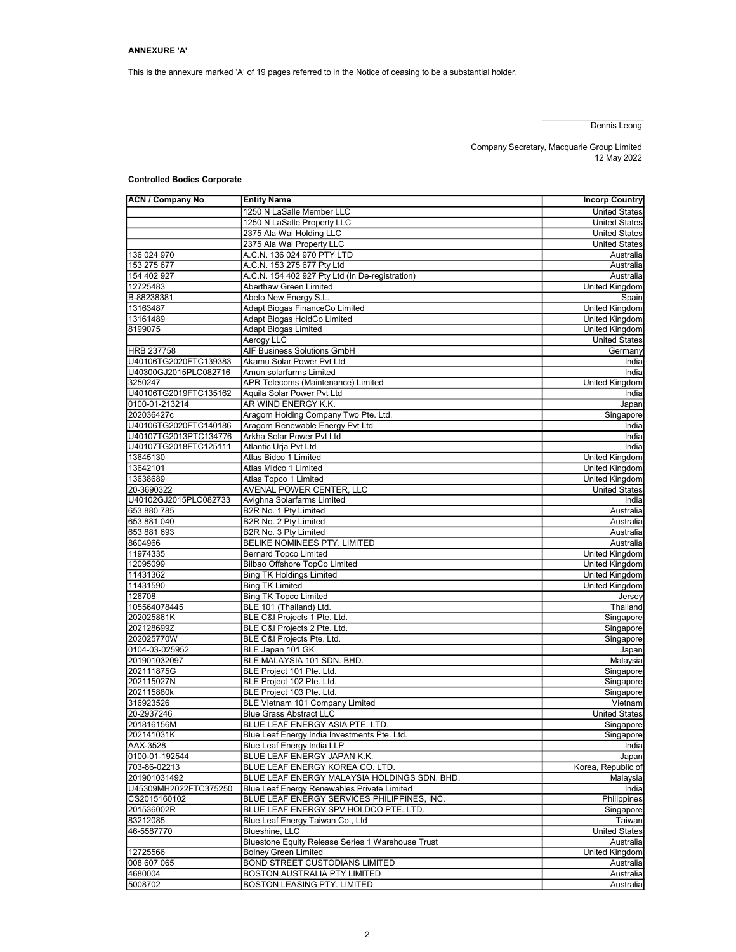This is the annexure marked 'A' of 19 pages referred to in the Notice of ceasing to be a substantial holder.

# Dennis Leong

Company Secretary, Macquarie Group Limited 12 May 2022

# Controlled Bodies Corporate

| <b>ACN / Company No</b>                 | <b>Entity Name</b>                                     | <b>Incorp Country</b> |
|-----------------------------------------|--------------------------------------------------------|-----------------------|
|                                         | 1250 N LaSalle Member LLC                              | <b>United States</b>  |
|                                         | 1250 N LaSalle Property LLC                            | <b>United States</b>  |
|                                         | 2375 Ala Wai Holding LLC                               | <b>United States</b>  |
|                                         | 2375 Ala Wai Property LLC                              | <b>United States</b>  |
| 136 024 970                             | A.C.N. 136 024 970 PTY LTD                             | Australia             |
| 153 275 677                             | A.C.N. 153 275 677 Pty Ltd                             | Australia             |
| 154 402 927                             | A.C.N. 154 402 927 Pty Ltd (In De-registration)        | Australia             |
| 12725483                                | Aberthaw Green Limited                                 | United Kingdom        |
| B-88238381                              | Abeto New Energy S.L.                                  | Spain                 |
| 13163487                                | Adapt Biogas FinanceCo Limited                         | United Kingdom        |
| 13161489                                | Adapt Biogas HoldCo Limited                            | United Kingdom        |
| 8199075                                 | <b>Adapt Biogas Limited</b>                            | United Kingdom        |
|                                         | Aerogy LLC                                             | <b>United States</b>  |
| HRB 237758                              | AIF Business Solutions GmbH                            | Germany               |
| U40106TG2020FTC139383                   | Akamu Solar Power Pvt Ltd                              | India                 |
| U40300GJ2015PLC082716                   | Amun solarfarms Limited                                | India                 |
| 3250247                                 | APR Telecoms (Maintenance) Limited                     | United Kingdom        |
| U40106TG2019FTC135162<br>0100-01-213214 | Aquila Solar Power Pvt Ltd<br>AR WIND ENERGY K.K.      | India                 |
| 202036427c                              | Aragorn Holding Company Two Pte. Ltd.                  | Japan<br>Singapore    |
| U40106TG2020FTC140186                   | Aragorn Renewable Energy Pvt Ltd                       | India                 |
| U40107TG2013PTC134776                   | Arkha Solar Power Pvt Ltd                              | India                 |
| U40107TG2018FTC125111                   | Atlantic Urja Pvt Ltd                                  | India                 |
| 13645130                                | Atlas Bidco 1 Limited                                  | <b>United Kingdom</b> |
| 13642101                                | Atlas Midco 1 Limited                                  | <b>United Kingdom</b> |
| 13638689                                | Atlas Topco 1 Limited                                  | <b>United Kingdom</b> |
| 20-3690322                              | AVENAL POWER CENTER, LLC                               | <b>United States</b>  |
| U40102GJ2015PLC082733                   | Avighna Solarfarms Limited                             | India                 |
| 653 880 785                             | B2R No. 1 Pty Limited                                  | Australia             |
| 653 881 040                             | B2R No. 2 Pty Limited                                  | Australia             |
| 653 881 693                             | B2R No. 3 Pty Limited                                  | Australia             |
| 8604966                                 | BELIKE NOMINEES PTY. LIMITED                           | Australia             |
| 11974335                                | <b>Bernard Topco Limited</b>                           | <b>United Kingdom</b> |
| 12095099                                | Bilbao Offshore TopCo Limited                          | United Kingdom        |
| 11431362                                | <b>Bing TK Holdings Limited</b>                        | United Kingdom        |
| 11431590                                | <b>Bing TK Limited</b>                                 | <b>United Kingdom</b> |
| 126708                                  | <b>Bing TK Topco Limited</b>                           | Jersey                |
| 105564078445                            | BLE 101 (Thailand) Ltd.                                | Thailand              |
| 202025861K                              | BLE C&I Projects 1 Pte. Ltd.                           | Singapore             |
| 202128699Z                              | BLE C&I Projects 2 Pte. Ltd.                           | Singapore             |
| 202025770W                              | BLE C&I Projects Pte. Ltd.                             | Singapore             |
| 0104-03-025952                          | BLE Japan 101 GK                                       | Japan                 |
| 201901032097                            | BLE MALAYSIA 101 SDN. BHD.                             | Malaysia              |
| 202111875G                              | BLE Project 101 Pte. Ltd.                              | Singapore             |
| 202115027N<br>202115880k                | BLE Project 102 Pte. Ltd.<br>BLE Proiect 103 Pte. Ltd. | Singapore             |
| 316923526                               | BLE Vietnam 101 Company Limited                        | Singapore<br>Vietnam  |
| 20-2937246                              | <b>Blue Grass Abstract LLC</b>                         | <b>United States</b>  |
| 201816156M                              | BLUE LEAF ENERGY ASIA PTE. LTD.                        | Singapore             |
| 202141031K                              | Blue Leaf Energy India Investments Pte. Ltd.           | Singapore             |
| AAX-3528                                | Blue Leaf Energy India LLP                             | India                 |
| 0100-01-192544                          | BLUE LEAF ENERGY JAPAN K.K.                            | Japan                 |
| 703-86-02213                            | BLUE LEAF ENERGY KOREA CO. LTD.                        | Korea, Republic of    |
| 201901031492                            | BLUE LEAF ENERGY MALAYSIA HOLDINGS SDN. BHD.           | Malaysia              |
| U45309MH2022FTC375250                   | Blue Leaf Energy Renewables Private Limited            | India                 |
| CS2015160102                            | BLUE LEAF ENERGY SERVICES PHILIPPINES, INC.            | Philippines           |
| 201536002R                              | BLUE LEAF ENERGY SPV HOLDCO PTE. LTD.                  | Singapore             |
| 83212085                                | Blue Leaf Energy Taiwan Co., Ltd                       | Taiwan                |
| 46-5587770                              | Blueshine, LLC                                         | <b>United States</b>  |
|                                         | Bluestone Equity Release Series 1 Warehouse Trust      | Australia             |
| 12725566                                | <b>Bolney Green Limited</b>                            | United Kingdom        |
| 008 607 065                             | BOND STREET CUSTODIANS LIMITED                         | Australia             |
| 4680004                                 | BOSTON AUSTRALIA PTY LIMITED                           | Australia             |
| 5008702                                 | BOSTON LEASING PTY. LIMITED                            | Australia             |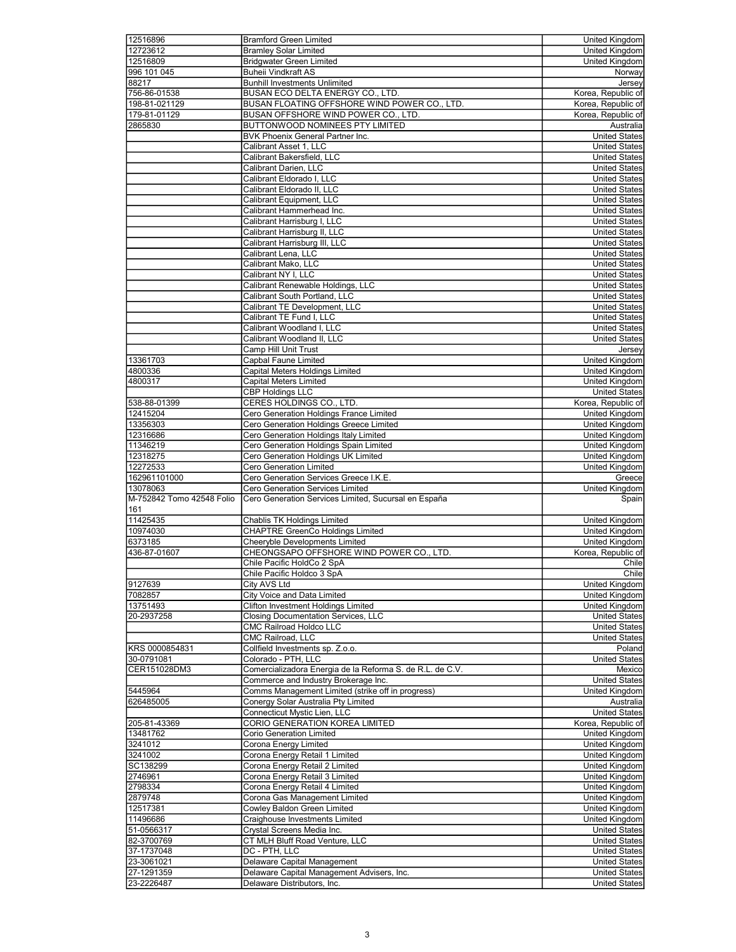| 12516896                  | <b>Bramford Green Limited</b>                                             | United Kingdom                               |
|---------------------------|---------------------------------------------------------------------------|----------------------------------------------|
| 12723612                  | <b>Bramley Solar Limited</b>                                              | United Kingdom                               |
| 12516809                  | <b>Bridgwater Green Limited</b>                                           | United Kingdom                               |
| 996 101 045               | <b>Buheii Vindkraft AS</b>                                                | Norway                                       |
| 88217                     | <b>Bunhill Investments Unlimited</b>                                      | Jersey                                       |
| 756-86-01538              | BUSAN ECO DELTA ENERGY CO., LTD.                                          | Korea, Republic of                           |
| 198-81-021129             | BUSAN FLOATING OFFSHORE WIND POWER CO., LTD.                              | Korea, Republic of                           |
| 179-81-01129              | BUSAN OFFSHORE WIND POWER CO., LTD.                                       | Korea, Republic of                           |
| 2865830                   | BUTTONWOOD NOMINEES PTY LIMITED                                           | Australia                                    |
|                           | BVK Phoenix General Partner Inc.                                          | <b>United States</b>                         |
|                           | Calibrant Asset 1, LLC                                                    | <b>United States</b>                         |
|                           | Calibrant Bakersfield, LLC                                                | <b>United States</b>                         |
|                           | Calibrant Darien, LLC                                                     | <b>United States</b>                         |
|                           | Calibrant Eldorado I, LLC                                                 | <b>United States</b>                         |
|                           | Calibrant Eldorado II, LLC                                                | <b>United States</b>                         |
|                           | Calibrant Equipment, LLC                                                  | <b>United States</b>                         |
|                           | Calibrant Hammerhead Inc.                                                 | <b>United States</b>                         |
|                           | Calibrant Harrisburg I, LLC                                               | <b>United States</b>                         |
|                           | Calibrant Harrisburg II, LLC                                              | <b>United States</b>                         |
|                           | Calibrant Harrisburg III, LLC                                             | <b>United States</b>                         |
|                           | Calibrant Lena, LLC                                                       | <b>United States</b>                         |
|                           | Calibrant Mako, LLC                                                       | <b>United States</b>                         |
|                           | Calibrant NY I, LLC                                                       | <b>United States</b>                         |
|                           | Calibrant Renewable Holdings, LLC                                         | <b>United States</b>                         |
|                           | Calibrant South Portland, LLC                                             | <b>United States</b>                         |
|                           | Calibrant TE Development, LLC                                             | <b>United States</b>                         |
|                           | Calibrant TE Fund I, LLC                                                  | <b>United States</b>                         |
|                           | Calibrant Woodland I. LLC                                                 | <b>United States</b>                         |
|                           | Calibrant Woodland II, LLC                                                | <b>United States</b>                         |
|                           | Camp Hill Unit Trust                                                      | Jersey                                       |
| 13361703                  | <b>Capbal Faune Limited</b>                                               | United Kingdom                               |
| 4800336                   | Capital Meters Holdings Limited                                           | United Kingdom                               |
| 4800317                   | <b>Capital Meters Limited</b>                                             | United Kingdom                               |
|                           | <b>CBP Holdings LLC</b>                                                   | <b>United States</b>                         |
| 538-88-01399              | CERES HOLDINGS CO., LTD.                                                  | Korea, Republic of                           |
| 12415204                  | Cero Generation Holdings France Limited                                   | <b>United Kingdom</b>                        |
|                           |                                                                           |                                              |
| 13356303                  | Cero Generation Holdings Greece Limited                                   | United Kingdom                               |
| 12316686                  | Cero Generation Holdings Italy Limited                                    | United Kingdom                               |
| 11346219                  | Cero Generation Holdings Spain Limited                                    | United Kingdom                               |
| 12318275                  | Cero Generation Holdings UK Limited                                       | <b>United Kingdom</b>                        |
| 12272533                  | Cero Generation Limited                                                   | United Kingdom                               |
|                           |                                                                           |                                              |
| 162961101000              | Cero Generation Services Greece I.K.E.                                    | Greece                                       |
| 13078063                  | Cero Generation Services Limited                                          | United Kingdom                               |
| M-752842 Tomo 42548 Folio | Cero Generation Services Limited, Sucursal en España                      | Spain                                        |
| 161                       |                                                                           |                                              |
| 11425435                  | <b>Chablis TK Holdings Limited</b>                                        | <b>United Kingdom</b>                        |
| 10974030                  | <b>CHAPTRE GreenCo Holdings Limited</b>                                   | <b>United Kingdom</b>                        |
| 6373185                   | Cheeryble Developments Limited                                            | United Kingdom                               |
| 436-87-01607              | CHEONGSAPO OFFSHORE WIND POWER CO., LTD.                                  | Korea, Republic of                           |
|                           | Chile Pacific HoldCo 2 SpA                                                | Chile                                        |
|                           | Chile Pacific Holdco 3 SpA                                                | Chile                                        |
| 9127639                   | City AVS Ltd                                                              | United Kingdom                               |
| 7082857                   | City Voice and Data Limited                                               | United Kingdom                               |
| 13751493                  | Clifton Investment Holdings Limited                                       | United Kingdom                               |
| 20-2937258                | Closing Documentation Services, LLC                                       | <b>United States</b>                         |
|                           | <b>CMC Railroad Holdco LLC</b>                                            | <b>United States</b>                         |
|                           | CMC Railroad, LLC                                                         | <b>United States</b>                         |
| KRS 0000854831            | Collfield Investments sp. Z.o.o.                                          | Poland                                       |
| 30-0791081                | Colorado - PTH, LLC                                                       | <b>United States</b>                         |
| CER151028DM3              | Comercializadora Energia de la Reforma S. de R.L. de C.V.                 | Mexico                                       |
|                           | Commerce and Industry Brokerage Inc.                                      | <b>United States</b>                         |
| 5445964                   | Comms Management Limited (strike off in progress)                         | United Kingdom                               |
| 626485005                 | Conergy Solar Australia Pty Limited                                       | Australia                                    |
|                           | Connecticut Mystic Lien, LLC                                              | <b>United States</b>                         |
| 205-81-43369              | CORIO GENERATION KOREA LIMITED                                            | Korea, Republic of                           |
| 13481762                  | Corio Generation Limited                                                  | United Kingdom                               |
| 3241012                   | Corona Energy Limited                                                     | United Kingdom                               |
| 3241002                   | Corona Energy Retail 1 Limited                                            | United Kingdom                               |
| SC138299                  | Corona Energy Retail 2 Limited                                            | United Kingdom                               |
| 2746961                   | Corona Energy Retail 3 Limited                                            | United Kingdom                               |
| 2798334                   | Corona Energy Retail 4 Limited                                            | United Kingdom                               |
| 2879748                   | Corona Gas Management Limited                                             | United Kingdom                               |
| 12517381                  | Cowley Baldon Green Limited                                               | United Kingdom                               |
| 11496686                  | Craighouse Investments Limited                                            | United Kingdom                               |
| 51-0566317                | Crystal Screens Media Inc.                                                | <b>United States</b>                         |
| 82-3700769                | CT MLH Bluff Road Venture, LLC                                            | <b>United States</b>                         |
| 37-1737048                | DC - PTH, LLC                                                             | <b>United States</b>                         |
| 23-3061021                | Delaware Capital Management                                               | <b>United States</b>                         |
| 27-1291359<br>23-2226487  | Delaware Capital Management Advisers, Inc.<br>Delaware Distributors, Inc. | <b>United States</b><br><b>United States</b> |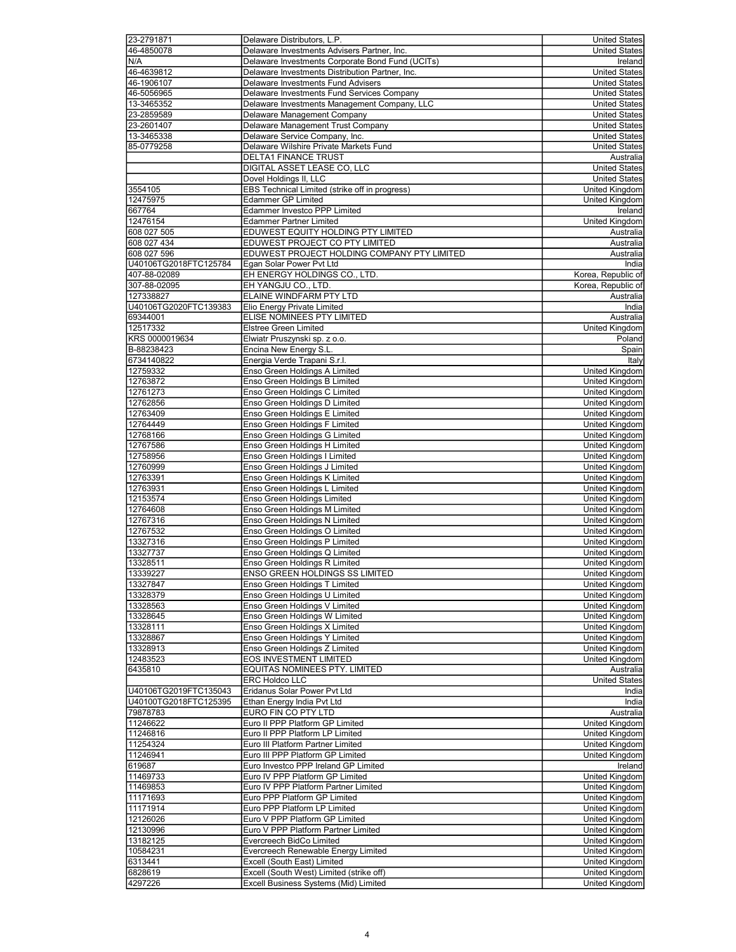| 23-2791871            | Delaware Distributors, L.P.                                          | United States                           |
|-----------------------|----------------------------------------------------------------------|-----------------------------------------|
| 46-4850078            | Delaware Investments Advisers Partner, Inc.                          | <b>United States</b>                    |
| N/A                   | Delaware Investments Corporate Bond Fund (UCITs)                     | Ireland                                 |
| 46-4639812            | Delaware Investments Distribution Partner, Inc.                      | <b>United States</b>                    |
| 46-1906107            | Delaware Investments Fund Advisers                                   | <b>United States</b>                    |
| 46-5056965            | Delaware Investments Fund Services Company                           | <b>United States</b>                    |
| 13-3465352            | Delaware Investments Management Company, LLC                         | <b>United States</b>                    |
| 23-2859589            | Delaware Management Company                                          | <b>United States</b>                    |
| 23-2601407            | Delaware Management Trust Company                                    | <b>United States</b>                    |
| 13-3465338            | Delaware Service Company, Inc.                                       | <b>United States</b>                    |
| 85-0779258            | Delaware Wilshire Private Markets Fund                               | <b>United States</b>                    |
|                       | DELTA1 FINANCE TRUST                                                 | Australia                               |
|                       | DIGITAL ASSET LEASE CO, LLC                                          | <b>United States</b>                    |
|                       | Dovel Holdings II, LLC                                               | <b>United States</b>                    |
| 3554105               | EBS Technical Limited (strike off in progress)                       | United Kingdom                          |
| 12475975              | <b>Edammer GP Limited</b>                                            | United Kingdom                          |
| 667764                | Edammer Investco PPP Limited                                         | Ireland                                 |
| 12476154              | <b>Edammer Partner Limited</b>                                       | United Kingdom                          |
| 608 027 505           | EDUWEST EQUITY HOLDING PTY LIMITED                                   | Australia                               |
| 608 027 434           | EDUWEST PROJECT CO PTY LIMITED                                       | Australia                               |
| 608 027 596           | EDUWEST PROJECT HOLDING COMPANY PTY LIMITED                          | Australia                               |
| U40106TG2018FTC125784 | Egan Solar Power Pvt Ltd                                             | India                                   |
| 407-88-02089          | EH ENERGY HOLDINGS CO., LTD.                                         | Korea, Republic of                      |
| 307-88-02095          | EH YANGJU CO., LTD.                                                  | Korea, Republic of                      |
| 127338827             | ELAINE WINDFARM PTY LTD                                              | Australia                               |
| U40106TG2020FTC139383 | Elio Energy Private Limited                                          | India                                   |
| 69344001              | ELISE NOMINEES PTY LIMITED                                           | Australia                               |
| 12517332              | Elstree Green Limited                                                | United Kingdom                          |
| KRS 0000019634        | Elwiatr Pruszynski sp. z o.o.                                        | Poland                                  |
| B-88238423            | Encina New Energy S.L.                                               | Spain                                   |
| 6734140822            | Energia Verde Trapani S.r.l.                                         | Italy                                   |
| 12759332              | Enso Green Holdings A Limited                                        | <b>United Kingdom</b>                   |
| 12763872<br>12761273  | Enso Green Holdings B Limited<br>Enso Green Holdings C Limited       | United Kingdom                          |
| 12762856              | Enso Green Holdings D Limited                                        | United Kingdom<br>United Kingdom        |
| 12763409              | Enso Green Holdings E Limited                                        | <b>United Kingdom</b>                   |
| 12764449              | Enso Green Holdings F Limited                                        | United Kingdom                          |
| 12768166              | Enso Green Holdings G Limited                                        | <b>United Kingdom</b>                   |
| 12767586              | Enso Green Holdings H Limited                                        | United Kingdom                          |
| 12758956              | Enso Green Holdings I Limited                                        | <b>United Kingdom</b>                   |
| 12760999              | Enso Green Holdings J Limited                                        | United Kingdom                          |
| 12763391              | Enso Green Holdings K Limited                                        | United Kingdom                          |
| 12763931              | Enso Green Holdings L Limited                                        | United Kingdom                          |
| 12153574              | Enso Green Holdings Limited                                          | <b>United Kingdom</b>                   |
| 12764608              | Enso Green Holdings M Limited                                        | United Kingdom                          |
| 12767316              | Enso Green Holdings N Limited                                        | United Kingdom                          |
| 12767532              | Enso Green Holdings O Limited                                        | United Kingdom                          |
| 13327316              | Enso Green Holdings P Limited                                        | United Kingdom                          |
| 13327737              | Enso Green Holdings Q Limited                                        | United Kingdom                          |
| 13328511              | Enso Green Holdings R Limited                                        | United Kingdom                          |
| 13339227              | ENSO GREEN HOLDINGS SS LIMITED                                       | United Kingdom                          |
| 13327847<br>13328379  | Enso Green Holdings T Limited                                        | United Kingdom                          |
| 13328563              | Enso Green Holdings U Limited<br>Enso Green Holdings V Limited       | United Kingdom<br><b>United Kingdom</b> |
| 13328645              | Enso Green Holdings W Limited                                        | United Kingdom                          |
| 13328111              | Enso Green Holdings X Limited                                        | United Kingdom                          |
| 13328867              | Enso Green Holdings Y Limited                                        | United Kingdom                          |
| 13328913              | Enso Green Holdings Z Limited                                        | United Kingdom                          |
| 12483523              | <b>EOS INVESTMENT LIMITED</b>                                        | United Kingdom                          |
| 6435810               | EQUITAS NOMINEES PTY. LIMITED                                        | Australia                               |
|                       | <b>ERC Holdco LLC</b>                                                | <b>United States</b>                    |
| U40106TG2019FTC135043 | Eridanus Solar Power Pvt Ltd                                         | India                                   |
| U40100TG2018FTC125395 | Ethan Energy India Pvt Ltd                                           | India                                   |
| 79878783              | EURO FIN CO PTY LTD                                                  | Australia                               |
| 11246622              | Euro II PPP Platform GP Limited                                      | United Kingdom                          |
| 11246816              | Euro II PPP Platform LP Limited                                      | United Kingdom                          |
| 11254324              | Euro III Platform Partner Limited                                    | United Kingdom                          |
| 11246941              | Euro III PPP Platform GP Limited                                     | United Kingdom                          |
| 619687                | Euro Investco PPP Ireland GP Limited                                 | Ireland                                 |
| 11469733              | Euro IV PPP Platform GP Limited                                      | United Kingdom                          |
| 11469853<br>11171693  | Euro IV PPP Platform Partner Limited<br>Euro PPP Platform GP Limited | United Kingdom<br>United Kingdom        |
| 11171914              | Euro PPP Platform LP Limited                                         | United Kingdom                          |
| 12126026              | Euro V PPP Platform GP Limited                                       | United Kingdom                          |
| 12130996              | Euro V PPP Platform Partner Limited                                  | United Kingdom                          |
| 13182125              | Evercreech BidCo Limited                                             | United Kingdom                          |
| 10584231              | Evercreech Renewable Energy Limited                                  | United Kingdom                          |
| 6313441               | Excell (South East) Limited                                          | United Kingdom                          |
| 6828619               | Excell (South West) Limited (strike off)                             | United Kingdom                          |
| 4297226               | Excell Business Systems (Mid) Limited                                | United Kingdom                          |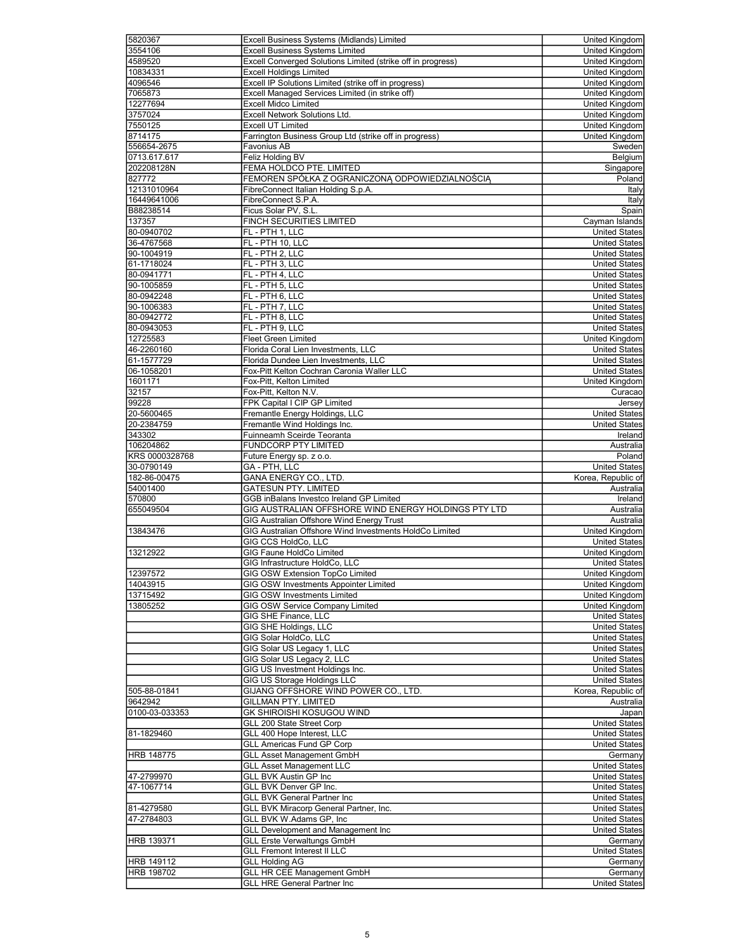| 5820367           | Excell Business Systems (Midlands) Limited                  | United Kingdom        |
|-------------------|-------------------------------------------------------------|-----------------------|
| 3554106           | <b>Excell Business Systems Limited</b>                      | United Kingdom        |
| 4589520           | Excell Converged Solutions Limited (strike off in progress) | <b>United Kingdom</b> |
| 10834331          | <b>Excell Holdings Limited</b>                              | <b>United Kingdom</b> |
| 4096546           | Excell IP Solutions Limited (strike off in progress)        | United Kingdom        |
| 7065873           | Excell Managed Services Limited (in strike off)             | United Kingdom        |
| 12277694          | <b>Excell Midco Limited</b>                                 | United Kingdom        |
| 3757024           | Excell Network Solutions Ltd.                               | United Kingdom        |
| 7550125           |                                                             |                       |
|                   | <b>Excell UT Limited</b>                                    | <b>United Kingdom</b> |
| 8714175           | Farrington Business Group Ltd (strike off in progress)      | United Kingdom        |
| 556654-2675       | <b>Favonius AB</b>                                          | Sweden                |
| 0713.617.617      | Feliz Holding BV                                            | Belgium               |
| 202208128N        | FEMA HOLDCO PTE. LIMITED                                    | Singapore             |
| 827772            | FEMOREN SPÓŁKA Z OGRANICZONĄ ODPOWIEDZIALNOŚCIĄ             | Poland                |
| 12131010964       | FibreConnect Italian Holding S.p.A.                         | Italy                 |
| 16449641006       | FibreConnect S.P.A.                                         | Italy                 |
| B88238514         | Ficus Solar PV, S.L.                                        | Spain                 |
| 137357            | FINCH SECURITIES LIMITED                                    | Cayman Islands        |
| 80-0940702        | FL - PTH 1, LLC                                             | <b>United States</b>  |
| 36-4767568        | FL - PTH 10, LLC                                            | <b>United States</b>  |
| 90-1004919        | FL - PTH 2, LLC                                             | <b>United States</b>  |
| 61-1718024        | FL - PTH 3, LLC                                             | <b>United States</b>  |
| 80-0941771        | FL - PTH 4, LLC                                             | <b>United States</b>  |
|                   |                                                             |                       |
| 90-1005859        | FL - PTH 5, LLC                                             | <b>United States</b>  |
| 80-0942248        | FL - PTH 6, LLC                                             | <b>United States</b>  |
| 90-1006383        | FL - PTH 7, LLC                                             | <b>United States</b>  |
| 80-0942772        | FL - PTH 8, LLC                                             | <b>United States</b>  |
| 80-0943053        | FL - PTH 9, LLC                                             | <b>United States</b>  |
| 12725583          | Fleet Green Limited                                         | United Kingdom        |
| 46-2260160        | Florida Coral Lien Investments, LLC                         | <b>United States</b>  |
| 61-1577729        | Florida Dundee Lien Investments, LLC                        | <b>United States</b>  |
| 06-1058201        | Fox-Pitt Kelton Cochran Caronia Waller LLC                  | <b>United States</b>  |
| 1601171           | Fox-Pitt, Kelton Limited                                    | United Kingdom        |
| 32157             | Fox-Pitt, Kelton N.V.                                       | Curacao               |
| 99228             | FPK Capital I CIP GP Limited                                | Jersey                |
| 20-5600465        | Fremantle Energy Holdings, LLC                              | United States         |
| 20-2384759        | Fremantle Wind Holdings Inc.                                | <b>United States</b>  |
| 343302            | Fuinneamh Sceirde Teoranta                                  | Ireland               |
| 106204862         | FUNDCORP PTY LIMITED                                        | Australia             |
|                   |                                                             |                       |
|                   |                                                             |                       |
| KRS 0000328768    | Future Energy sp. z o.o.                                    | Poland                |
| 30-0790149        | GA - PTH, LLC                                               | <b>United States</b>  |
| 182-86-00475      | GANA ENERGY CO., LTD.                                       | Korea, Republic of    |
| 54001400          | <b>GATESUN PTY. LIMITED</b>                                 | Australia             |
| 570800            | GGB inBalans Investco Ireland GP Limited                    | Ireland               |
| 655049504         | GIG AUSTRALIAN OFFSHORE WIND ENERGY HOLDINGS PTY LTD        | Australia             |
|                   | GIG Australian Offshore Wind Energy Trust                   | Australia             |
| 13843476          | GIG Australian Offshore Wind Investments HoldCo Limited     | United Kingdom        |
|                   | GIG CCS HoldCo, LLC                                         | <b>United States</b>  |
| 13212922          | GIG Faune HoldCo Limited                                    | United Kingdom        |
|                   |                                                             |                       |
|                   | GIG Infrastructure HoldCo, LLC                              | <b>United States</b>  |
|                   | GIG OSW Extension TopCo Limited                             | United Kingdom        |
| 14043915          | GIG OSW Investments Appointer Limited                       | United Kingdom        |
| 13715492          | GIG OSW Investments Limited                                 | United Kingdom        |
| 13805252          | GIG OSW Service Company Limited                             | United Kingdom        |
|                   | GIG SHE Finance, LLC                                        | <b>United States</b>  |
|                   | GIG SHE Holdings, LLC                                       | <b>United States</b>  |
|                   | GIG Solar HoldCo, LLC                                       | <b>United States</b>  |
|                   | GIG Solar US Legacy 1, LLC                                  | <b>United States</b>  |
|                   | GIG Solar US Legacy 2, LLC                                  | <b>United States</b>  |
|                   | GIG US Investment Holdings Inc.                             | <b>United States</b>  |
|                   | GIG US Storage Holdings LLC                                 | <b>United States</b>  |
| 505-88-01841      | GIJANG OFFSHORE WIND POWER CO., LTD.                        | Korea, Republic of    |
| 9642942           | <b>GILLMAN PTY. LIMITED</b>                                 | Australia             |
| 0100-03-033353    | GK SHIROISHI KOSUGOU WIND                                   | Japan                 |
|                   | GLL 200 State Street Corp                                   | <b>United States</b>  |
| 81-1829460        | GLL 400 Hope Interest, LLC                                  | <b>United States</b>  |
|                   | <b>GLL Americas Fund GP Corp</b>                            | United States         |
|                   |                                                             |                       |
| <b>HRB 148775</b> | <b>GLL Asset Management GmbH</b>                            | Germany               |
|                   | <b>GLL Asset Management LLC</b>                             | <b>United States</b>  |
| 47-2799970        | <b>GLL BVK Austin GP Inc</b>                                | <b>United States</b>  |
| 47-1067714        | GLL BVK Denver GP Inc.                                      | United States         |
|                   | <b>GLL BVK General Partner Inc</b>                          | <b>United States</b>  |
| 81-4279580        | GLL BVK Miracorp General Partner, Inc.                      | United States         |
| 47-2784803        | GLL BVK W.Adams GP, Inc                                     | <b>United States</b>  |
|                   | <b>GLL Development and Management Inc</b>                   | <b>United States</b>  |
| HRB 139371        | <b>GLL Erste Verwaltungs GmbH</b>                           | Germany               |
| 12397572          | <b>GLL Fremont Interest II LLC</b>                          | <b>United States</b>  |
| <b>HRB 149112</b> | <b>GLL Holding AG</b>                                       | Germany               |
| HRB 198702        | <b>GLL HR CEE Management GmbH</b>                           | Germany               |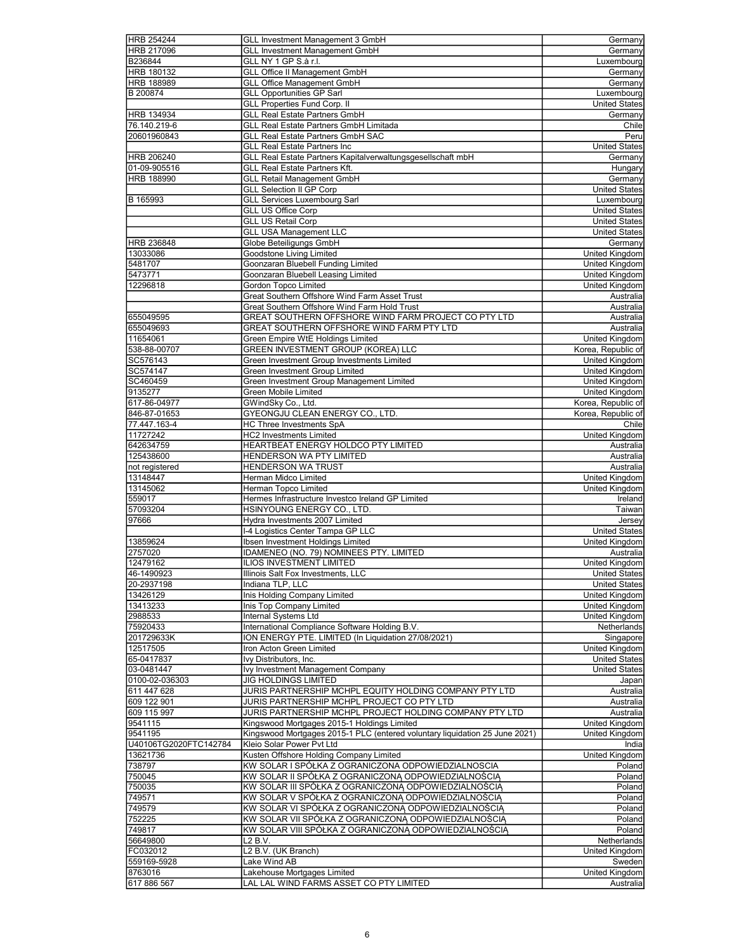|                        | GLL Investment Management 3 GmbH                                            | Germany                                       |
|------------------------|-----------------------------------------------------------------------------|-----------------------------------------------|
| HRB 217096             | <b>GLL Investment Management GmbH</b>                                       | Germany                                       |
| B236844                | GLL NY 1 GP S.à r.l.                                                        | Luxembourg                                    |
| HRB 180132             | <b>GLL Office II Management GmbH</b>                                        | Germany                                       |
| <b>HRB 188989</b>      |                                                                             | Germany                                       |
|                        | <b>GLL Office Management GmbH</b>                                           |                                               |
| B 200874               | <b>GLL Opportunities GP Sarl</b>                                            | Luxembourg                                    |
|                        | <b>GLL Properties Fund Corp. II</b>                                         | <b>United States</b>                          |
| HRB 134934             | <b>GLL Real Estate Partners GmbH</b>                                        | Germany                                       |
| 76.140.219-6           | <b>GLL Real Estate Partners GmbH Limitada</b>                               | Chile                                         |
| 20601960843            | <b>GLL Real Estate Partners GmbH SAC</b>                                    | Peru                                          |
|                        | <b>GLL Real Estate Partners Inc</b>                                         | <b>United States</b>                          |
| HRB 206240             | GLL Real Estate Partners Kapitalverwaltungsgesellschaft mbH                 | Germany                                       |
| 01-09-905516           | GLL Real Estate Partners Kft.                                               | Hungary                                       |
| <b>HRB 188990</b>      | <b>GLL Retail Management GmbH</b>                                           | Germany                                       |
|                        | <b>GLL Selection II GP Corp</b>                                             | <b>United States</b>                          |
| B 165993               | <b>GLL Services Luxembourg Sarl</b>                                         | Luxembourg                                    |
|                        | <b>GLL US Office Corp</b>                                                   | <b>United States</b>                          |
|                        | <b>GLL US Retail Corp</b>                                                   | <b>United States</b>                          |
|                        | <b>GLL USA Management LLC</b>                                               | <b>United States</b>                          |
| HRB 236848             | Globe Beteiligungs GmbH                                                     | Germany                                       |
|                        |                                                                             |                                               |
| 13033086               | <b>Goodstone Living Limited</b>                                             | United Kingdom                                |
| 5481707                | Goonzaran Bluebell Funding Limited                                          | United Kingdom                                |
| 5473771                | Goonzaran Bluebell Leasing Limited                                          | United Kingdom                                |
| 12296818               | Gordon Topco Limited                                                        | United Kingdom                                |
|                        | Great Southern Offshore Wind Farm Asset Trust                               | Australia                                     |
|                        | Great Southern Offshore Wind Farm Hold Trust                                | Australia                                     |
| 655049595              | GREAT SOUTHERN OFFSHORE WIND FARM PROJECT CO PTY LTD                        | Australia                                     |
| 655049693              | GREAT SOUTHERN OFFSHORE WIND FARM PTY LTD                                   | Australia                                     |
| 11654061               | Green Empire WtE Holdings Limited                                           | <b>United Kingdom</b>                         |
| 538-88-00707           | GREEN INVESTMENT GROUP (KOREA) LLC                                          | Korea, Republic of                            |
| SC576143               | Green Investment Group Investments Limited                                  | <b>United Kingdom</b>                         |
| SC574147               | Green Investment Group Limited                                              | United Kingdom                                |
| SC460459               | Green Investment Group Management Limited                                   | United Kingdom                                |
| 9135277                | Green Mobile Limited                                                        | United Kingdom                                |
| 617-86-04977           | GWindSky Co., Ltd.                                                          | Korea, Republic of                            |
| 846-87-01653           | GYEONGJU CLEAN ENERGY CO., LTD.                                             | Korea, Republic of                            |
| 77.447.163-4           | <b>HC Three Investments SpA</b>                                             | Chile                                         |
| 11727242               |                                                                             | United Kingdom                                |
|                        | <b>HC2 Investments Limited</b>                                              |                                               |
| 642634759              | HEARTBEAT ENERGY HOLDCO PTY LIMITED                                         | Australia                                     |
| 125438600              | <b>HENDERSON WA PTY LIMITED</b>                                             | Australia                                     |
| not registered         | <b>HENDERSON WA TRUST</b>                                                   | Australia                                     |
| 13148447               | Herman Midco Limited                                                        | United Kingdom                                |
| 13145062               | Herman Topco Limited                                                        | United Kingdom                                |
| 559017                 | Hermes Infrastructure Investco Ireland GP Limited                           | Ireland                                       |
| 57093204               | HSINYOUNG ENERGY CO., LTD.                                                  |                                               |
|                        |                                                                             | Taiwan                                        |
| 97666                  | Hydra Investments 2007 Limited                                              | Jersev                                        |
|                        | I-4 Logistics Center Tampa GP LLC                                           | <b>United States</b>                          |
| 13859624               | Ibsen Investment Holdings Limited                                           | United Kingdom                                |
| 2757020                | IDAMENEO (NO. 79) NOMINEES PTY. LIMITED                                     | Australia                                     |
| 12479162               |                                                                             | United Kingdom                                |
|                        | <b>ILIOS INVESTMENT LIMITED</b>                                             |                                               |
| 46-1490923             | Illinois Salt Fox Investments, LLC                                          | <b>United States</b>                          |
| 20-2937198             | Indiana TLP, LLC                                                            | <b>United States</b>                          |
| 13426129               | Inis Holding Company Limited                                                | United Kingdom                                |
| 13413233               | Inis Top Company Limited                                                    | United Kingdom                                |
| 2988533                | Internal Systems Ltd                                                        | United Kingdom                                |
| 75920433               | International Compliance Software Holding B.V.                              | Netherlands                                   |
| 201729633K             | ION ENERGY PTE. LIMITED (In Liquidation 27/08/2021)                         | Singapore                                     |
| 12517505               | Iron Acton Green Limited                                                    | United Kingdom                                |
| 65-0417837             | Ivy Distributors, Inc.                                                      | <b>United States</b>                          |
| 03-0481447             | Ivy Investment Management Company                                           | <b>United States</b>                          |
| 0100-02-036303         | JIG HOLDINGS LIMITED                                                        | Japan                                         |
| 611 447 628            | JURIS PARTNERSHIP MCHPL EQUITY HOLDING COMPANY PTY LTD                      | Australia                                     |
| 609 122 901            | JURIS PARTNERSHIP MCHPL PROJECT CO PTY LTD                                  | Australia                                     |
| 609 115 997            | JURIS PARTNERSHIP MCHPL PROJECT HOLDING COMPANY PTY LTD                     | Australia                                     |
| 9541115                | Kingswood Mortgages 2015-1 Holdings Limited                                 | United Kingdom                                |
| 9541195                | Kingswood Mortgages 2015-1 PLC (entered voluntary liquidation 25 June 2021) | United Kingdom                                |
| U40106TG2020FTC142784  | Kleio Solar Power Pvt Ltd                                                   | India                                         |
| 13621736               | Kusten Offshore Holding Company Limited                                     | United Kingdom                                |
| 738797                 | KW SOLAR I SPÓŁKA Z OGRANICZONA ODPOWIEDZIALNOSCIA                          | Poland                                        |
| 750045                 | KW SOLAR II SPÓŁKA Z OGRANICZONĄ ODPOWIEDZIALNOŚCIĄ                         | Poland                                        |
| 750035                 | KW SOLAR III SPÓŁKA Z OGRANICZONĄ ODPOWIEDZIALNOŚCIĄ                        | Poland                                        |
| 749571                 | KW SOLAR V SPÓŁKA Z OGRANICZONĄ ODPOWIEDZIALNOŚCIĄ                          | Poland                                        |
| 749579                 | KW SOLAR VI SPÓŁKA Z OGRANICZONĄ ODPOWIEDZIALNOŚCIĄ                         | Poland                                        |
|                        |                                                                             |                                               |
| 752225                 | KW SOLAR VII SPÓŁKA Z OGRANICZONĄ ODPOWIEDZIALNOŚCIĄ                        | Poland                                        |
| 749817                 | KW SOLAR VIII SPÓŁKA Z OGRANICZONĄ ODPOWIEDZIALNOŚCIĄ                       | Poland                                        |
| 56649800               | L2 B.V.                                                                     | Netherlands                                   |
| FC032012               | L2 B.V. (UK Branch)                                                         |                                               |
| 559169-5928            | Lake Wind AB                                                                | Sweden                                        |
| 8763016<br>617 886 567 | Lakehouse Mortgages Limited<br>LAL LAL WIND FARMS ASSET CO PTY LIMITED      | United Kingdom<br>United Kingdom<br>Australia |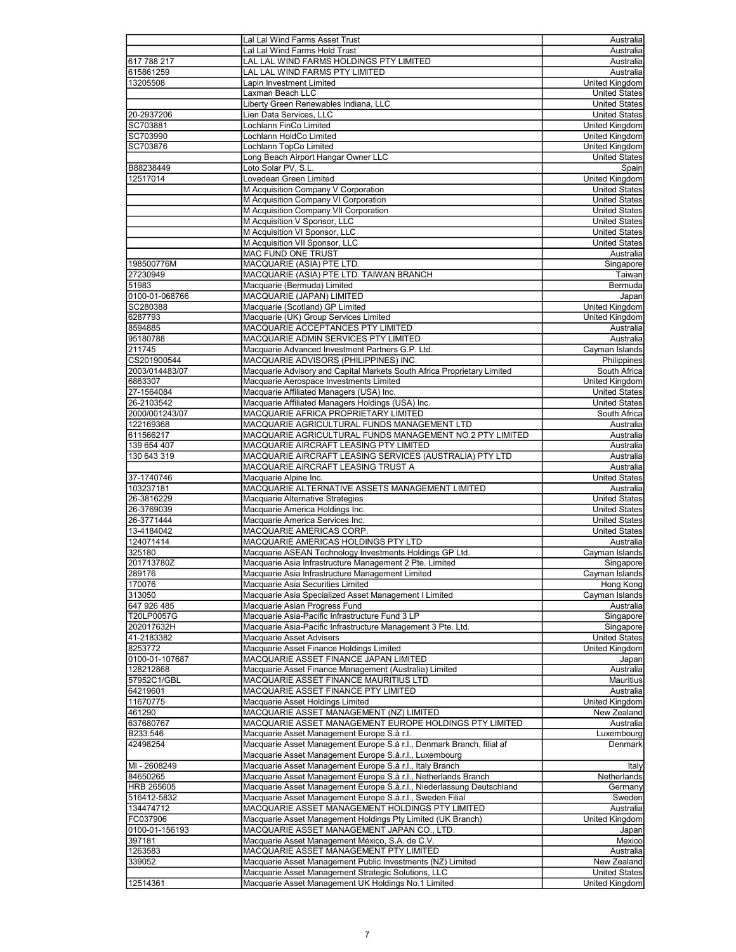|                | Lal Lal Wind Farms Asset Trust                                                                             | Australia                              |
|----------------|------------------------------------------------------------------------------------------------------------|----------------------------------------|
|                |                                                                                                            |                                        |
|                | Lal Lal Wind Farms Hold Trust                                                                              | Australia                              |
| 617 788 217    | LAL LAL WIND FARMS HOLDINGS PTY LIMITED                                                                    | Australia                              |
| 615861259      | LAL LAL WIND FARMS PTY LIMITED                                                                             | Australia                              |
| 13205508       | Lapin Investment Limited                                                                                   | United Kingdom                         |
|                | Laxman Beach LLC                                                                                           | <b>United States</b>                   |
|                |                                                                                                            |                                        |
|                | Liberty Green Renewables Indiana, LLC                                                                      | <b>United States</b>                   |
| 20-2937206     | Lien Data Services, LLC                                                                                    | <b>United States</b>                   |
| SC703881       | Lochlann FinCo Limited                                                                                     | United Kingdom                         |
| SC703990       | Lochlann HoldCo Limited                                                                                    | <b>United Kingdom</b>                  |
| SC703876       | Lochlann TopCo Limited                                                                                     | United Kingdom                         |
|                |                                                                                                            |                                        |
|                | Long Beach Airport Hangar Owner LLC                                                                        | <b>United States</b>                   |
| B88238449      | Loto Solar PV, S.L.                                                                                        | Spain                                  |
| 12517014       | Lovedean Green Limited                                                                                     | <b>United Kingdom</b>                  |
|                | M Acquisition Company V Corporation                                                                        | <b>United States</b>                   |
|                | M Acquisition Company VI Corporation                                                                       | <b>United States</b>                   |
|                |                                                                                                            |                                        |
|                | M Acquisition Company VII Corporation                                                                      | <b>United States</b>                   |
|                | M Acquisition V Sponsor, LLC                                                                               | <b>United States</b>                   |
|                | M Acquisition VI Sponsor, LLC                                                                              | <b>United States</b>                   |
|                | M Acquisition VII Sponsor, LLC                                                                             | <b>United States</b>                   |
|                | MAC FUND ONE TRUST                                                                                         | Australia                              |
| 198500776M     | MACQUARIE (ASIA) PTE LTD.                                                                                  | Singapore                              |
|                |                                                                                                            |                                        |
| 27230949       | MACQUARIE (ASIA) PTE LTD. TAIWAN BRANCH                                                                    | Taiwan                                 |
| 51983          | Macquarie (Bermuda) Limited                                                                                | Bermuda                                |
| 0100-01-068766 | MACQUARIE (JAPAN) LIMITED                                                                                  | Japan                                  |
| SC280388       | Macquarie (Scotland) GP Limited                                                                            | United Kingdom                         |
| 6287793        | Macquarie (UK) Group Services Limited                                                                      | <b>United Kingdom</b>                  |
|                |                                                                                                            |                                        |
| 8594885        | MACQUARIE ACCEPTANCES PTY LIMITED                                                                          | Australia                              |
| 95180788       | MACQUARIE ADMIN SERVICES PTY LIMITED                                                                       | Australia                              |
| 211745         | Macquarie Advanced Investment Partners G.P. Ltd.                                                           | Cayman Islands                         |
| CS201900544    | MACQUARIE ADVISORS (PHILIPPINES) INC.                                                                      | Philippines                            |
| 2003/014483/07 | Macquarie Advisory and Capital Markets South Africa Proprietary Limited                                    | South Africa                           |
|                |                                                                                                            |                                        |
| 6863307        | Macquarie Aerospace Investments Limited                                                                    | United Kingdom                         |
| 27-1564084     | Macquarie Affiliated Managers (USA) Inc.                                                                   | <b>United States</b>                   |
| 26-2103542     | Macquarie Affiliated Managers Holdings (USA) Inc.                                                          | <b>United States</b>                   |
| 2000/001243/07 | MACQUARIE AFRICA PROPRIETARY LIMITED                                                                       | South Africa                           |
| 122169368      | MACQUARIE AGRICULTURAL FUNDS MANAGEMENT LTD                                                                | Australia                              |
|                |                                                                                                            |                                        |
| 611566217      | MACQUARIE AGRICULTURAL FUNDS MANAGEMENT NO.2 PTY LIMITED                                                   | Australia                              |
| 139 654 407    | MACQUARIE AIRCRAFT LEASING PTY LIMITED                                                                     | Australia                              |
| 130 643 319    | MACQUARIE AIRCRAFT LEASING SERVICES (AUSTRALIA) PTY LTD                                                    | Australia                              |
|                |                                                                                                            |                                        |
|                |                                                                                                            |                                        |
|                | MACQUARIE AIRCRAFT LEASING TRUST A                                                                         | Australia                              |
| 37-1740746     | Macquarie Alpine Inc.                                                                                      | <b>United States</b>                   |
| 103237181      | MACQUARIE ALTERNATIVE ASSETS MANAGEMENT LIMITED                                                            | Australia                              |
| 26-3816229     | Macquarie Alternative Strategies                                                                           | <b>United States</b>                   |
| 26-3769039     | Macquarie America Holdings Inc.                                                                            | <b>United States</b>                   |
| 26-3771444     | Macquarie America Services Inc.                                                                            |                                        |
|                |                                                                                                            | <b>United States</b>                   |
| 13-4184042     | MACQUARIE AMERICAS CORP.                                                                                   | <b>United States</b>                   |
| 124071414      | MACQUARIE AMERICAS HOLDINGS PTY LTD                                                                        | Australia                              |
| 325180         | Macquarie ASEAN Technology Investments Holdings GP Ltd.                                                    | Cayman Islands                         |
| 201713780Z     | Macquarie Asia Infrastructure Management 2 Pte. Limited                                                    | Singapore                              |
| 289176         | Macquarie Asia Infrastructure Management Limited                                                           |                                        |
| 170076         | Macquarie Asia Securities Limited                                                                          | Cayman Islands<br>Hong Kong            |
|                |                                                                                                            |                                        |
| 313050         | Macquarie Asia Specialized Asset Management I Limited                                                      | Cayman Islands                         |
| 647 926 485    | Macquarie Asian Progress Fund                                                                              | Australia                              |
| T20LP0057G     | Macquarie Asia-Pacific Infrastructure Fund 3 LP                                                            | Singapore                              |
| 202017632H     | Macquarie Asia-Pacific Infrastructure Management 3 Pte. Ltd.                                               | Singapore                              |
| 41-2183382     | Macquarie Asset Advisers                                                                                   | <b>United States</b>                   |
| 8253772        | Macquarie Asset Finance Holdings Limited                                                                   | United Kingdom                         |
|                |                                                                                                            |                                        |
| 0100-01-107687 | MACQUARIE ASSET FINANCE JAPAN LIMITED                                                                      | Japan                                  |
| 128212868      | Macquarie Asset Finance Management (Australia) Limited                                                     | Australia                              |
| 57952C1/GBL    | MACQUARIE ASSET FINANCE MAURITIUS LTD                                                                      | Mauritius                              |
| 64219601       | MACQUARIE ASSET FINANCE PTY LIMITED                                                                        | Australia                              |
| 11670775       | Macquarie Asset Holdings Limited                                                                           | United Kingdom                         |
| 461290         | MACQUARIE ASSET MANAGEMENT (NZ) LIMITED                                                                    | New Zealand                            |
|                |                                                                                                            |                                        |
| 637680767      | MACQUARIE ASSET MANAGEMENT EUROPE HOLDINGS PTY LIMITED                                                     | Australia                              |
| B233.546       | Macquarie Asset Management Europe S.à r.l.                                                                 | Luxembourg                             |
| 42498254       | Macquarie Asset Management Europe S.à r.l., Denmark Branch, filial af                                      | Denmark                                |
|                | Macquarie Asset Management Europe S.à.r.l., Luxembourg                                                     |                                        |
| MI-2608249     | Macquarie Asset Management Europe S.à r.l., Italy Branch                                                   | Italy                                  |
|                |                                                                                                            |                                        |
| 84650265       | Macquarie Asset Management Europe S.à r.l., Netherlands Branch                                             | Netherlands                            |
| HRB 265605     | Macquarie Asset Management Europe S.à.r.l., Niederlassung Deutschland                                      | Germany                                |
| 516412-5832    | Macquarie Asset Management Europe S.à.r.l., Sweden Filial                                                  | Sweden                                 |
| 134474712      | MACQUARIE ASSET MANAGEMENT HOLDINGS PTY LIMITED                                                            | Australia                              |
| FC037906       | Macquarie Asset Management Holdings Pty Limited (UK Branch)                                                | United Kingdom                         |
| 0100-01-156193 | MACQUARIE ASSET MANAGEMENT JAPAN CO., LTD.                                                                 | Japan                                  |
|                |                                                                                                            |                                        |
| 397181         | Macquarie Asset Management México, S.A. de C.V.                                                            | Mexico                                 |
| 1263583        | MACQUARIE ASSET MANAGEMENT PTY LIMITED                                                                     | Australia                              |
| 339052         | Macquarie Asset Management Public Investments (NZ) Limited                                                 | New Zealand                            |
| 12514361       | Macquarie Asset Management Strategic Solutions, LLC<br>Macquarie Asset Management UK Holdings No.1 Limited | <b>United States</b><br>United Kingdom |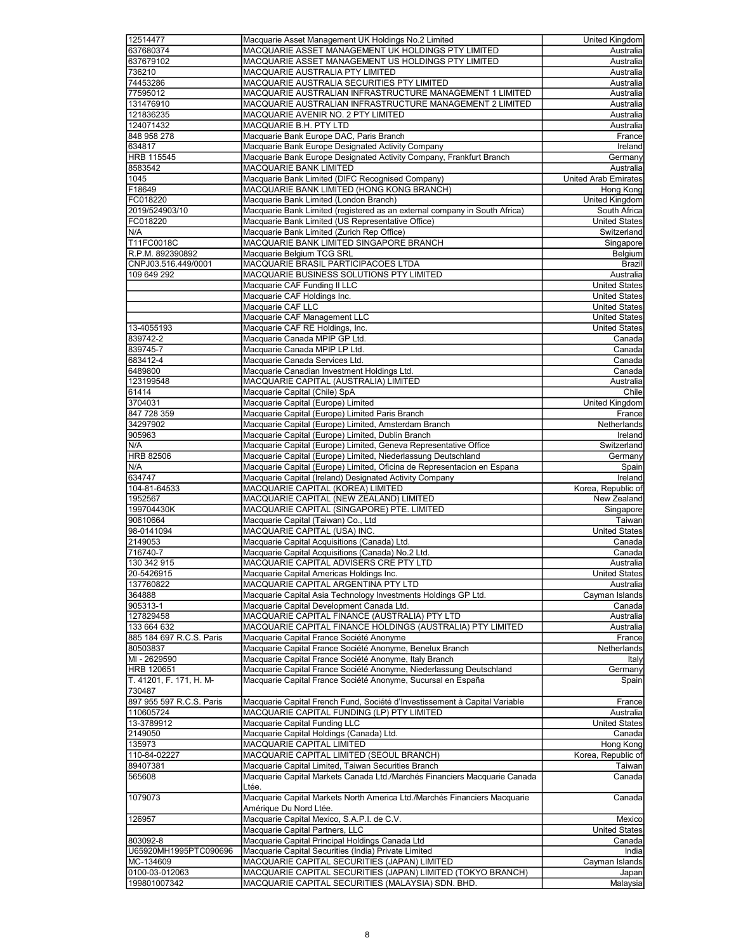| 12514477                       | Macquarie Asset Management UK Holdings No.2 Limited                                                              | United Kingdom                             |
|--------------------------------|------------------------------------------------------------------------------------------------------------------|--------------------------------------------|
| 637680374                      | MACQUARIE ASSET MANAGEMENT UK HOLDINGS PTY LIMITED                                                               | Australia                                  |
| 637679102                      | MACQUARIE ASSET MANAGEMENT US HOLDINGS PTY LIMITED                                                               | Australia                                  |
| 736210                         | MACQUARIE AUSTRALIA PTY LIMITED                                                                                  | Australia                                  |
| 74453286                       | MACQUARIE AUSTRALIA SECURITIES PTY LIMITED                                                                       | Australia                                  |
| 77595012                       | MACQUARIE AUSTRALIAN INFRASTRUCTURE MANAGEMENT 1 LIMITED                                                         | Australia                                  |
| 131476910                      | MACQUARIE AUSTRALIAN INFRASTRUCTURE MANAGEMENT 2 LIMITED                                                         | Australia                                  |
| 121836235                      | MACQUARIE AVENIR NO. 2 PTY LIMITED                                                                               | Australia                                  |
| 124071432                      | MACQUARIE B.H. PTY LTD                                                                                           | Australia                                  |
| 848 958 278                    | Macquarie Bank Europe DAC, Paris Branch                                                                          | France                                     |
| 634817                         | Macquarie Bank Europe Designated Activity Company                                                                | Ireland                                    |
|                                | Macquarie Bank Europe Designated Activity Company, Frankfurt Branch                                              |                                            |
| <b>HRB 115545</b>              |                                                                                                                  | Germany                                    |
| 8583542                        | MACQUARIE BANK LIMITED                                                                                           | Australia                                  |
| 1045                           | Macquarie Bank Limited (DIFC Recognised Company)                                                                 | <b>United Arab Emirates</b>                |
| F18649                         | MACQUARIE BANK LIMITED (HONG KONG BRANCH)                                                                        | Hong Kong                                  |
| FC018220                       | Macquarie Bank Limited (London Branch)                                                                           | United Kingdom                             |
| 2019/524903/10                 | Macquarie Bank Limited (registered as an external company in South Africa)                                       | South Africa                               |
| FC018220                       | Macquarie Bank Limited (US Representative Office)                                                                | <b>United States</b>                       |
| N/A                            | Macquarie Bank Limited (Zurich Rep Office)                                                                       | Switzerland                                |
| T11FC0018C                     | MACQUARIE BANK LIMITED SINGAPORE BRANCH                                                                          | Singapore                                  |
| R.P.M. 892390892               | Macquarie Belgium TCG SRL                                                                                        | Belgium                                    |
| CNPJ03.516.449/0001            | MACQUARIE BRASIL PARTICIPACOES LTDA                                                                              | Brazil                                     |
| 109 649 292                    | MACQUARIE BUSINESS SOLUTIONS PTY LIMITED                                                                         | Australia                                  |
|                                | Macquarie CAF Funding II LLC                                                                                     | <b>United States</b>                       |
|                                | Macquarie CAF Holdings Inc.                                                                                      | <b>United States</b>                       |
|                                | Macquarie CAF LLC                                                                                                | <b>United States</b>                       |
|                                | Macquarie CAF Management LLC                                                                                     | <b>United States</b>                       |
|                                |                                                                                                                  |                                            |
| 13-4055193                     | Macquarie CAF RE Holdings, Inc.                                                                                  | <b>United States</b>                       |
| 839742-2                       | Macquarie Canada MPIP GP Ltd.                                                                                    | Canada                                     |
| 839745-7                       | Macquarie Canada MPIP LP Ltd.                                                                                    | Canada                                     |
| 683412-4                       | Macquarie Canada Services Ltd.                                                                                   | Canada                                     |
| 6489800                        | Macquarie Canadian Investment Holdings Ltd.                                                                      | Canada                                     |
| 123199548                      | MACQUARIE CAPITAL (AUSTRALIA) LIMITED                                                                            | Australia                                  |
| 61414                          | Macquarie Capital (Chile) SpA                                                                                    | Chile                                      |
| 3704031                        | Macquarie Capital (Europe) Limited                                                                               | United Kingdom                             |
| 847 728 359                    | Macquarie Capital (Europe) Limited Paris Branch                                                                  | France                                     |
| 34297902                       | Macquarie Capital (Europe) Limited, Amsterdam Branch                                                             | Netherlands                                |
| 905963                         | Macquarie Capital (Europe) Limited, Dublin Branch                                                                | Ireland                                    |
| N/A                            | Macquarie Capital (Europe) Limited, Geneva Representative Office                                                 | Switzerland                                |
| <b>HRB 82506</b>               | Macquarie Capital (Europe) Limited, Niederlassung Deutschland                                                    | Germany                                    |
|                                |                                                                                                                  |                                            |
|                                |                                                                                                                  |                                            |
| N/A                            | Macquarie Capital (Europe) Limited, Oficina de Representacion en Espana                                          | Spain                                      |
| 634747                         | Macquarie Capital (Ireland) Designated Activity Company                                                          | Ireland                                    |
| 104-81-64533                   | MACQUARIE CAPITAL (KOREA) LIMITED                                                                                | Korea, Republic of                         |
| 1952567                        | MACQUARIE CAPITAL (NEW ZEALAND) LIMITED                                                                          | New Zealand                                |
| 199704430K                     | MACQUARIE CAPITAL (SINGAPORE) PTE. LIMITED                                                                       | Singapore                                  |
| 90610664                       | Macquarie Capital (Taiwan) Co., Ltd                                                                              | Taiwan                                     |
| 98-0141094                     | MACQUARIE CAPITAL (USA) INC.                                                                                     | <b>United States</b>                       |
| 2149053                        | Macquarie Capital Acquisitions (Canada) Ltd.                                                                     | Canada                                     |
| 716740-7                       | Macquarie Capital Acquisitions (Canada) No.2 Ltd.                                                                | Canada                                     |
| 130 342 915                    | MACQUARIE CAPITAL ADVISERS CRE PTY LTD                                                                           | Australia                                  |
| 20-5426915                     | Macquarie Capital Americas Holdings Inc.                                                                         | <b>United States</b>                       |
| 137760822                      | MACQUARIE CAPITAL ARGENTINA PTY LTD                                                                              | Australia                                  |
| 364888                         | Macquarie Capital Asia Technology Investments Holdings GP Ltd.                                                   | Cayman Islands                             |
|                                |                                                                                                                  | Canada                                     |
| 905313-1                       | Macquarie Capital Development Canada Ltd.                                                                        | Australia                                  |
| 127829458                      | MACQUARIE CAPITAL FINANCE (AUSTRALIA) PTY LTD                                                                    |                                            |
| 133 664 632                    | MACQUARIE CAPITAL FINANCE HOLDINGS (AUSTRALIA) PTY LIMITED                                                       | Australia                                  |
| 885 184 697 R.C.S. Paris       | Macquarie Capital France Société Anonyme                                                                         | France                                     |
| 80503837                       | Macquarie Capital France Société Anonyme, Benelux Branch                                                         | Netherlands                                |
| MI - 2629590                   | Macquarie Capital France Société Anonyme, Italy Branch                                                           | Italy                                      |
| <b>HRB 120651</b>              | Macquarie Capital France Société Anonyme, Niederlassung Deutschland                                              | Germany                                    |
| T. 41201, F. 171, H. M-        | Macquarie Capital France Société Anonyme, Sucursal en España                                                     | Spain                                      |
| 730487                         |                                                                                                                  |                                            |
| 897 955 597 R.C.S. Paris       | Macquarie Capital French Fund, Société d'Investissement à Capital Variable                                       | France                                     |
| 110605724                      | MACQUARIE CAPITAL FUNDING (LP) PTY LIMITED                                                                       | Australia                                  |
| 13-3789912                     | Macquarie Capital Funding LLC                                                                                    | United States                              |
| 2149050                        | Macquarie Capital Holdings (Canada) Ltd.                                                                         | Canada                                     |
| 135973                         | MACQUARIE CAPITAL LIMITED                                                                                        | Hong Kong                                  |
| 110-84-02227                   | MACQUARIE CAPITAL LIMITED (SEOUL BRANCH)                                                                         | Korea, Republic of                         |
| 89407381                       | Macquarie Capital Limited, Taiwan Securities Branch                                                              | Taiwan                                     |
| 565608                         | Macquarie Capital Markets Canada Ltd./Marchés Financiers Macquarie Canada                                        | Canada                                     |
|                                | Ltée.                                                                                                            |                                            |
|                                | Macquarie Capital Markets North America Ltd./Marchés Financiers Macquarie                                        | Canada                                     |
| 1079073                        |                                                                                                                  |                                            |
|                                | Amérique Du Nord Ltée.                                                                                           |                                            |
| 126957                         | Macquarie Capital Mexico, S.A.P.I. de C.V.                                                                       | Mexico                                     |
|                                | Macquarie Capital Partners, LLC                                                                                  | <b>United States</b>                       |
| 803092-8                       | Macquarie Capital Principal Holdings Canada Ltd                                                                  | Canada                                     |
| U65920MH1995PTC090696          | Macquarie Capital Securities (India) Private Limited                                                             | India                                      |
| MC-134609                      | MACQUARIE CAPITAL SECURITIES (JAPAN) LIMITED                                                                     |                                            |
| 0100-03-012063<br>199801007342 | MACQUARIE CAPITAL SECURITIES (JAPAN) LIMITED (TOKYO BRANCH)<br>MACQUARIE CAPITAL SECURITIES (MALAYSIA) SDN. BHD. | Cayman Islands<br>Japan<br><b>Malaysia</b> |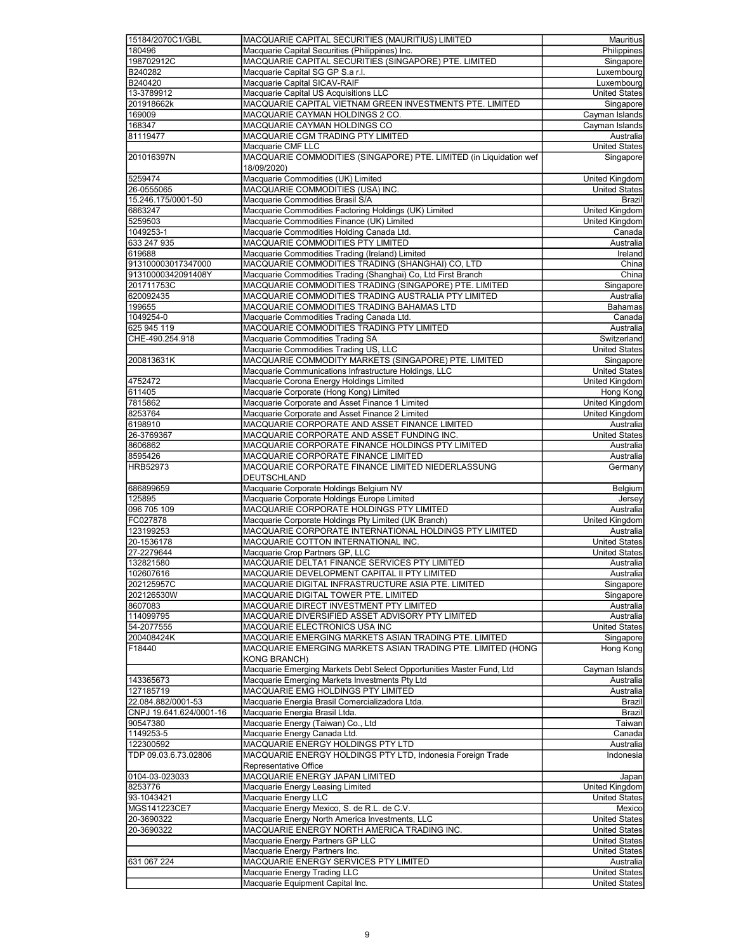| 15184/2070C1/GBL        | MACQUARIE CAPITAL SECURITIES (MAURITIUS) LIMITED                      | <b>Mauritius</b>                             |
|-------------------------|-----------------------------------------------------------------------|----------------------------------------------|
| 180496                  | Macquarie Capital Securities (Philippines) Inc.                       | Philippines                                  |
| 198702912C              | MACQUARIE CAPITAL SECURITIES (SINGAPORE) PTE. LIMITED                 | Singapore                                    |
| B240282                 | Macquarie Capital SG GP S.a r.l.                                      | Luxembourg                                   |
| B240420                 | Macquarie Capital SICAV-RAIF                                          | Luxembourg                                   |
| 13-3789912              | Macquarie Capital US Acquisitions LLC                                 | <b>United States</b>                         |
| 201918662k              | MACQUARIE CAPITAL VIETNAM GREEN INVESTMENTS PTE. LIMITED              | Singapore                                    |
| 169009                  | MACQUARIE CAYMAN HOLDINGS 2 CO.                                       | Cayman Islands                               |
| 168347                  | MACQUARIE CAYMAN HOLDINGS CO                                          | Cayman Islands                               |
| 81119477                | MACQUARIE CGM TRADING PTY LIMITED                                     | Australia                                    |
|                         | Macquarie CMF LLC                                                     | <b>United States</b>                         |
| 201016397N              | MACQUARIE COMMODITIES (SINGAPORE) PTE. LIMITED (in Liquidation wef    | Singapore                                    |
|                         | 18/09/2020)                                                           |                                              |
| 5259474                 | Macquarie Commodities (UK) Limited                                    | <b>United Kingdom</b>                        |
|                         | MACQUARIE COMMODITIES (USA) INC.                                      |                                              |
| 26-0555065              |                                                                       | <b>United States</b>                         |
| 15.246.175/0001-50      | Macquarie Commodities Brasil S/A                                      | Brazil                                       |
| 6863247                 | Macquarie Commodities Factoring Holdings (UK) Limited                 | <b>United Kingdom</b>                        |
| 5259503                 | Macquarie Commodities Finance (UK) Limited                            | United Kingdom                               |
| 1049253-1               | Macquarie Commodities Holding Canada Ltd.                             | Canada                                       |
| 633 247 935             | MACQUARIE COMMODITIES PTY LIMITED                                     | Australia                                    |
| 619688                  | Macquarie Commodities Trading (Ireland) Limited                       | Ireland                                      |
| 913100003017347000      | MACQUARIE COMMODITIES TRADING (SHANGHAI) CO, LTD                      | China                                        |
| 91310000342091408Y      | Macquarie Commodities Trading (Shanghai) Co, Ltd First Branch         | China                                        |
| 201711753C              | MACQUARIE COMMODITIES TRADING (SINGAPORE) PTE. LIMITED                | Singapore                                    |
| 620092435               | MACQUARIE COMMODITIES TRADING AUSTRALIA PTY LIMITED                   | Australia                                    |
| 199655                  | MACQUARIE COMMODITIES TRADING BAHAMAS LTD                             | Bahamas                                      |
| 1049254-0               | Macquarie Commodities Trading Canada Ltd.                             | Canada                                       |
| 625 945 119             | MACQUARIE COMMODITIES TRADING PTY LIMITED                             | Australia                                    |
| CHE-490.254.918         | Macquarie Commodities Trading SA                                      | Switzerland                                  |
|                         | Macquarie Commodities Trading US, LLC                                 | <b>United States</b>                         |
| 200813631K              | MACQUARIE COMMODITY MARKETS (SINGAPORE) PTE. LIMITED                  | Singapore                                    |
|                         | Macquarie Communications Infrastructure Holdings, LLC                 | <b>United States</b>                         |
| 4752472                 | Macquarie Corona Energy Holdings Limited                              | <b>United Kingdom</b>                        |
| 611405                  | Macquarie Corporate (Hong Kong) Limited                               | Hong Kong                                    |
| 7815862                 | Macquarie Corporate and Asset Finance 1 Limited                       | United Kingdom                               |
| 8253764                 |                                                                       |                                              |
|                         | Macquarie Corporate and Asset Finance 2 Limited                       | United Kingdom                               |
| 6198910                 | MACQUARIE CORPORATE AND ASSET FINANCE LIMITED                         | Australia                                    |
| 26-3769367              | MACQUARIE CORPORATE AND ASSET FUNDING INC.                            | <b>United States</b>                         |
| 8606862                 | MACQUARIE CORPORATE FINANCE HOLDINGS PTY LIMITED                      | Australia                                    |
| 8595426                 | MACQUARIE CORPORATE FINANCE LIMITED                                   | Australia                                    |
| HRB52973                | MACQUARIE CORPORATE FINANCE LIMITED NIEDERLASSUNG                     | Germany                                      |
|                         | DEUTSCHLAND                                                           |                                              |
| 686899659               | Macquarie Corporate Holdings Belgium NV                               | Belgium                                      |
| 125895                  | Macquarie Corporate Holdings Europe Limited                           | Jersey                                       |
| 096 705 109             | MACQUARIE CORPORATE HOLDINGS PTY LIMITED                              | Australia                                    |
| FC027878                | Macquarie Corporate Holdings Pty Limited (UK Branch)                  | United Kingdom                               |
| 123199253               | MACQUARIE CORPORATE INTERNATIONAL HOLDINGS PTY LIMITED                | Australia                                    |
| 20-1536178              | MACQUARIE COTTON INTERNATIONAL INC.                                   | <b>United States</b>                         |
| 27-2279644              | Macquarie Crop Partners GP, LLC                                       | <b>United States</b>                         |
| 132821580               | MACQUARIE DELTA1 FINANCE SERVICES PTY LIMITED                         | Australia                                    |
| 102607616               | MACQUARIE DEVELOPMENT CAPITAL II PTY LIMITED                          | Australia                                    |
| 202125957C              | MACQUARIE DIGITAL INFRASTRUCTURE ASIA PTE. LIMITED                    | Singapore                                    |
| 202126530W              | MACQUARIE DIGITAL TOWER PTE. LIMITED                                  | Singapore                                    |
| 8607083                 | MACQUARIE DIRECT INVESTMENT PTY LIMITED                               | Australia                                    |
| 114099795               | MACQUARIE DIVERSIFIED ASSET ADVISORY PTY LIMITED                      | Australia                                    |
| 54-2077555              | MACQUARIE ELECTRONICS USA INC                                         | <b>United States</b>                         |
| 200408424K              | MACQUARIE EMERGING MARKETS ASIAN TRADING PTE. LIMITED                 | Singapore                                    |
|                         | MACQUARIE EMERGING MARKETS ASIAN TRADING PTE. LIMITED (HONG           |                                              |
| F18440                  |                                                                       | Hong Kong                                    |
|                         | <b>KONG BRANCH)</b>                                                   |                                              |
|                         | Macquarie Emerging Markets Debt Select Opportunities Master Fund, Ltd | Cayman Islands                               |
| 143365673               | Macquarie Emerging Markets Investments Pty Ltd                        | Australia                                    |
| 127185719               | MACQUARIE EMG HOLDINGS PTY LIMITED                                    | Australia                                    |
| 22.084.882/0001-53      | Macquarie Energia Brasil Comercializadora Ltda.                       | <b>Brazil</b>                                |
| CNPJ 19.641.624/0001-16 | Macquarie Energia Brasil Ltda.                                        | Brazil                                       |
| 90547380                | Macquarie Energy (Taiwan) Co., Ltd                                    | Taiwan                                       |
| 1149253-5               | Macquarie Energy Canada Ltd.                                          | Canada                                       |
| 122300592               | MACQUARIE ENERGY HOLDINGS PTY LTD                                     | Australia                                    |
| TDP 09.03.6.73.02806    | MACQUARIE ENERGY HOLDINGS PTY LTD, Indonesia Foreign Trade            | Indonesia                                    |
|                         | Representative Office                                                 |                                              |
| 0104-03-023033          | MACQUARIE ENERGY JAPAN LIMITED                                        | Japan                                        |
| 8253776                 | Macquarie Energy Leasing Limited                                      | United Kingdom                               |
| 93-1043421              | Macquarie Energy LLC                                                  | <b>United States</b>                         |
| MGS141223CE7            | Macquarie Energy Mexico, S. de R.L. de C.V.                           | Mexico                                       |
| 20-3690322              | Macquarie Energy North America Investments, LLC                       | <b>United States</b>                         |
| 20-3690322              | MACQUARIE ENERGY NORTH AMERICA TRADING INC.                           | <b>United States</b>                         |
|                         | Macquarie Energy Partners GP LLC                                      | <b>United States</b>                         |
|                         | Macquarie Energy Partners Inc.                                        | <b>United States</b>                         |
|                         | MACQUARIE ENERGY SERVICES PTY LIMITED                                 | Australia                                    |
| 631 067 224             | Macquarie Energy Trading LLC                                          |                                              |
|                         | Macquarie Equipment Capital Inc.                                      | <b>United States</b><br><b>United States</b> |
|                         |                                                                       |                                              |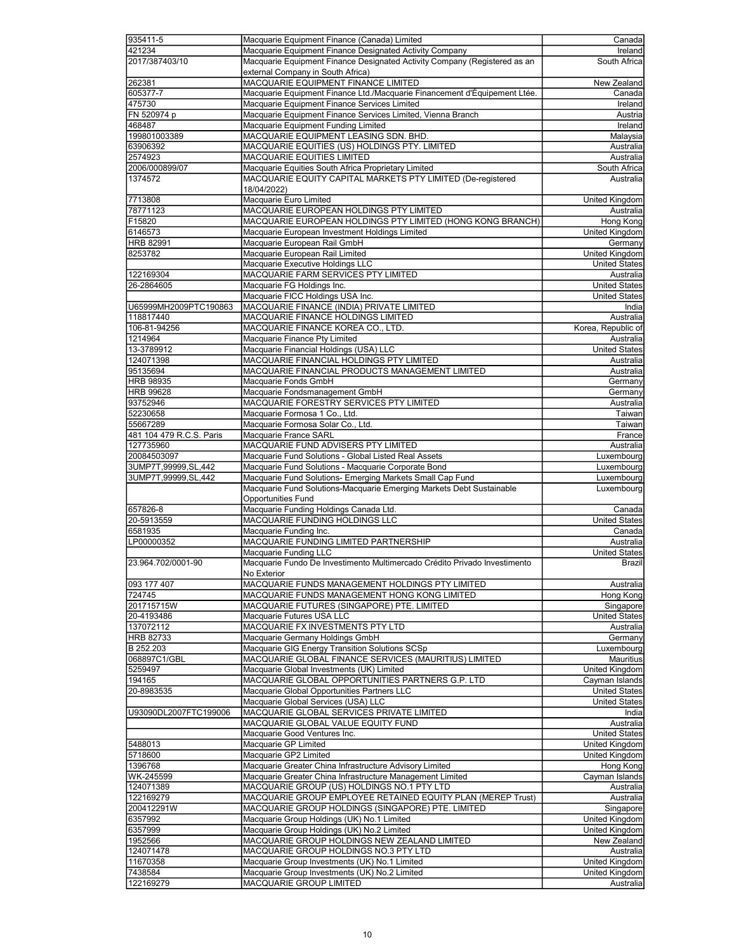| 935411-5                 | Macquarie Equipment Finance (Canada) Limited                              | Canada                      |
|--------------------------|---------------------------------------------------------------------------|-----------------------------|
|                          |                                                                           |                             |
| 421234                   | Macquarie Equipment Finance Designated Activity Company                   | Ireland                     |
| 2017/387403/10           | Macquarie Equipment Finance Designated Activity Company (Registered as an | South Africa                |
|                          | external Company in South Africa)                                         |                             |
|                          |                                                                           |                             |
| 262381                   | MACQUARIE EQUIPMENT FINANCE LIMITED                                       | New Zealand                 |
| 605377-7                 | Macquarie Equipment Finance Ltd./Macquarie Financement d'Équipement Ltée. | Canada                      |
|                          |                                                                           |                             |
| 475730                   | Macquarie Equipment Finance Services Limited                              | Ireland                     |
| FN 520974 p              | Macquarie Equipment Finance Services Limited, Vienna Branch               | Austria                     |
| 468487                   | Macquarie Equipment Funding Limited                                       |                             |
|                          |                                                                           | Ireland                     |
| 199801003389             | MACQUARIE EQUIPMENT LEASING SDN. BHD.                                     | Malaysia                    |
| 63906392                 | MACQUARIE EQUITIES (US) HOLDINGS PTY. LIMITED                             | Australia                   |
|                          |                                                                           |                             |
| 2574923                  | MACQUARIE EQUITIES LIMITED                                                | Australia                   |
| 2006/000899/07           | Macquarie Equities South Africa Proprietary Limited                       | South Africa                |
|                          |                                                                           |                             |
| 1374572                  | MACQUARIE EQUITY CAPITAL MARKETS PTY LIMITED (De-registered               | Australia                   |
|                          | 18/04/2022)                                                               |                             |
| 7713808                  | Macquarie Euro Limited                                                    | <b>United Kingdom</b>       |
|                          |                                                                           |                             |
| 78771123                 | MACQUARIE EUROPEAN HOLDINGS PTY LIMITED                                   | Australia                   |
| F15820                   | MACQUARIE EUROPEAN HOLDINGS PTY LIMITED (HONG KONG BRANCH)                | Hong Kong                   |
|                          |                                                                           |                             |
| 6146573                  | Macquarie European Investment Holdings Limited                            | United Kingdom              |
| <b>HRB 82991</b>         | Macquarie European Rail GmbH                                              | Germany                     |
|                          |                                                                           |                             |
| 8253782                  | Macquarie European Rail Limited                                           | <b>United Kingdom</b>       |
|                          | Macquarie Executive Holdings LLC                                          | <b>United States</b>        |
|                          |                                                                           |                             |
| 122169304                | MACQUARIE FARM SERVICES PTY LIMITED                                       | Australia                   |
| 26-2864605               | Macquarie FG Holdings Inc.                                                | <b>United States</b>        |
|                          | Macquarie FICC Holdings USA Inc.                                          |                             |
|                          |                                                                           | <b>United States</b>        |
| U65999MH2009PTC190863    | MACQUARIE FINANCE (INDIA) PRIVATE LIMITED                                 | India                       |
| 118817440                | MACQUARIE FINANCE HOLDINGS LIMITED                                        | Australia                   |
|                          |                                                                           |                             |
| 106-81-94256             | MACQUARIE FINANCE KOREA CO., LTD.                                         | Korea, Republic of          |
| 1214964                  | Macquarie Finance Pty Limited                                             | Australia                   |
|                          |                                                                           |                             |
| 13-3789912               | Macquarie Financial Holdings (USA) LLC                                    | <b>United States</b>        |
| 124071398                | MACQUARIE FINANCIAL HOLDINGS PTY LIMITED                                  | Australia                   |
|                          |                                                                           |                             |
| 95135694                 | MACQUARIE FINANCIAL PRODUCTS MANAGEMENT LIMITED                           | Australia                   |
| HRB 98935                | Macquarie Fonds GmbH                                                      | Germany                     |
|                          |                                                                           |                             |
| <b>HRB 99628</b>         | Macquarie Fondsmanagement GmbH                                            | Germany                     |
| 93752946                 | MACQUARIE FORESTRY SERVICES PTY LIMITED                                   | Australia                   |
|                          |                                                                           |                             |
| 52230658                 | Macquarie Formosa 1 Co., Ltd.                                             | Taiwan                      |
| 55667289                 | Macquarie Formosa Solar Co., Ltd.                                         | Taiwan                      |
|                          |                                                                           |                             |
| 481 104 479 R.C.S. Paris | Macquarie France SARL                                                     | France                      |
| 127735960                | MACQUARIE FUND ADVISERS PTY LIMITED                                       | Australia                   |
|                          |                                                                           |                             |
| 20084503097              | Macquarie Fund Solutions - Global Listed Real Assets                      | Luxembourg                  |
|                          |                                                                           |                             |
|                          |                                                                           |                             |
| 3UMP7T,99999,SL,442      | Macquarie Fund Solutions - Macquarie Corporate Bond                       | Luxembourg                  |
| 3UMP7T,99999,SL,442      | Macquarie Fund Solutions- Emerging Markets Small Cap Fund                 | Luxembourg                  |
|                          | Macquarie Fund Solutions-Macquarie Emerging Markets Debt Sustainable      | Luxembourg                  |
|                          |                                                                           |                             |
|                          | <b>Opportunities Fund</b>                                                 |                             |
| 657826-8                 | Macquarie Funding Holdings Canada Ltd.                                    | Canada                      |
|                          |                                                                           |                             |
| 20-5913559               | MACQUARIE FUNDING HOLDINGS LLC                                            | <b>United States</b>        |
| 6581935                  | Macquarie Funding Inc.                                                    | Canada                      |
|                          |                                                                           |                             |
| LP00000352               | MACQUARIE FUNDING LIMITED PARTNERSHIP                                     | Australia                   |
|                          | Macquarie Funding LLC                                                     | <b>United States</b>        |
|                          |                                                                           |                             |
| 23.964.702/0001-90       | Macquarie Fundo De Investimento Multimercado Crédito Privado Investimento | Brazil                      |
|                          | No Exterior                                                               |                             |
|                          | MACQUARIE FUNDS MANAGEMENT HOLDINGS PTY LIMITED                           | Australia                   |
| 093 177 407              |                                                                           |                             |
| 724745                   | MACQUARIE FUNDS MANAGEMENT HONG KONG LIMITED                              | Hong Kong                   |
| 201715715W               | MACQUARIE FUTURES (SINGAPORE) PTE. LIMITED                                | Singapore                   |
|                          |                                                                           |                             |
| 20-4193486               | Macquarie Futures USA LLC                                                 | <b>United States</b>        |
| 137072112                | MACQUARIE FX INVESTMENTS PTY LTD                                          | Australia                   |
|                          |                                                                           |                             |
| HRB 82733                | Macquarie Germany Holdings GmbH                                           | Germany                     |
| B 252.203                | Macquarie GIG Energy Transition Solutions SCSp                            | Luxembourg                  |
| 068897C1/GBL             | MACQUARIE GLOBAL FINANCE SERVICES (MAURITIUS) LIMITED                     | Mauritius                   |
|                          |                                                                           |                             |
| 5259497                  | Macquarie Global Investments (UK) Limited                                 | United Kingdom              |
| 194165                   | MACQUARIE GLOBAL OPPORTUNITIES PARTNERS G.P. LTD                          | Cayman Islands              |
|                          |                                                                           |                             |
| 20-8983535               | Macquarie Global Opportunities Partners LLC                               | <b>United States</b>        |
|                          | Macquarie Global Services (USA) LLC                                       | <b>United States</b>        |
|                          |                                                                           |                             |
| U93090DL2007FTC199006    | MACQUARIE GLOBAL SERVICES PRIVATE LIMITED                                 | India                       |
|                          | MACQUARIE GLOBAL VALUE EQUITY FUND                                        | Australia                   |
|                          |                                                                           |                             |
|                          | Macquarie Good Ventures Inc.                                              | <b>United States</b>        |
| 5488013                  | Macquarie GP Limited                                                      | United Kingdom              |
|                          |                                                                           |                             |
| 5718600                  | Macquarie GP2 Limited                                                     | United Kingdom              |
| 1396768                  | Macquarie Greater China Infrastructure Advisory Limited                   | Hong Kong                   |
| WK-245599                | Macquarie Greater China Infrastructure Management Limited                 | Cayman Islands              |
|                          |                                                                           |                             |
| 124071389                | MACQUARIE GROUP (US) HOLDINGS NO.1 PTY LTD                                | Australia                   |
|                          |                                                                           |                             |
| 122169279                | MACQUARIE GROUP EMPLOYEE RETAINED EQUITY PLAN (MEREP Trust)               | Australia                   |
| 200412291W               | MACQUARIE GROUP HOLDINGS (SINGAPORE) PTE. LIMITED                         | Singapore                   |
| 6357992                  | Macquarie Group Holdings (UK) No.1 Limited                                | United Kingdom              |
|                          |                                                                           |                             |
| 6357999                  | Macquarie Group Holdings (UK) No.2 Limited                                | United Kingdom              |
| 1952566                  |                                                                           | New Zealand                 |
|                          | MACQUARIE GROUP HOLDINGS NEW ZEALAND LIMITED                              |                             |
| 124071478                | MACQUARIE GROUP HOLDINGS NO.3 PTY LTD                                     | Australia                   |
| 11670358                 | Macquarie Group Investments (UK) No.1 Limited                             | United Kingdom              |
|                          |                                                                           |                             |
| 7438584<br>122169279     | Macquarie Group Investments (UK) No.2 Limited<br>MACQUARIE GROUP LIMITED  | United Kingdom<br>Australia |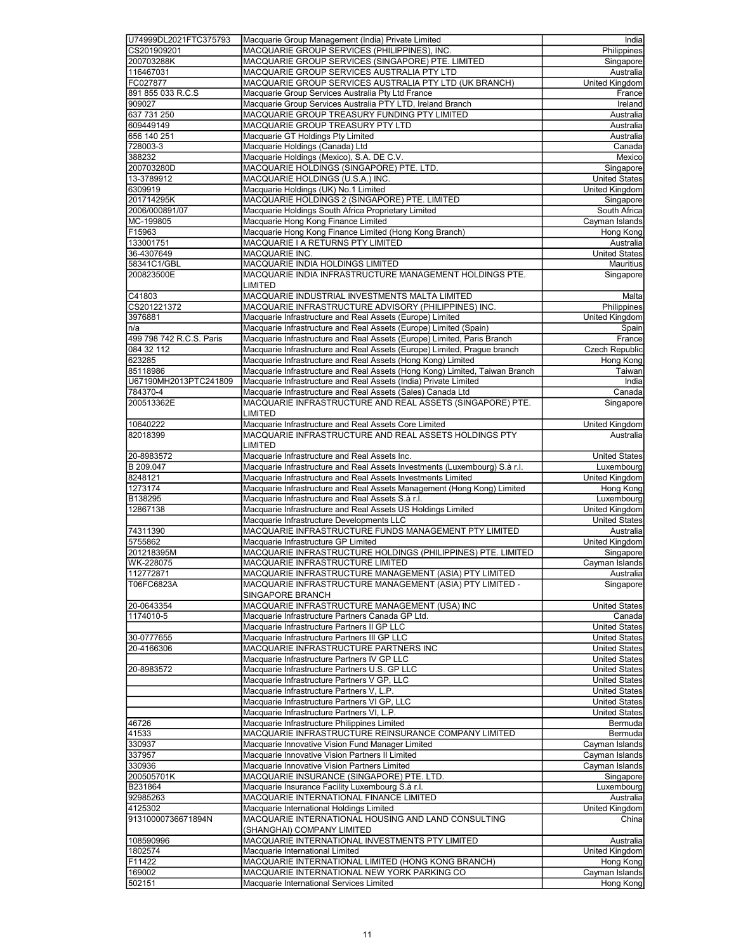| U74999DL2021FTC375793    | Macquarie Group Management (India) Private Limited                                                | India                 |
|--------------------------|---------------------------------------------------------------------------------------------------|-----------------------|
| CS201909201              | MACQUARIE GROUP SERVICES (PHILIPPINES), INC.                                                      | Philippines           |
| 200703288K               | MACQUARIE GROUP SERVICES (SINGAPORE) PTE. LIMITED                                                 | Singapore             |
| 116467031                | MACQUARIE GROUP SERVICES AUSTRALIA PTY LTD                                                        | Australia             |
| FC027877                 | MACQUARIE GROUP SERVICES AUSTRALIA PTY LTD (UK BRANCH)                                            | United Kingdom        |
| 891 855 033 R.C.S        | Macquarie Group Services Australia Pty Ltd France                                                 | France                |
| 909027                   | Macquarie Group Services Australia PTY LTD, Ireland Branch                                        | Ireland               |
| 637 731 250              | MACQUARIE GROUP TREASURY FUNDING PTY LIMITED                                                      | Australia             |
| 609449149                | MACQUARIE GROUP TREASURY PTY LTD                                                                  | Australia             |
| 656 140 251              | Macquarie GT Holdings Pty Limited                                                                 | Australia             |
| 728003-3                 | Macquarie Holdings (Canada) Ltd                                                                   | Canada                |
|                          | Macquarie Holdings (Mexico), S.A. DE C.V.                                                         |                       |
| 388232                   |                                                                                                   | Mexico                |
| 200703280D               | MACQUARIE HOLDINGS (SINGAPORE) PTE. LTD.                                                          | Singapore             |
| 13-3789912               | MACQUARIE HOLDINGS (U.S.A.) INC.                                                                  | <b>United States</b>  |
| 6309919                  | Macquarie Holdings (UK) No.1 Limited                                                              | United Kingdom        |
| 201714295K               | MACQUARIE HOLDINGS 2 (SINGAPORE) PTE. LIMITED                                                     | Singapore             |
| 2006/000891/07           | Macquarie Holdings South Africa Proprietary Limited                                               | South Africa          |
| MC-199805                | Macquarie Hong Kong Finance Limited                                                               | Cayman Islands        |
| F15963                   | Macquarie Hong Kong Finance Limited (Hong Kong Branch)                                            | Hong Kong             |
| 133001751                | MACQUARIE I A RETURNS PTY LIMITED                                                                 | Australia             |
| 36-4307649               | MACQUARIE INC.                                                                                    | <b>United States</b>  |
| 58341C1/GBL              | MACQUARIE INDIA HOLDINGS LIMITED                                                                  | Mauritius             |
| 200823500E               | MACQUARIE INDIA INFRASTRUCTURE MANAGEMENT HOLDINGS PTE.                                           | Singapore             |
|                          | <b>LIMITED</b>                                                                                    |                       |
| C41803                   | MACQUARIE INDUSTRIAL INVESTMENTS MALTA LIMITED                                                    | Malta                 |
| CS201221372              | MACQUARIE INFRASTRUCTURE ADVISORY (PHILIPPINES) INC.                                              | Philippines           |
| 3976881                  | Macquarie Infrastructure and Real Assets (Europe) Limited                                         | United Kingdom        |
| n/a                      | Macquarie Infrastructure and Real Assets (Europe) Limited (Spain)                                 | Spain                 |
| 499 798 742 R.C.S. Paris | Macquarie Infrastructure and Real Assets (Europe) Limited, Paris Branch                           | France                |
| 084 32 112               | Macquarie Infrastructure and Real Assets (Europe) Limited, Prague branch                          | Czech Republic        |
| 623285                   | Macquarie Infrastructure and Real Assets (Hong Kong) Limited                                      | Hong Kong             |
| 85118986                 | Macquarie Infrastructure and Real Assets (Hong Kong) Limited, Taiwan Branch                       | Taiwan                |
| U67190MH2013PTC241809    | Macquarie Infrastructure and Real Assets (India) Private Limited                                  | India                 |
| 784370-4                 | Macquarie Infrastructure and Real Assets (Sales) Canada Ltd                                       | Canada                |
| 200513362E               | MACQUARIE INFRASTRUCTURE AND REAL ASSETS (SINGAPORE) PTE.                                         | Singapore             |
|                          |                                                                                                   |                       |
|                          | <b>LIMITED</b>                                                                                    |                       |
| 10640222                 | Macquarie Infrastructure and Real Assets Core Limited                                             | United Kingdom        |
| 82018399                 | MACQUARIE INFRASTRUCTURE AND REAL ASSETS HOLDINGS PTY                                             | Australia             |
|                          | LIMITED                                                                                           |                       |
| 20-8983572               | Macquarie Infrastructure and Real Assets Inc.                                                     | <b>United States</b>  |
| B 209.047                | Macquarie Infrastructure and Real Assets Investments (Luxembourg) S.à r.l.                        | Luxembourg            |
| 8248121                  | Macquarie Infrastructure and Real Assets Investments Limited                                      | United Kingdom        |
| 1273174                  | Macquarie Infrastructure and Real Assets Management (Hong Kong) Limited                           | Hong Kong             |
| B138295                  | Macquarie Infrastructure and Real Assets S.à r.l.                                                 | Luxembourg            |
| 12867138                 | Macquarie Infrastructure and Real Assets US Holdings Limited                                      | <b>United Kingdom</b> |
|                          | Macquarie Infrastructure Developments LLC                                                         | <b>United States</b>  |
| 74311390                 | MACQUARIE INFRASTRUCTURE FUNDS MANAGEMENT PTY LIMITED                                             | Australia             |
| 5755862                  | Macquarie Infrastructure GP Limited                                                               | <b>United Kingdom</b> |
| 201218395M               | MACQUARIE INFRASTRUCTURE HOLDINGS (PHILIPPINES) PTE. LIMITED                                      | Singapore             |
| WK-228075                | MACQUARIE INFRASTRUCTURE LIMITED                                                                  | Cayman Islands        |
| 112772871                | MACQUARIE INFRASTRUCTURE MANAGEMENT (ASIA) PTY LIMITED                                            | Australia             |
| T06FC6823A               | MACQUARIE INFRASTRUCTURE MANAGEMENT (ASIA) PTY LIMITED -                                          | Singapore             |
|                          | SINGAPORE BRANCH                                                                                  |                       |
| 20-0643354               | MACQUARIE INFRASTRUCTURE MANAGEMENT (USA) INC                                                     | <b>United States</b>  |
| 1174010-5                | Macquarie Infrastructure Partners Canada GP Ltd.                                                  | Canada                |
|                          | Macquarie Infrastructure Partners II GP LLC                                                       | United States         |
| 30-0777655               | Macquarie Infrastructure Partners III GP LLC                                                      |                       |
| 20-4166306               |                                                                                                   | <b>United States</b>  |
|                          | MACQUARIE INFRASTRUCTURE PARTNERS INC                                                             | <b>United States</b>  |
|                          | Macquarie Infrastructure Partners IV GP LLC                                                       | <b>United States</b>  |
| 20-8983572               | Macquarie Infrastructure Partners U.S. GP LLC                                                     | <b>United States</b>  |
|                          | Macquarie Infrastructure Partners V GP, LLC                                                       | <b>United States</b>  |
|                          | Macquarie Infrastructure Partners V, L.P.                                                         | <b>United States</b>  |
|                          | Macquarie Infrastructure Partners VI GP, LLC                                                      | <b>United States</b>  |
|                          | Macquarie Infrastructure Partners VI, L.P.                                                        | <b>United States</b>  |
| 46726                    | Macquarie Infrastructure Philippines Limited                                                      | Bermuda               |
| 41533                    | MACQUARIE INFRASTRUCTURE REINSURANCE COMPANY LIMITED                                              | Bermuda               |
| 330937                   | Macquarie Innovative Vision Fund Manager Limited                                                  | Cayman Islands        |
| 337957                   | Macquarie Innovative Vision Partners II Limited                                                   | Cayman Islands        |
| 330936                   | Macquarie Innovative Vision Partners Limited                                                      | Cayman Islands        |
| 200505701K               | MACQUARIE INSURANCE (SINGAPORE) PTE. LTD.                                                         | Singapore             |
| B231864                  | Macquarie Insurance Facility Luxembourg S.à r.l.                                                  | Luxembourg            |
| 92985263                 | MACQUARIE INTERNATIONAL FINANCE LIMITED                                                           | Australia             |
| 4125302                  | Macquarie International Holdings Limited                                                          | United Kingdom        |
| 91310000736671894N       | MACQUARIE INTERNATIONAL HOUSING AND LAND CONSULTING                                               | China                 |
|                          | (SHANGHAI) COMPANY LIMITED                                                                        |                       |
| 108590996                | MACQUARIE INTERNATIONAL INVESTMENTS PTY LIMITED                                                   | Australia             |
| 1802574                  | Macquarie International Limited                                                                   | United Kingdom        |
| F11422                   |                                                                                                   | Hong Kong             |
| 169002                   | MACQUARIE INTERNATIONAL LIMITED (HONG KONG BRANCH)<br>MACQUARIE INTERNATIONAL NEW YORK PARKING CO | Cayman Islands        |
| 502151                   |                                                                                                   |                       |
|                          | Macquarie International Services Limited                                                          | Hong Kong             |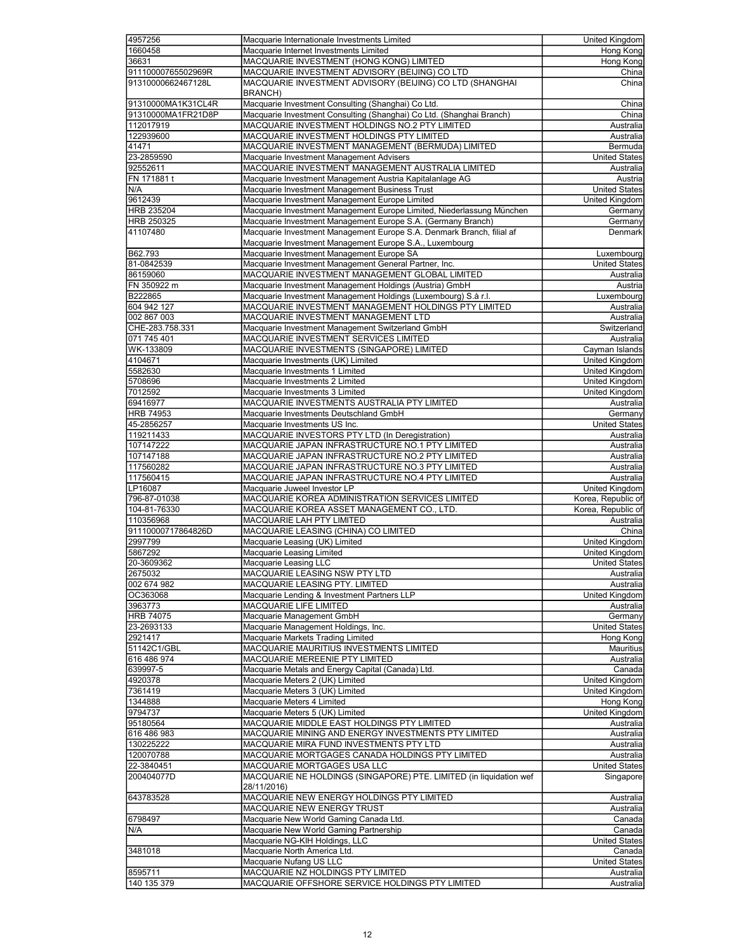| 4957256            | Macquarie Internationale Investments Limited                          | United Kingdom        |
|--------------------|-----------------------------------------------------------------------|-----------------------|
| 1660458            | Macquarie Internet Investments Limited                                | Hong Kong             |
|                    |                                                                       |                       |
| 36631              | MACQUARIE INVESTMENT (HONG KONG) LIMITED                              | <b>Hong Kong</b>      |
| 91110000765502969R | MACQUARIE INVESTMENT ADVISORY (BEIJING) CO LTD                        | China                 |
| 91310000662467128L | MACQUARIE INVESTMENT ADVISORY (BEIJING) CO LTD (SHANGHAI              | China                 |
|                    | <b>BRANCH)</b>                                                        |                       |
| 91310000MA1K31CL4R | Macquarie Investment Consulting (Shanghai) Co Ltd.                    | China                 |
| 91310000MA1FR21D8P | Macquarie Investment Consulting (Shanghai) Co Ltd. (Shanghai Branch)  | China                 |
| 112017919          | MACQUARIE INVESTMENT HOLDINGS NO.2 PTY LIMITED                        | Australia             |
| 122939600          | MACQUARIE INVESTMENT HOLDINGS PTY LIMITED                             | Australia             |
|                    |                                                                       |                       |
| 41471              | MACQUARIE INVESTMENT MANAGEMENT (BERMUDA) LIMITED                     | Bermuda               |
| 23-2859590         | Macquarie Investment Management Advisers                              | <b>United States</b>  |
| 92552611           | MACQUARIE INVESTMENT MANAGEMENT AUSTRALIA LIMITED                     | Australia             |
| FN 171881 t        | Macquarie Investment Management Austria Kapitalanlage AG              | Austria               |
| N/A                | Macquarie Investment Management Business Trust                        | <b>United States</b>  |
| 9612439            | Macquarie Investment Management Europe Limited                        | United Kingdom        |
|                    |                                                                       |                       |
| HRB 235204         | Macquarie Investment Management Europe Limited, Niederlassung München | Germany               |
| HRB 250325         | Macquarie Investment Management Europe S.A. (Germany Branch)          | Germany               |
| 41107480           | Macquarie Investment Management Europe S.A. Denmark Branch, filial af | Denmark               |
|                    | Macquarie Investment Management Europe S.A., Luxembourg               |                       |
| B62.793            | Macquarie Investment Management Europe SA                             | Luxembourg            |
| 81-0842539         | Macquarie Investment Management General Partner, Inc.                 | <b>United States</b>  |
| 86159060           | MACQUARIE INVESTMENT MANAGEMENT GLOBAL LIMITED                        | Australia             |
| FN 350922 m        |                                                                       |                       |
|                    | Macquarie Investment Management Holdings (Austria) GmbH               | Austria               |
| B222865            | Macquarie Investment Management Holdings (Luxembourg) S.à r.l.        | Luxembourg            |
| 604 942 127        | MACQUARIE INVESTMENT MANAGEMENT HOLDINGS PTY LIMITED                  | Australia             |
| 002 867 003        | MACQUARIE INVESTMENT MANAGEMENT LTD                                   | Australia             |
| CHE-283.758.331    | Macquarie Investment Management Switzerland GmbH                      | Switzerland           |
| 071 745 401        | MACQUARIE INVESTMENT SERVICES LIMITED                                 | Australia             |
| WK-133809          | MACQUARIE INVESTMENTS (SINGAPORE) LIMITED                             |                       |
|                    |                                                                       | Cayman Islands        |
| 4104671            | Macquarie Investments (UK) Limited                                    | United Kingdom        |
| 5582630            | Macquarie Investments 1 Limited                                       | United Kingdom        |
| 5708696            | Macquarie Investments 2 Limited                                       | United Kingdom        |
| 7012592            | Macquarie Investments 3 Limited                                       | United Kingdom        |
| 69416977           | MACQUARIE INVESTMENTS AUSTRALIA PTY LIMITED                           | Australia             |
| <b>HRB 74953</b>   | Macquarie Investments Deutschland GmbH                                | Germany               |
|                    |                                                                       |                       |
| 45-2856257         | Macquarie Investments US Inc.                                         | <b>United States</b>  |
| 119211433          | MACQUARIE INVESTORS PTY LTD (In Deregistration)                       | Australia             |
| 107147222          | MACQUARIE JAPAN INFRASTRUCTURE NO.1 PTY LIMITED                       | Australia             |
| 107147188          | MACQUARIE JAPAN INFRASTRUCTURE NO.2 PTY LIMITED                       | Australia             |
| 117560282          | MACQUARIE JAPAN INFRASTRUCTURE NO.3 PTY LIMITED                       | Australia             |
| 117560415          | MACQUARIE JAPAN INFRASTRUCTURE NO.4 PTY LIMITED                       | Australia             |
|                    |                                                                       |                       |
| LP16087            | Macquarie Juweel Investor LP                                          | United Kingdom        |
| 796-87-01038       | MACQUARIE KOREA ADMINISTRATION SERVICES LIMITED                       | Korea, Republic of    |
| 104-81-76330       | MACQUARIE KOREA ASSET MANAGEMENT CO., LTD.                            | Korea, Republic of    |
| 110356968          | MACQUARIE LAH PTY LIMITED                                             | Australia             |
| 91110000717864826D | MACQUARIE LEASING (CHINA) CO LIMITED                                  | China                 |
| 2997799            | Macquarie Leasing (UK) Limited                                        |                       |
|                    |                                                                       |                       |
|                    |                                                                       | <b>United Kingdom</b> |
| 5867292            | Macquarie Leasing Limited                                             | United Kingdom        |
| 20-3609362         | Macquarie Leasing LLC                                                 | <b>United States</b>  |
| 2675032            | MACQUARIE LEASING NSW PTY LTD                                         | Australia             |
| 002 674 982        | MACQUARIE LEASING PTY. LIMITED                                        | Australia             |
| OC363068           | Macquarie Lending & Investment Partners LLP                           | United Kingdom        |
|                    |                                                                       |                       |
| 3963773            | MACQUARIE LIFE LIMITED                                                | Australia             |
| <b>HRB 74075</b>   | Macquarie Management GmbH                                             | Germany               |
| 23-2693133         | Macquarie Management Holdings, Inc.                                   | <b>United States</b>  |
| 2921417            | Macquarie Markets Trading Limited                                     | Hong Kong             |
| 51142C1/GBL        | MACQUARIE MAURITIUS INVESTMENTS LIMITED                               | Mauritius             |
| 616 486 974        | MACQUARIE MEREENIE PTY LIMITED                                        | Australia             |
| 639997-5           | Macquarie Metals and Energy Capital (Canada) Ltd.                     | Canada                |
|                    | Macquarie Meters 2 (UK) Limited                                       |                       |
| 4920378            |                                                                       | United Kingdom        |
| 7361419            | Macquarie Meters 3 (UK) Limited                                       | United Kingdom        |
| 1344888            | Macquarie Meters 4 Limited                                            | Hong Kong             |
| 9794737            | Macquarie Meters 5 (UK) Limited                                       | United Kingdom        |
| 95180564           | MACQUARIE MIDDLE EAST HOLDINGS PTY LIMITED                            | Australia             |
| 616 486 983        | MACQUARIE MINING AND ENERGY INVESTMENTS PTY LIMITED                   | Australia             |
| 130225222          | MACQUARIE MIRA FUND INVESTMENTS PTY LTD                               | Australia             |
|                    |                                                                       |                       |
| 120070788          | MACQUARIE MORTGAGES CANADA HOLDINGS PTY LIMITED                       | <b>Australia</b>      |
| 22-3840451         | MACQUARIE MORTGAGES USA LLC                                           | <b>United States</b>  |
| 200404077D         | MACQUARIE NE HOLDINGS (SINGAPORE) PTE. LIMITED (in liquidation wef    | Singapore             |
|                    | 28/11/2016)                                                           |                       |
| 643783528          | MACQUARIE NEW ENERGY HOLDINGS PTY LIMITED                             | Australia             |
|                    | MACQUARIE NEW ENERGY TRUST                                            | Australia             |
| 6798497            |                                                                       |                       |
|                    | Macquarie New World Gaming Canada Ltd.                                | Canada                |
| N/A                | Macquarie New World Gaming Partnership                                | Canada                |
|                    | Macquarie NG-KIH Holdings, LLC                                        | <b>United States</b>  |
| 3481018            | Macquarie North America Ltd.                                          | Canada                |
|                    | Macquarie Nufang US LLC                                               | <b>United States</b>  |
| 8595711            | MACQUARIE NZ HOLDINGS PTY LIMITED                                     | Australia             |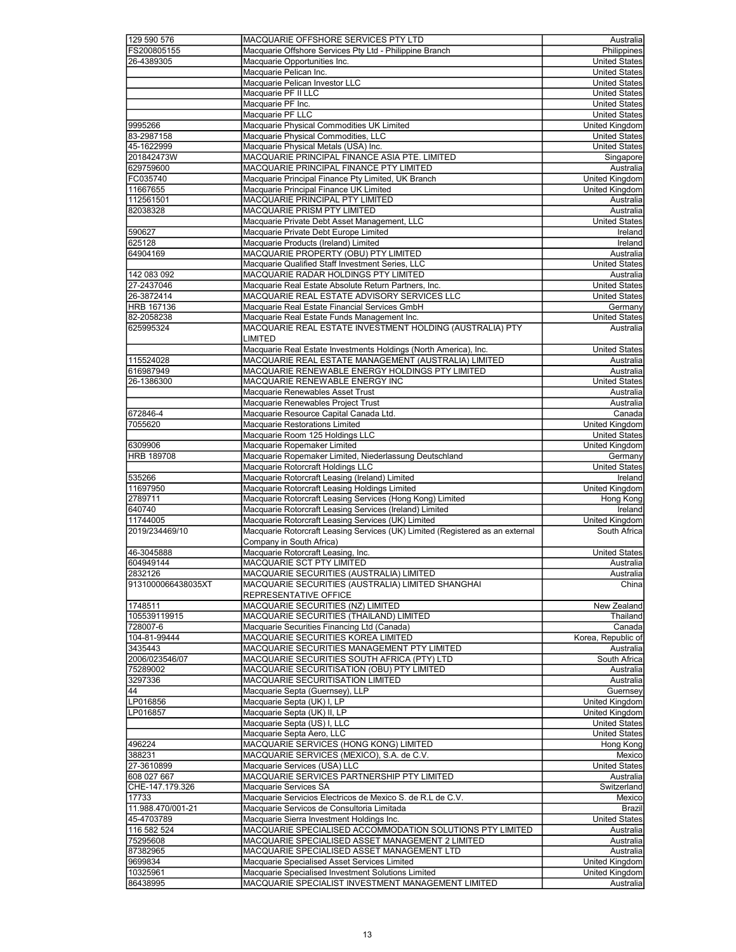| 129 590 576          | MACQUARIE OFFSHORE SERVICES PTY LTD                                                                      | Australia                   |
|----------------------|----------------------------------------------------------------------------------------------------------|-----------------------------|
|                      |                                                                                                          |                             |
| FS200805155          | Macquarie Offshore Services Pty Ltd - Philippine Branch                                                  | Philippines                 |
| 26-4389305           | Macquarie Opportunities Inc.                                                                             | <b>United States</b>        |
|                      |                                                                                                          |                             |
|                      | Macquarie Pelican Inc.                                                                                   | <b>United States</b>        |
|                      | Macquarie Pelican Investor LLC                                                                           | <b>United States</b>        |
|                      | Macquarie PF II LLC                                                                                      | <b>United States</b>        |
|                      |                                                                                                          |                             |
|                      | Macquarie PF Inc.                                                                                        | <b>United States</b>        |
|                      | Macquarie PF LLC                                                                                         | <b>United States</b>        |
|                      |                                                                                                          |                             |
| 9995266              | Macquarie Physical Commodities UK Limited                                                                | United Kingdom              |
| 83-2987158           | Macquarie Physical Commodities, LLC                                                                      | <b>United States</b>        |
| 45-1622999           | Macquarie Physical Metals (USA) Inc.                                                                     | <b>United States</b>        |
|                      |                                                                                                          |                             |
| 201842473W           | MACQUARIE PRINCIPAL FINANCE ASIA PTE. LIMITED                                                            | Singapore                   |
| 629759600            | MACQUARIE PRINCIPAL FINANCE PTY LIMITED                                                                  | Australia                   |
|                      |                                                                                                          |                             |
| FC035740             | Macquarie Principal Finance Pty Limited, UK Branch                                                       | <b>United Kingdom</b>       |
| 11667655             | Macquarie Principal Finance UK Limited                                                                   | <b>United Kingdom</b>       |
| 112561501            |                                                                                                          |                             |
|                      | MACQUARIE PRINCIPAL PTY LIMITED                                                                          | Australia                   |
| 82038328             | MACQUARIE PRISM PTY LIMITED                                                                              | Australia                   |
|                      | Macquarie Private Debt Asset Management, LLC                                                             | <b>United States</b>        |
|                      |                                                                                                          |                             |
| 590627               | Macquarie Private Debt Europe Limited                                                                    | Ireland                     |
| 625128               | Macquarie Products (Ireland) Limited                                                                     | Ireland                     |
|                      |                                                                                                          |                             |
| 64904169             | MACQUARIE PROPERTY (OBU) PTY LIMITED                                                                     | Australia                   |
|                      | Macquarie Qualified Staff Investment Series, LLC                                                         | <b>United States</b>        |
| 142 083 092          |                                                                                                          | Australia                   |
|                      | MACQUARIE RADAR HOLDINGS PTY LIMITED                                                                     |                             |
| 27-2437046           | Macquarie Real Estate Absolute Return Partners, Inc.                                                     | <b>United States</b>        |
| 26-3872414           | MACQUARIE REAL ESTATE ADVISORY SERVICES LLC                                                              | <b>United States</b>        |
|                      |                                                                                                          |                             |
| HRB 167136           | Macquarie Real Estate Financial Services GmbH                                                            | Germany                     |
| 82-2058238           | Macquarie Real Estate Funds Management Inc.                                                              | <b>United States</b>        |
| 625995324            | MACQUARIE REAL ESTATE INVESTMENT HOLDING (AUSTRALIA) PTY                                                 | Australia                   |
|                      |                                                                                                          |                             |
|                      | <b>LIMITED</b>                                                                                           |                             |
|                      | Macquarie Real Estate Investments Holdings (North America), Inc.                                         | <b>United States</b>        |
|                      |                                                                                                          |                             |
| 115524028            | MACQUARIE REAL ESTATE MANAGEMENT (AUSTRALIA) LIMITED                                                     | Australia                   |
| 616987949            | MACQUARIE RENEWABLE ENERGY HOLDINGS PTY LIMITED                                                          | Australia                   |
|                      |                                                                                                          |                             |
| 26-1386300           | MACQUARIE RENEWABLE ENERGY INC                                                                           | <b>United States</b>        |
|                      | Macquarie Renewables Asset Trust                                                                         | Australia                   |
|                      | Macquarie Renewables Project Trust                                                                       | Australia                   |
|                      |                                                                                                          |                             |
| 672846-4             | Macquarie Resource Capital Canada Ltd.                                                                   | Canada                      |
| 7055620              | Macquarie Restorations Limited                                                                           | United Kingdom              |
|                      |                                                                                                          |                             |
|                      | Macquarie Room 125 Holdings LLC                                                                          | <b>United States</b>        |
| 6309906              | Macquarie Ropemaker Limited                                                                              | United Kingdom              |
| <b>HRB 189708</b>    |                                                                                                          |                             |
|                      | Macquarie Ropemaker Limited, Niederlassung Deutschland                                                   | Germany                     |
|                      |                                                                                                          |                             |
|                      |                                                                                                          |                             |
|                      | Macquarie Rotorcraft Holdings LLC                                                                        | <b>United States</b>        |
| 535266               | Macquarie Rotorcraft Leasing (Ireland) Limited                                                           | Ireland                     |
| 11697950             | Macquarie Rotorcraft Leasing Holdings Limited                                                            | United Kingdom              |
|                      |                                                                                                          |                             |
| 2789711              | Macquarie Rotorcraft Leasing Services (Hong Kong) Limited                                                | Hong Kong                   |
| 640740               | Macquarie Rotorcraft Leasing Services (Ireland) Limited                                                  | Ireland                     |
| 11744005             |                                                                                                          |                             |
|                      | Macquarie Rotorcraft Leasing Services (UK) Limited                                                       | United Kingdom              |
| 2019/234469/10       | Macquarie Rotorcraft Leasing Services (UK) Limited (Registered as an external                            | South Africa                |
|                      | Company in South Africa)                                                                                 |                             |
|                      |                                                                                                          |                             |
| 46-3045888           | Macquarie Rotorcraft Leasing, Inc.                                                                       | United States               |
| 604949144            | MACQUARIE SCT PTY LIMITED                                                                                | Australia                   |
|                      |                                                                                                          |                             |
| 2832126              | MACQUARIE SECURITIES (AUSTRALIA) LIMITED                                                                 | Australia                   |
| 9131000066438035XT   | MACQUARIE SECURITIES (AUSTRALIA) LIMITED SHANGHAI                                                        | China                       |
|                      | REPRESENTATIVE OFFICE                                                                                    |                             |
|                      |                                                                                                          |                             |
| 1748511              | MACQUARIE SECURITIES (NZ) LIMITED                                                                        | New Zealand                 |
| 105539119915         | MACQUARIE SECURITIES (THAILAND) LIMITED                                                                  | Thailand                    |
|                      |                                                                                                          |                             |
| 728007-6             | Macquarie Securities Financing Ltd (Canada)                                                              | Canada                      |
| 104-81-99444         | MACQUARIE SECURITIES KOREA LIMITED                                                                       | Korea, Republic of          |
| 3435443              | MACQUARIE SECURITIES MANAGEMENT PTY LIMITED                                                              | Australia                   |
|                      |                                                                                                          |                             |
| 2006/023546/07       | MACQUARIE SECURITIES SOUTH AFRICA (PTY) LTD                                                              | South Africa                |
| 75289002             | MACQUARIE SECURITISATION (OBU) PTY LIMITED                                                               | Australia                   |
| 3297336              | MACQUARIE SECURITISATION LIMITED                                                                         | Australia                   |
|                      |                                                                                                          |                             |
| 44                   | Macquarie Septa (Guernsey), LLP                                                                          | Guernsey                    |
|                      | Macquarie Septa (UK) I, LP                                                                               | <b>United Kingdom</b>       |
| LP016856             |                                                                                                          |                             |
| LP016857             | Macquarie Septa (UK) II, LP                                                                              | United Kingdom              |
|                      | Macquarie Septa (US) I, LLC                                                                              | <b>United States</b>        |
|                      | Macquarie Septa Aero, LLC                                                                                | <b>United States</b>        |
|                      |                                                                                                          |                             |
| 496224               | MACQUARIE SERVICES (HONG KONG) LIMITED                                                                   | Hong Kong                   |
| 388231               | MACQUARIE SERVICES (MEXICO), S.A. de C.V.                                                                | Mexico                      |
|                      |                                                                                                          |                             |
| 27-3610899           | Macquarie Services (USA) LLC                                                                             | <b>United States</b>        |
| 608 027 667          | MACQUARIE SERVICES PARTNERSHIP PTY LIMITED                                                               | Australia                   |
|                      | Macquarie Services SA                                                                                    |                             |
| CHE-147.179.326      |                                                                                                          | Switzerland                 |
| 17733                | Macquarie Servicios Electricos de Mexico S. de R.L de C.V.                                               | Mexico                      |
| 11.988.470/001-21    | Macquarie Servicos de Consultoria Limitada                                                               | Brazil                      |
|                      |                                                                                                          |                             |
| 45-4703789           | Macquarie Sierra Investment Holdings Inc.                                                                | <b>United States</b>        |
| 116 582 524          | MACQUARIE SPECIALISED ACCOMMODATION SOLUTIONS PTY LIMITED                                                | Australia                   |
|                      |                                                                                                          |                             |
| 75295608             | MACQUARIE SPECIALISED ASSET MANAGEMENT 2 LIMITED                                                         | Australia                   |
| 87382965             | MACQUARIE SPECIALISED ASSET MANAGEMENT LTD                                                               | Australia                   |
|                      |                                                                                                          |                             |
| 9699834              | Macquarie Specialised Asset Services Limited                                                             | United Kingdom              |
| 10325961<br>86438995 | Macquarie Specialised Investment Solutions Limited<br>MACQUARIE SPECIALIST INVESTMENT MANAGEMENT LIMITED | United Kingdom<br>Australia |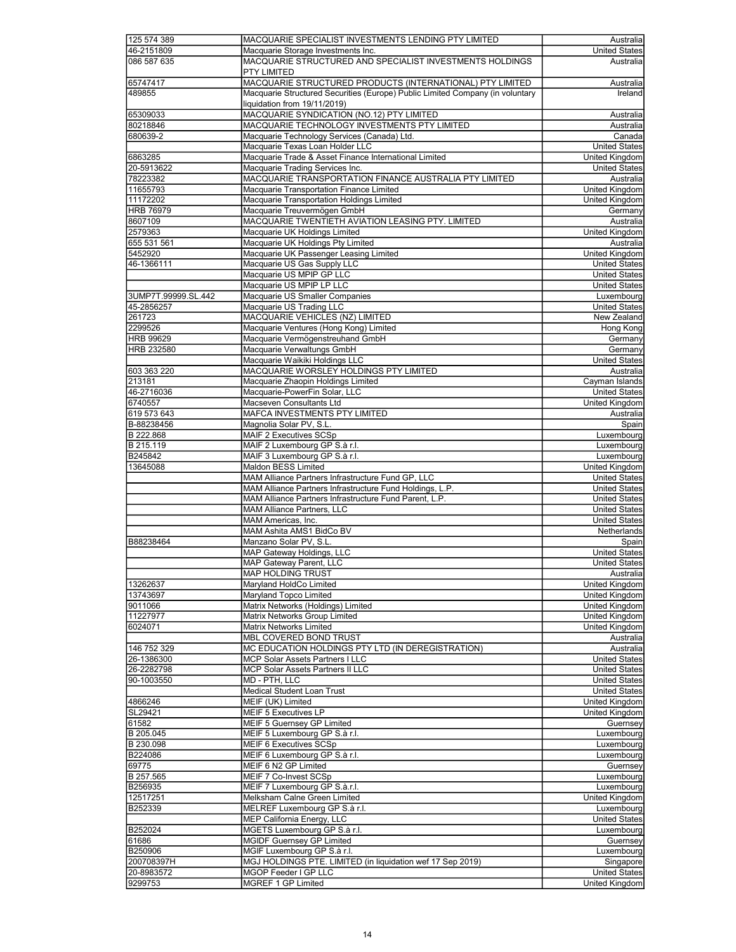| 125 574 389         | MACQUARIE SPECIALIST INVESTMENTS LENDING PTY LIMITED                          | Australia             |
|---------------------|-------------------------------------------------------------------------------|-----------------------|
| 46-2151809          | Macquarie Storage Investments Inc.                                            | <b>United States</b>  |
| 086 587 635         | MACQUARIE STRUCTURED AND SPECIALIST INVESTMENTS HOLDINGS                      | Australia             |
|                     | <b>PTY LIMITED</b>                                                            |                       |
| 65747417            | MACQUARIE STRUCTURED PRODUCTS (INTERNATIONAL) PTY LIMITED                     | Australia             |
| 489855              | Macquarie Structured Securities (Europe) Public Limited Company (in voluntary | Ireland               |
|                     | liquidation from 19/11/2019)                                                  |                       |
|                     |                                                                               |                       |
| 65309033            | MACQUARIE SYNDICATION (NO.12) PTY LIMITED                                     | Australia             |
| 80218846            | MACQUARIE TECHNOLOGY INVESTMENTS PTY LIMITED                                  | Australia             |
| 680639-2            | Macquarie Technology Services (Canada) Ltd.                                   | Canada                |
|                     | Macquarie Texas Loan Holder LLC                                               | <b>United States</b>  |
| 6863285             | Macquarie Trade & Asset Finance International Limited                         | <b>United Kingdom</b> |
| 20-5913622          | Macquarie Trading Services Inc.                                               | <b>United States</b>  |
| 78223382            | MACQUARIE TRANSPORTATION FINANCE AUSTRALIA PTY LIMITED                        | Australia             |
| 11655793            | Macquarie Transportation Finance Limited                                      | United Kingdom        |
| 11172202            | Macquarie Transportation Holdings Limited                                     | <b>United Kingdom</b> |
| <b>HRB 76979</b>    | Macquarie Treuvermögen GmbH                                                   | Germany               |
|                     |                                                                               |                       |
| 8607109             | MACQUARIE TWENTIETH AVIATION LEASING PTY. LIMITED                             | Australia             |
| 2579363             | Macquarie UK Holdings Limited                                                 | United Kingdom        |
| 655 531 561         | Macquarie UK Holdings Pty Limited                                             | Australia             |
| 5452920             | Macquarie UK Passenger Leasing Limited                                        | <b>United Kingdom</b> |
| 46-1366111          | Macquarie US Gas Supply LLC                                                   | <b>United States</b>  |
|                     | Macquarie US MPIP GP LLC                                                      | <b>United States</b>  |
|                     | Macquarie US MPIP LP LLC                                                      | <b>United States</b>  |
| 3UMP7T.99999.SL.442 | Macquarie US Smaller Companies                                                | Luxembourg            |
| 45-2856257          | Macquarie US Trading LLC                                                      | <b>United States</b>  |
| 261723              | MACQUARIE VEHICLES (NZ) LIMITED                                               | New Zealand           |
| 2299526             | Macquarie Ventures (Hong Kong) Limited                                        | Hong Kong             |
| <b>HRB 99629</b>    | Macquarie Vermögenstreuhand GmbH                                              | Germany               |
|                     |                                                                               |                       |
| HRB 232580          | Macquarie Verwaltungs GmbH                                                    | Germany               |
|                     | Macquarie Waikiki Holdings LLC                                                | <b>United States</b>  |
| 603 363 220         | MACQUARIE WORSLEY HOLDINGS PTY LIMITED                                        | Australia             |
| 213181              | Macquarie Zhaopin Holdings Limited                                            | Cayman Islands        |
| 46-2716036          | Macquarie-PowerFin Solar, LLC                                                 | <b>United States</b>  |
| 6740557             | Macseven Consultants Ltd                                                      | <b>United Kingdom</b> |
| 619 573 643         | MAFCA INVESTMENTS PTY LIMITED                                                 | Australia             |
| B-88238456          | Magnolia Solar PV, S.L.                                                       | Spain                 |
| B 222.868           | MAIF 2 Executives SCSp                                                        | Luxembourg            |
| B 215.119           | MAIF 2 Luxembourg GP S.à r.l.                                                 | Luxembourg            |
|                     |                                                                               |                       |
| B245842             | MAIF 3 Luxembourg GP S.à r.l.                                                 | Luxembourg            |
| 13645088            | Maldon BESS Limited                                                           | United Kingdom        |
|                     | MAM Alliance Partners Infrastructure Fund GP, LLC                             | <b>United States</b>  |
|                     | MAM Alliance Partners Infrastructure Fund Holdings, L.P.                      | <b>United States</b>  |
|                     | MAM Alliance Partners Infrastructure Fund Parent, L.P.                        | <b>United States</b>  |
|                     | MAM Alliance Partners, LLC                                                    | <b>United States</b>  |
|                     | MAM Americas. Inc.                                                            | <b>United States</b>  |
|                     | MAM Ashita AMS1 BidCo BV                                                      | Netherlands           |
| B88238464           | Manzano Solar PV, S.L.                                                        | Spain                 |
|                     | MAP Gateway Holdings, LLC                                                     | <b>United States</b>  |
|                     | MAP Gateway Parent, LLC                                                       | <b>United States</b>  |
|                     | <b>MAP HOLDING TRUST</b>                                                      |                       |
|                     |                                                                               | Australia             |
| 13262637            | Maryland HoldCo Limited                                                       | United Kingdom        |
| 13743697            | Maryland Topco Limited                                                        | United Kingdom        |
| 9011066             | Matrix Networks (Holdings) Limited                                            | United Kingdom        |
| 11227977            | Matrix Networks Group Limited                                                 | United Kingdom        |
| 6024071             | Matrix Networks Limited                                                       | United Kingdom        |
|                     | MBL COVERED BOND TRUST                                                        | Australia             |
| 146 752 329         | MC EDUCATION HOLDINGS PTY LTD (IN DEREGISTRATION)                             | Australia             |
| 26-1386300          | MCP Solar Assets Partners I LLC                                               | <b>United States</b>  |
| 26-2282798          | MCP Solar Assets Partners II LLC                                              | <b>United States</b>  |
| 90-1003550          | MD - PTH, LLC                                                                 | <b>United States</b>  |
|                     | Medical Student Loan Trust                                                    | <b>United States</b>  |
|                     |                                                                               |                       |
| 4866246             | MEIF (UK) Limited                                                             | United Kingdom        |
| SL29421             | MEIF 5 Executives LP                                                          | United Kingdom        |
| 61582               | <b>MEIF 5 Guernsey GP Limited</b>                                             | Guernsey              |
| B 205.045           | MEIF 5 Luxembourg GP S.à r.l.                                                 | Luxembourg            |
| B 230.098           | MEIF 6 Executives SCSp                                                        | Luxembourg            |
| B224086             | MEIF 6 Luxembourg GP S.à r.l.                                                 | Luxembourg            |
| 69775               | MEIF 6 N2 GP Limited                                                          | Guernsey              |
| B 257.565           | MEIF 7 Co-Invest SCSp                                                         | Luxembourg            |
| B256935             | MEIF 7 Luxembourg GP S.à.r.l.                                                 | Luxembourg            |
| 12517251            | Melksham Calne Green Limited                                                  | United Kingdom        |
| B252339             | MELREF Luxembourg GP S.à r.l.                                                 | Luxembourg            |
|                     | MEP California Energy, LLC                                                    | <b>United States</b>  |
| B252024             | MGETS Luxembourg GP S.à r.l.                                                  | Luxembourg            |
|                     |                                                                               |                       |
| 61686               | MGIDF Guernsey GP Limited                                                     | Guernsey              |
| B250906             | MGIF Luxembourg GP S.à r.l.                                                   | Luxembourg            |
| 200708397H          | MGJ HOLDINGS PTE. LIMITED (in liquidation wef 17 Sep 2019)                    | Singapore             |
| 20-8983572          | MGOP Feeder I GP LLC                                                          | <b>United States</b>  |
| 9299753             | MGREF 1 GP Limited                                                            | United Kingdom        |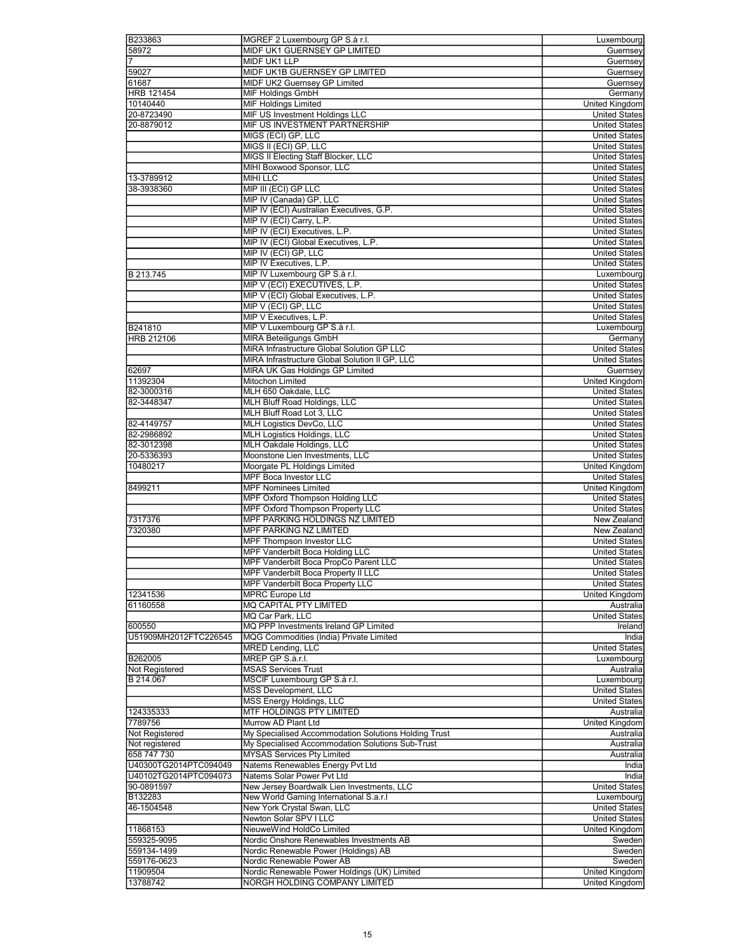| B233863                  | MGREF 2 Luxembourg GP S.à r.l.                                      | Luxembourg              |
|--------------------------|---------------------------------------------------------------------|-------------------------|
| 58972                    | MIDF UK1 GUERNSEY GP LIMITED                                        | Guernsey                |
| 7                        | MIDF UK1 LLP                                                        | Guernsey                |
| 59027                    | MIDF UK1B GUERNSEY GP LIMITED                                       | Guernsey                |
| 61687                    | MIDF UK2 Guernsey GP Limited                                        | Guernsey                |
| <b>HRB 121454</b>        | MIF Holdings GmbH                                                   | Germany                 |
| 10140440                 | <b>MIF Holdings Limited</b>                                         | United Kingdom          |
| 20-8723490               | MIF US Investment Holdings LLC                                      | <b>United States</b>    |
| 20-8879012               | MIF US INVESTMENT PARTNERSHIP                                       | <b>United States</b>    |
|                          | MIGS (ECI) GP, LLC                                                  | <b>United States</b>    |
|                          | MIGS II (ECI) GP, LLC                                               | <b>United States</b>    |
|                          | MIGS II Electing Staff Blocker, LLC                                 | <b>United States</b>    |
|                          | MIHI Boxwood Sponsor, LLC                                           | <b>United States</b>    |
|                          | <b>MIHI LLC</b>                                                     | <b>United States</b>    |
| 13-3789912<br>38-3938360 | MIP III (ECI) GP LLC                                                | <b>United States</b>    |
|                          |                                                                     |                         |
|                          | MIP IV (Canada) GP, LLC<br>MIP IV (ECI) Australian Executives, G.P. | <b>United States</b>    |
|                          |                                                                     | <b>United States</b>    |
|                          | MIP IV (ECI) Carry, L.P.                                            | <b>United States</b>    |
|                          | MIP IV (ECI) Executives, L.P.                                       | <b>United States</b>    |
|                          | MIP IV (ECI) Global Executives, L.P.                                | <b>United States</b>    |
|                          | MIP IV (ECI) GP, LLC                                                | <b>United States</b>    |
|                          | MIP IV Executives, L.P.                                             | <b>United States</b>    |
| B 213.745                | MIP IV Luxembourg GP S.à r.l.                                       | Luxembourg              |
|                          | MIP V (ECI) EXECUTIVES, L.P.                                        | <b>United States</b>    |
|                          | MIP V (ECI) Global Executives, L.P.                                 | <b>United States</b>    |
|                          | MIP V (ECI) GP, LLC                                                 | <b>United States</b>    |
|                          | MIP V Executives, L.P.                                              | <b>United States</b>    |
| B241810                  | MIP V Luxembourg GP S.à r.l.                                        | Luxembourg              |
| HRB 212106               | <b>MIRA Beteiligungs GmbH</b>                                       | Germany                 |
|                          | MIRA Infrastructure Global Solution GP LLC                          | <b>United States</b>    |
|                          | MIRA Infrastructure Global Solution II GP, LLC                      | <b>United States</b>    |
| 62697                    | MIRA UK Gas Holdings GP Limited                                     | Guernsey                |
| 11392304                 | <b>Mitochon Limited</b>                                             | <b>United Kingdom</b>   |
| 82-3000316               | MLH 650 Oakdale, LLC                                                | <b>United States</b>    |
| 82-3448347               | MLH Bluff Road Holdings, LLC                                        | <b>United States</b>    |
|                          | MLH Bluff Road Lot 3, LLC                                           | <b>United States</b>    |
| 82-4149757               | <b>MLH Logistics DevCo, LLC</b>                                     | <b>United States</b>    |
| 82-2986892               | <b>MLH Logistics Holdings, LLC</b>                                  | <b>United States</b>    |
| 82-3012398               | MLH Oakdale Holdings, LLC                                           | <b>United States</b>    |
|                          | Moonstone Lien Investments, LLC                                     |                         |
| 20-5336393               |                                                                     | <b>United States</b>    |
| 10480217                 | Moorgate PL Holdings Limited                                        | <b>United Kingdom</b>   |
|                          | <b>MPF Boca Investor LLC</b>                                        | <b>United States</b>    |
| 8499211                  | <b>MPF Nominees Limited</b>                                         | United Kingdom          |
|                          | MPF Oxford Thompson Holding LLC                                     | <b>United States</b>    |
|                          | MPF Oxford Thompson Property LLC                                    | <b>United States</b>    |
| 7317376                  | MPF PARKING HOLDINGS NZ LIMITED                                     | New Zealand             |
| 7320380                  | MPF PARKING NZ LIMITED                                              | New Zealand             |
|                          | MPF Thompson Investor LLC                                           | <b>United States</b>    |
|                          | <b>MPF Vanderbilt Boca Holding LLC</b>                              | <b>United States</b>    |
|                          | MPF Vanderbilt Boca PropCo Parent LLC                               | <b>United States</b>    |
|                          | MPF Vanderbilt Boca Property II LLC                                 | <b>United States</b>    |
|                          | MPF Vanderbilt Boca Property LLC                                    | <b>United States</b>    |
| 12341536                 | <b>MPRC Europe Ltd</b>                                              | United Kingdom          |
| 61160558                 | MQ CAPITAL PTY LIMITED                                              | Australia               |
|                          | MQ Car Park, LLC                                                    | <b>United States</b>    |
| 600550                   | MQ PPP Investments Ireland GP Limited                               | Ireland                 |
| U51909MH2012FTC226545    | MQG Commodities (India) Private Limited                             | India                   |
|                          | <b>MRED Lending, LLC</b>                                            | <b>United States</b>    |
| B262005                  | MREP GP S.à.r.l.                                                    |                         |
| Not Registered           | <b>MSAS Services Trust</b>                                          | Luxembourg<br>Australia |
|                          |                                                                     |                         |
| B 214.067                | MSCIF Luxembourg GP S.à r.l.                                        | Luxembourg              |
|                          | MSS Development, LLC                                                | <b>United States</b>    |
|                          | MSS Energy Holdings, LLC                                            | <b>United States</b>    |
| 124335333                | MTF HOLDINGS PTY LIMITED                                            | Australia               |
| 7789756                  | Murrow AD Plant Ltd                                                 | United Kingdom          |
| Not Registered           | My Specialised Accommodation Solutions Holding Trust                | Australia               |
| Not registered           | My Specialised Accommodation Solutions Sub-Trust                    | Australia               |
| 658 747 730              | <b>MYSAS Services Pty Limited</b>                                   | Australia               |
| U40300TG2014PTC094049    | Natems Renewables Energy Pvt Ltd                                    | India                   |
| U40102TG2014PTC094073    | Natems Solar Power Pvt Ltd                                          | India                   |
| 90-0891597               | New Jersey Boardwalk Lien Investments, LLC                          | <b>United States</b>    |
| B132283                  | New World Gaming International S.a.r.I                              | Luxembourg              |
| 46-1504548               | New York Crystal Swan, LLC                                          | <b>United States</b>    |
|                          | Newton Solar SPV I LLC                                              | <b>United States</b>    |
| 11868153                 | NieuweWind HoldCo Limited                                           | United Kingdom          |
| 559325-9095              | Nordic Onshore Renewables Investments AB                            | Sweden                  |
| 559134-1499              | Nordic Renewable Power (Holdings) AB                                | Sweden                  |
| 559176-0623              | Nordic Renewable Power AB                                           | Sweden                  |
| 11909504                 | Nordic Renewable Power Holdings (UK) Limited                        | United Kingdom          |
| 13788742                 | NORGH HOLDING COMPANY LIMITED                                       | United Kingdom          |
|                          |                                                                     |                         |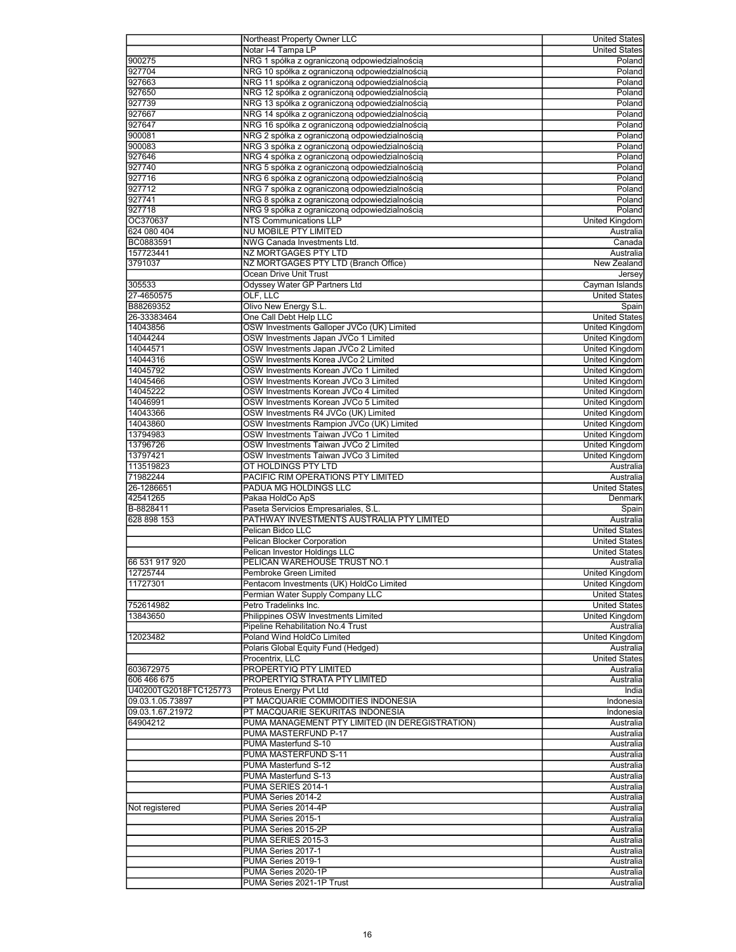|                       | Northeast Property Owner LLC                     | United States          |
|-----------------------|--------------------------------------------------|------------------------|
|                       | Notar I-4 Tampa LP                               | <b>United States</b>   |
| 900275                | NRG 1 spółka z ograniczoną odpowiedzialnością    | Poland                 |
|                       |                                                  |                        |
| 927704                | NRG 10 spółka z ograniczoną odpowiedzialnością   | Poland                 |
| 927663                | NRG 11 spółka z ograniczoną odpowiedzialnością   | Poland                 |
| 927650                | NRG 12 spółka z ograniczoną odpowiedzialnością   | Poland                 |
| 927739                | NRG 13 spółka z ograniczoną odpowiedzialnością   | Poland                 |
| 927667                | NRG 14 spółka z ograniczoną odpowiedzialnością   | Poland                 |
| 927647                | NRG 16 spółka z ograniczoną odpowiedzialnością   | Poland                 |
| 900081                |                                                  |                        |
|                       | NRG 2 spółka z ograniczoną odpowiedzialnością    | Poland                 |
| 900083                | NRG 3 spółka z ograniczoną odpowiedzialnością    | Poland                 |
| 927646                | NRG 4 spółka z ograniczoną odpowiedzialnością    | Poland                 |
| 927740                | NRG 5 spółka z ograniczoną odpowiedzialnością    | Poland                 |
| 927716                | NRG 6 spółka z ograniczoną odpowiedzialnością    | Poland                 |
| 927712                | NRG 7 spółka z ograniczoną odpowiedzialnością    | Poland                 |
| 927741                |                                                  | Poland                 |
|                       | NRG 8 spółka z ograniczoną odpowiedzialnością    |                        |
| 927718                | NRG 9 spółka z ograniczoną odpowiedzialnością    | Poland                 |
| OC370637              | NTS Communications LLP                           | United Kingdom         |
| 624 080 404           | NU MOBILE PTY LIMITED                            | Australia              |
| BC0883591             | NWG Canada Investments Ltd.                      | Canada                 |
| 157723441             | NZ MORTGAGES PTY LTD                             | Australia              |
| 3791037               | NZ MORTGAGES PTY LTD (Branch Office)             | New Zealand            |
|                       |                                                  |                        |
|                       | Ocean Drive Unit Trust                           | Jersey                 |
| 305533                | Odyssey Water GP Partners Ltd                    | Cayman Islands         |
| 27-4650575            | OLF, LLC                                         | <b>United States</b>   |
| B88269352             | Olivo New Energy S.L.                            | Spain                  |
| 26-33383464           | One Call Debt Help LLC                           | <b>United States</b>   |
| 14043856              | OSW Investments Galloper JVCo (UK) Limited       | <b>United Kingdom</b>  |
| 14044244              |                                                  |                        |
|                       | OSW Investments Japan JVCo 1 Limited             | United Kingdom         |
| 14044571              | OSW Investments Japan JVCo 2 Limited             | United Kingdom         |
| 14044316              | OSW Investments Korea JVCo 2 Limited             | United Kingdom         |
| 14045792              | OSW Investments Korean JVCo 1 Limited            | <b>United Kingdom</b>  |
| 14045466              | OSW Investments Korean JVCo 3 Limited            | United Kingdom         |
| 14045222              | OSW Investments Korean JVCo 4 Limited            | <b>United Kingdom</b>  |
| 14046991              | OSW Investments Korean JVCo 5 Limited            | United Kingdom         |
|                       |                                                  |                        |
| 14043366              | OSW Investments R4 JVCo (UK) Limited             | <b>United Kingdom</b>  |
| 14043860              | OSW Investments Rampion JVCo (UK) Limited        | United Kingdom         |
| 13794983              | OSW Investments Taiwan JVCo 1 Limited            | <b>United Kingdom</b>  |
| 13796726              | OSW Investments Taiwan JVCo 2 Limited            | United Kingdom         |
| 13797421              | OSW Investments Taiwan JVCo 3 Limited            | United Kingdom         |
| 113519823             | OT HOLDINGS PTY LTD                              | Australia              |
|                       |                                                  |                        |
| 71982244              | PACIFIC RIM OPERATIONS PTY LIMITED               | Australia              |
| 26-1286651            | PADUA MG HOLDINGS LLC                            | <b>United States</b>   |
| 42541265              | Pakaa HoldCo ApS                                 | Denmark                |
| B-8828411             | Paseta Servicios Empresariales, S.L.             | Spain                  |
| 628 898 153           | PATHWAY INVESTMENTS AUSTRALIA PTY LIMITED        | Australia              |
|                       | Pelican Bidco LLC                                | <b>United States</b>   |
|                       |                                                  | <b>United States</b>   |
|                       | Pelican Blocker Corporation                      |                        |
|                       | Pelican Investor Holdings LLC                    | <b>United States</b>   |
| 66 531 917 920        | PELICAN WAREHOUSE TRUST NO.1                     | Australia              |
| 12725744              | Pembroke Green Limited                           | <b>United Kingdom</b>  |
| 11727301              | Pentacom Investments (UK) HoldCo Limited         | United Kingdom         |
|                       | Permian Water Supply Company LLC                 | <b>United States</b>   |
|                       |                                                  |                        |
| 752614982             | Petro Tradelinks Inc.                            | <b>United States</b>   |
| 13843650              | Philippines OSW Investments Limited              | <b>United Kingdom</b>  |
|                       | Pipeline Rehabilitation No.4 Trust               | Australia              |
| 12023482              | Poland Wind HoldCo Limited                       | <b>United Kingdom</b>  |
|                       | Polaris Global Equity Fund (Hedged)              | Australia              |
|                       | Procentrix, LLC                                  | <b>United States</b>   |
|                       | PROPERTYIQ PTY LIMITED                           |                        |
| 603672975             |                                                  | Australia              |
| 606 466 675           | PROPERTYIQ STRATA PTY LIMITED                    | Australia              |
| U40200TG2018FTC125773 | Proteus Energy Pvt Ltd                           | India                  |
| 09.03.1.05.73897      | PT MACQUARIE COMMODITIES INDONESIA               | Indonesia              |
| 09.03.1.67.21972      | PT MACQUARIE SEKURITAS INDONESIA                 | Indonesia              |
| 64904212              |                                                  |                        |
|                       |                                                  |                        |
|                       | PUMA MANAGEMENT PTY LIMITED (IN DEREGISTRATION)  | Australia              |
|                       | PUMA MASTERFUND P-17                             | Australia              |
|                       | PUMA Masterfund S-10                             | Australia              |
|                       | PUMA MASTERFUND S-11                             | Australia              |
|                       | PUMA Masterfund S-12                             | Australia              |
|                       |                                                  |                        |
|                       | PUMA Masterfund S-13                             | Australia              |
|                       | PUMA SERIES 2014-1                               | Australia              |
|                       | PUMA Series 2014-2                               | Australia              |
| Not registered        | PUMA Series 2014-4P                              | Australia              |
|                       | PUMA Series 2015-1                               | Australia              |
|                       | PUMA Series 2015-2P                              | Australia              |
|                       |                                                  |                        |
|                       | PUMA SERIES 2015-3                               | Australia              |
|                       | PUMA Series 2017-1                               | Australia              |
|                       | PUMA Series 2019-1                               | Australia              |
|                       | PUMA Series 2020-1P<br>PUMA Series 2021-1P Trust | Australia<br>Australia |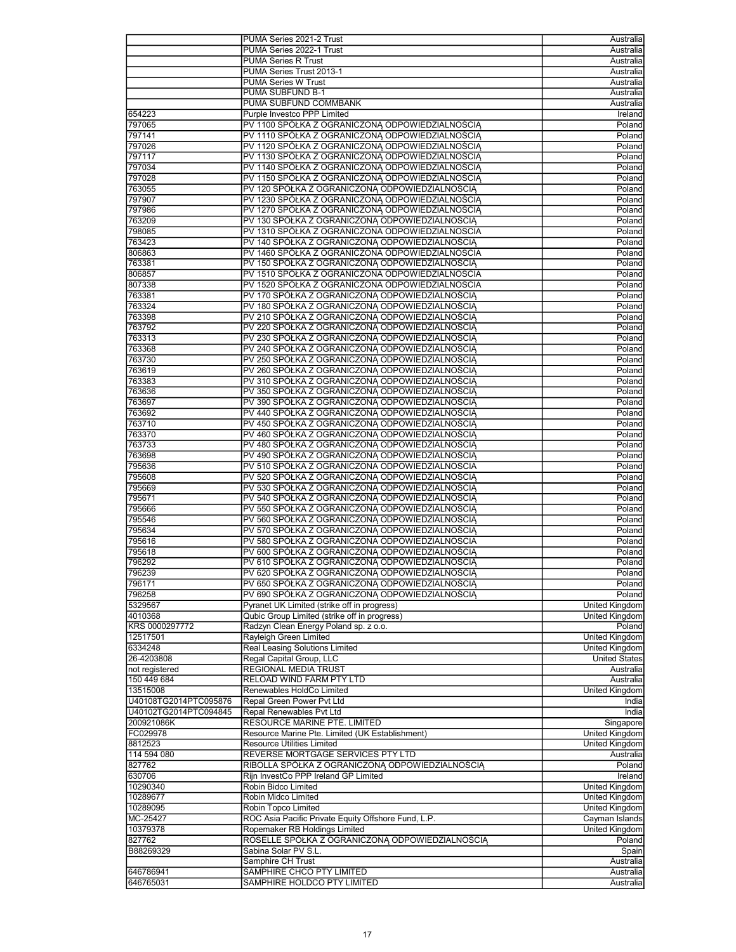|                       | PUMA Series 2021-2 Trust                            | Australia             |
|-----------------------|-----------------------------------------------------|-----------------------|
|                       | PUMA Series 2022-1 Trust                            | Australia             |
|                       |                                                     |                       |
|                       | <b>PUMA Series R Trust</b>                          | Australia             |
|                       | PUMA Series Trust 2013-1                            | Australia             |
|                       | <b>PUMA Series W Trust</b>                          | Australia             |
|                       | PUMA SUBFUND B-1                                    | Australia             |
|                       | PUMA SUBFUND COMMBANK                               | Australia             |
| 654223                | Purple Investco PPP Limited                         | Ireland               |
| 797065                | PV 1100 SPÓŁKA Z OGRANICZONA ODPOWIEDZIALNOŚCIA     | Poland                |
| 797141                | PV 1110 SPÓŁKA Z OGRANICZONA ODPOWIEDZIALNOŚCIA     | Poland                |
| 797026                | PV 1120 SPOŁKA Z OGRANICZONĄ ODPOWIEDZIALNOŚCIĄ     | Poland                |
|                       |                                                     |                       |
| 797117                | PV 1130 SPÓŁKA Z OGRANICZONĄ ODPOWIEDZIALNOŚCIĄ     | Poland                |
| 797034                | PV 1140 SPÓŁKA Z OGRANICZONĄ ODPOWIEDZIALNOŚCIĄ     | Poland                |
| 797028                | PV 1150 SPÓŁKA Z OGRANICZONĄ ODPOWIEDZIALNOŚCIĄ     | Poland                |
| 763055                | PV 120 SPÓŁKA Z OGRANICZONA ODPOWIEDZIALNOŚCIA      | Poland                |
| 797907                | PV 1230 SPÓŁKA Z OGRANICZONĄ ODPOWIEDZIALNOŚCIĄ     | Poland                |
| 797986                | PV 1270 SPOŁKA Z OGRANICZONĄ ODPOWIEDZIALNOŚCIĄ     | Poland                |
| 763209                | PV 130 SPÓŁKA Z OGRANICZONĄ ODPOWIEDZIALNOŚCIĄ      | Poland                |
| 798085                | PV 1310 SPÓŁKA Z OGRANICZONA ODPOWIEDZIALNOSCIA     | Poland                |
| 763423                | PV 140 SPÓŁKA Z OGRANICZONĄ ODPOWIEDZIALNOŚCIĄ      | Poland                |
|                       |                                                     |                       |
| 806863                | PV 1460 SPÓŁKA Z OGRANICZONA ODPOWIEDZIALNOSCIA     | Poland                |
| 763381                | PV 150 SPÓŁKA Z OGRANICZONĄ ODPOWIEDZIALNOŚCIĄ      | Poland                |
| 806857                | PV 1510 SPÓŁKA Z OGRANICZONA ODPOWIEDZIALNOSCIA     | Poland                |
| 807338                | PV 1520 SPÓŁKA Z OGRANICZONA ODPOWIEDZIALNOSCIA     | Poland                |
| 763381                | PV 170 SPÓŁKA Z OGRANICZONA ODPOWIEDZIALNOŚCIA      | Poland                |
| 763324                | PV 180 SPÓŁKA Z OGRANICZONĄ ODPOWIEDZIALNOŚCIĄ      | Poland                |
| 763398                | PV 210 SPÓŁKA Z OGRANICZONĄ ODPOWIEDZIALNOŚCIĄ      | Poland                |
| 763792                | PV 220 SPÓŁKA Z OGRANICZONA ODPOWIEDZIALNOŚCIA      | Poland                |
| 763313                |                                                     | Poland                |
|                       | PV 230 SPÓŁKA Z OGRANICZONĄ ODPOWIEDZIALNOŚCIĄ      |                       |
| 763368                | PV 240 SPÓŁKA Z OGRANICZONĄ ODPOWIEDZIALNOŚCIĄ      | Poland                |
| 763730                | PV 250 SPÓŁKA Z OGRANICZONĄ ODPOWIEDZIALNOŚCIĄ      | Poland                |
| 763619                | PV 260 SPÓŁKA Z OGRANICZONĄ ODPOWIEDZIALNOŚCIĄ      | Poland                |
| 763383                | PV 310 SPÓŁKA Z OGRANICZONA ODPOWIEDZIALNOŚCIA      | Poland                |
| 763636                | PV 350 SPÓŁKA Z OGRANICZONA ODPOWIEDZIALNOŚCIA      | Poland                |
| 763697                | PV 390 SPÓŁKA Z OGRANICZONĄ ODPOWIEDZIALNOŚCIĄ      | Poland                |
| 763692                | PV 440 SPÓŁKA Z OGRANICZONĄ ODPOWIEDZIALNOŚCIĄ      | Poland                |
|                       |                                                     |                       |
| 763710                | PV 450 SPÓŁKA Z OGRANICZONĄ ODPOWIEDZIALNOŚCIĄ      | Poland                |
| 763370                | PV 460 SPÓŁKA Z OGRANICZONĄ ODPOWIEDZIALNOŚCIĄ      | Poland                |
| 763733                | PV 480 SPÓŁKA Z OGRANICZONĄ ODPOWIEDZIALNOŚCIĄ      | Poland                |
| 763698                | PV 490 SPÓŁKA Z OGRANICZONĄ ODPOWIEDZIALNOŚCIĄ      | Poland                |
| 795636                | PV 510 SPÓŁKA Z OGRANICZONA ODPOWIEDZIALNOSCIA      | Poland                |
| 795608                | PV 520 SPÓŁKA Z OGRANICZONA ODPOWIEDZIALNOŚCIA      | Poland                |
| 795669                | PV 530 SPÓŁKA Z OGRANICZONĄ ODPOWIEDZIALNOŚCIĄ      | Poland                |
| 795671                | PV 540 SPÓŁKA Z OGRANICZONĄ ODPOWIEDZIALNOŚCIĄ      | Poland                |
|                       |                                                     |                       |
| 795666                | PV 550 SPÓŁKA Z OGRANICZONĄ ODPOWIEDZIALNOŚCIĄ      | Poland                |
| 795546                | PV 560 SPÓŁKA Z OGRANICZONA ODPOWIEDZIALNOŚCIA      | Poland                |
| 795634                | PV 570 SPÓŁKA Z OGRANICZONĄ ODPOWIEDZIALNOŚCIĄ      | Poland                |
| 795616                | PV 580 SPÓŁKA Z OGRANICZONA ODPOWIEDZIALNOSCIA      | Poland                |
| 795618                | PV 600 SPÓŁKA Z OGRANICZONA ODPOWIEDZIALNOŚCIA      | Poland                |
| 796292                | PV 610 SPÓŁKA Z OGRANICZONĄ ODPOWIEDZIALNOŚCIĄ      | Poland                |
| 796239                | PV 620 SPÓŁKA Z OGRANICZONĄ ODPOWIEDZIALNOŚCIĄ      | Poland                |
| 796171                | PV 650 SPÓŁKA Z OGRANICZONĄ ODPOWIEDZIALNOŚCIĄ      | Poland                |
| 796258                | PV 690 SPÓŁKA Z OGRANICZONĄ ODPOWIEDZIALNOŚCIĄ      | Poland                |
|                       |                                                     |                       |
| 5329567               | Pyranet UK Limited (strike off in progress)         | United Kingdom        |
| 4010368               | Qubic Group Limited (strike off in progress)        | <b>United Kingdom</b> |
| KRS 0000297772        | Radzyn Clean Energy Poland sp. z o.o.               | Poland                |
| 12517501              | Rayleigh Green Limited                              | <b>United Kingdom</b> |
| 6334248               | Real Leasing Solutions Limited                      | United Kingdom        |
| 26-4203808            | Regal Capital Group, LLC                            | <b>United States</b>  |
| not registered        | REGIONAL MEDIA TRUST                                | Australia             |
| 150 449 684           | RELOAD WIND FARM PTY LTD                            | Australia             |
|                       | Renewables HoldCo Limited                           |                       |
| 13515008              |                                                     | United Kingdom        |
| U40108TG2014PTC095876 | Repal Green Power Pvt Ltd                           | India                 |
| U40102TG2014PTC094845 | Repal Renewables Pvt Ltd                            | India                 |
| 200921086K            | RESOURCE MARINE PTE. LIMITED                        | Singapore             |
| FC029978              | Resource Marine Pte. Limited (UK Establishment)     | United Kingdom        |
| 8812523               | Resource Utilities Limited                          | United Kingdom        |
| 114 594 080           | REVERSE MORTGAGE SERVICES PTY LTD                   | Australia             |
| 827762                | RIBOLLA SPÓŁKA Z OGRANICZONĄ ODPOWIEDZIALNOŚCIĄ     | Poland                |
| 630706                | Rijn InvestCo PPP Ireland GP Limited                | Ireland               |
| 10290340              | Robin Bidco Limited                                 | United Kingdom        |
|                       |                                                     |                       |
| 10289677              | Robin Midco Limited                                 | United Kingdom        |
| 10289095              | Robin Topco Limited                                 | United Kingdom        |
| MC-25427              | ROC Asia Pacific Private Equity Offshore Fund, L.P. | Cayman Islands        |
| 10379378              | Ropemaker RB Holdings Limited                       | United Kingdom        |
| 827762                | ROSELLE SPÓŁKA Z OGRANICZONĄ ODPOWIEDZIALNOŚCIĄ     | Poland                |
| B88269329             | Sabina Solar PV S.L.                                | Spain                 |
|                       | Samphire CH Trust                                   | Australia             |
| 646786941             | SAMPHIRE CHCO PTY LIMITED                           | Australia             |
| 646765031             | SAMPHIRE HOLDCO PTY LIMITED                         | Australia             |
|                       |                                                     |                       |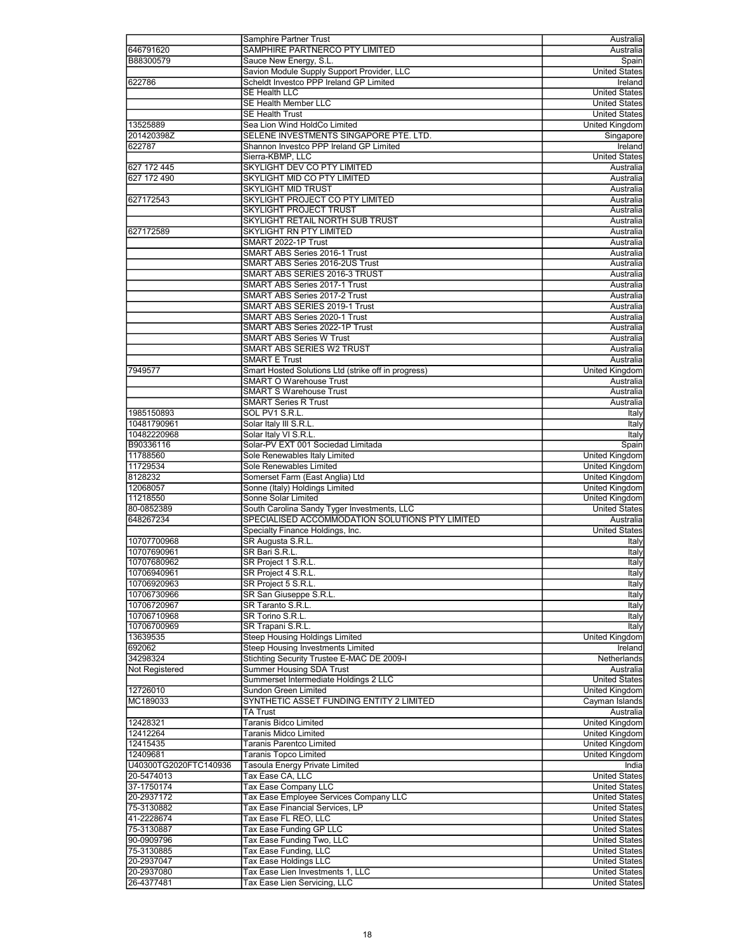|                       | Samphire Partner Trust                              | Australia             |
|-----------------------|-----------------------------------------------------|-----------------------|
| 646791620             | SAMPHIRE PARTNERCO PTY LIMITED                      | Australia             |
| B88300579             | Sauce New Energy, S.L.                              | Spain                 |
|                       | Savion Module Supply Support Provider, LLC          | <b>United States</b>  |
|                       |                                                     |                       |
| 622786                | Scheldt Investco PPP Ireland GP Limited             | Ireland               |
|                       | <b>SE Health LLC</b>                                | <b>United States</b>  |
|                       | <b>SE Health Member LLC</b>                         | <b>United States</b>  |
|                       | <b>SE Health Trust</b>                              | <b>United States</b>  |
| 13525889              | Sea Lion Wind HoldCo Limited                        | United Kingdom        |
| 201420398Z            | SELENE INVESTMENTS SINGAPORE PTE. LTD.              | Singapore             |
| 622787                | Shannon Investco PPP Ireland GP Limited             | Ireland               |
|                       | Sierra-KBMP, LLC                                    | <b>United States</b>  |
| 627 172 445           | SKYLIGHT DEV CO PTY LIMITED                         | Australia             |
|                       |                                                     |                       |
| 627 172 490           | SKYLIGHT MID CO PTY LIMITED                         | Australia             |
|                       | <b>SKYLIGHT MID TRUST</b>                           | Australia             |
| 627172543             | SKYLIGHT PROJECT CO PTY LIMITED                     | Australia             |
|                       | <b>SKYLIGHT PROJECT TRUST</b>                       | Australia             |
|                       | SKYLIGHT RETAIL NORTH SUB TRUST                     | Australia             |
| 627172589             | SKYLIGHT RN PTY LIMITED                             | Australia             |
|                       | SMART 2022-1P Trust                                 | Australia             |
|                       |                                                     |                       |
|                       | SMART ABS Series 2016-1 Trust                       | Australia             |
|                       | SMART ABS Series 2016-2US Trust                     | Australia             |
|                       | SMART ABS SERIES 2016-3 TRUST                       | Australia             |
|                       | SMART ABS Series 2017-1 Trust                       | Australia             |
|                       | <b>SMART ABS Series 2017-2 Trust</b>                | Australia             |
|                       | SMART ABS SERIES 2019-1 Trust                       | Australia             |
|                       | SMART ABS Series 2020-1 Trust                       | Australia             |
|                       | SMART ABS Series 2022-1P Trust                      | Australia             |
|                       | <b>SMART ABS Series W Trust</b>                     |                       |
|                       |                                                     | Australia             |
|                       | <b>SMART ABS SERIES W2 TRUST</b>                    | Australia             |
|                       | <b>SMART E Trust</b>                                | Australia             |
| 7949577               | Smart Hosted Solutions Ltd (strike off in progress) | United Kingdom        |
|                       | <b>SMART O Warehouse Trust</b>                      | Australia             |
|                       | <b>SMART S Warehouse Trust</b>                      | Australia             |
|                       | <b>SMART Series R Trust</b>                         | Australia             |
|                       |                                                     |                       |
| 1985150893            | SOL PV1 S.R.L.                                      | Italy                 |
| 10481790961           | Solar Italy III S.R.L.                              | Italy                 |
| 10482220968           | Solar Italy VI S.R.L.                               | Italy                 |
| B90336116             | Solar-PV EXT 001 Sociedad Limitada                  | Spain                 |
| 11788560              | Sole Renewables Italy Limited                       | <b>United Kingdom</b> |
| 11729534              | Sole Renewables Limited                             | <b>United Kingdom</b> |
| 8128232               | Somerset Farm (East Anglia) Ltd                     | United Kingdom        |
| 12068057              | Sonne (Italy) Holdings Limited                      | <b>United Kingdom</b> |
|                       | <b>Sonne Solar Limited</b>                          |                       |
| 11218550              |                                                     | United Kingdom        |
| 80-0852389            | South Carolina Sandy Tyger Investments, LLC         | <b>United States</b>  |
| 648267234             | SPECIALISED ACCOMMODATION SOLUTIONS PTY LIMITED     | Australia             |
|                       | Specialty Finance Holdings, Inc.                    | <b>United States</b>  |
| 10707700968           | SR Augusta S.R.L.                                   | Italy                 |
| 10707690961           | SR Bari S.R.L.                                      | Italy                 |
| 10707680962           | SR Project 1 S.R.L.                                 | Italy                 |
| 10706940961           | SR Project 4 S.R.L.                                 | Italy                 |
|                       |                                                     |                       |
| 10706920963           | SR Project 5 S.R.L.                                 | Italy                 |
| 10706730966           | SR San Giuseppe S.R.L.                              | Italy                 |
| 10706720967           | SR Taranto S.R.L.                                   | Italy                 |
| 10706710968           | SR Torino S.R.L.                                    | Italy                 |
| 10706700969           | SR Trapani S.R.L.                                   | Italy                 |
| 13639535              | <b>Steep Housing Holdings Limited</b>               | <b>United Kingdom</b> |
| 692062                | <b>Steep Housing Investments Limited</b>            | Ireland               |
| 34298324              | Stichting Security Trustee E-MAC DE 2009-I          | Netherlands           |
|                       |                                                     |                       |
| Not Registered        | <b>Summer Housing SDA Trust</b>                     | Australia             |
|                       | Summerset Intermediate Holdings 2 LLC               | <b>United States</b>  |
| 12726010              | Sundon Green Limited                                | United Kingdom        |
| MC189033              | SYNTHETIC ASSET FUNDING ENTITY 2 LIMITED            | Cayman Islands        |
|                       | TA Trust                                            | Australia             |
| 12428321              | <b>Taranis Bidco Limited</b>                        | <b>United Kingdom</b> |
| 12412264              | Taranis Midco Limited                               | United Kingdom        |
| 12415435              | Taranis Parentco Limited                            | United Kingdom        |
|                       |                                                     | <b>United Kingdom</b> |
| 12409681              | <b>Taranis Topco Limited</b>                        |                       |
| U40300TG2020FTC140936 | Tasoula Energy Private Limited                      | India                 |
| 20-5474013            | Tax Ease CA, LLC                                    | <b>United States</b>  |
| 37-1750174            | Tax Ease Company LLC                                | <b>United States</b>  |
| 20-2937172            | Tax Ease Employee Services Company LLC              | <b>United States</b>  |
| 75-3130882            | Tax Ease Financial Services, LP                     | United States         |
| 41-2228674            | Tax Ease FL REO, LLC                                | <b>United States</b>  |
| 75-3130887            | Tax Ease Funding GP LLC                             | <b>United States</b>  |
|                       |                                                     |                       |
| 90-0909796            | Tax Ease Funding Two, LLC                           | <b>United States</b>  |
| 75-3130885            | Tax Ease Funding, LLC                               | United States         |
| 20-2937047            | Tax Ease Holdings LLC                               | <b>United States</b>  |
| 20-2937080            | Tax Ease Lien Investments 1, LLC                    | <b>United States</b>  |
| 26-4377481            | Tax Ease Lien Servicing, LLC                        | <b>United States</b>  |
|                       |                                                     |                       |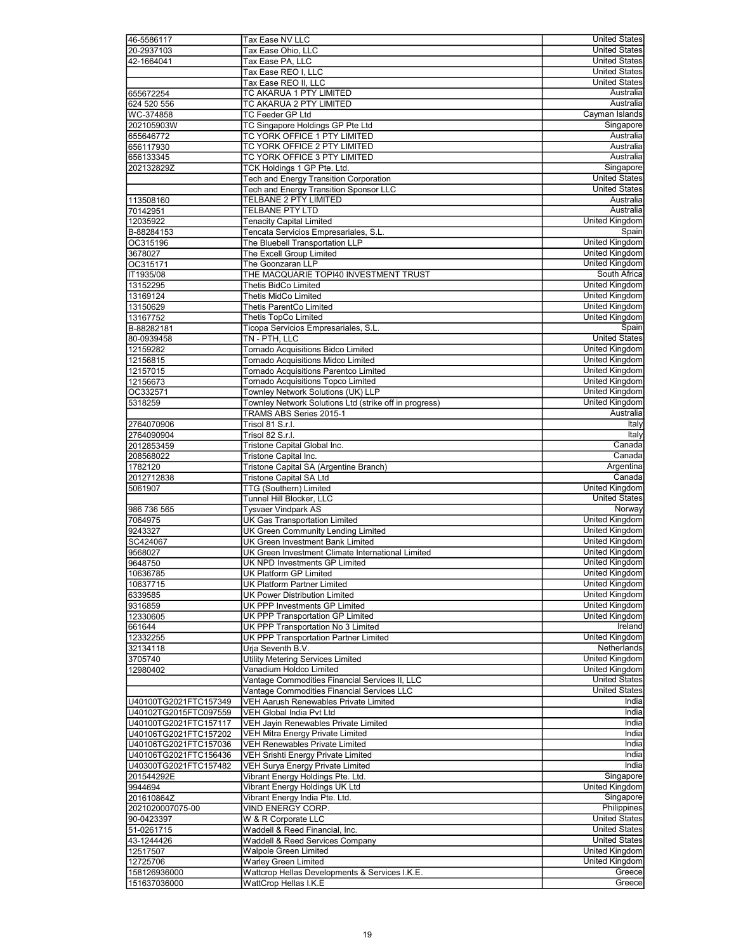| 46-5586117                   | Tax Ease NV LLC                                                         | <b>United States</b>  |
|------------------------------|-------------------------------------------------------------------------|-----------------------|
| 20-2937103                   | Tax Ease Ohio, LLC                                                      | <b>United States</b>  |
| 42-1664041                   |                                                                         | <b>United States</b>  |
|                              | Tax Ease PA, LLC                                                        |                       |
|                              | Tax Ease REO I, LLC                                                     | <b>United States</b>  |
|                              | Tax Ease REO II, LLC                                                    | <b>United States</b>  |
| 655672254                    | TC AKARUA 1 PTY LIMITED                                                 | Australia             |
| 624 520 556                  | TC AKARUA 2 PTY LIMITED                                                 | Australia             |
| WC-374858                    | <b>TC Feeder GP Ltd</b>                                                 | Cayman Islands        |
| 202105903W                   | TC Singapore Holdings GP Pte Ltd                                        | Singapore             |
|                              | TC YORK OFFICE 1 PTY LIMITED                                            | Australia             |
| 655646772                    |                                                                         |                       |
| 656117930                    | TC YORK OFFICE 2 PTY LIMITED                                            | Australia             |
| 656133345                    | TC YORK OFFICE 3 PTY LIMITED                                            | Australia             |
| 202132829Z                   | TCK Holdings 1 GP Pte. Ltd.                                             | Singapore             |
|                              | Tech and Energy Transition Corporation                                  | <b>United States</b>  |
|                              | <b>Tech and Energy Transition Sponsor LLC</b>                           | <b>United States</b>  |
|                              | TELBANE 2 PTY LIMITED                                                   | Australia             |
| 113508160                    |                                                                         |                       |
| 70142951                     | <b>TELBANE PTY LTD</b>                                                  | Australia             |
| 12035922                     | <b>Tenacity Capital Limited</b>                                         | United Kingdom        |
| B-88284153                   | Tencata Servicios Empresariales, S.L.                                   | Spain                 |
| OC315196                     | The Bluebell Transportation LLP                                         | <b>United Kingdom</b> |
| 3678027                      | The Excell Group Limited                                                | United Kingdom        |
| OC315171                     | The Goonzaran LLP                                                       | <b>United Kingdom</b> |
|                              |                                                                         |                       |
| IT1935/08                    | THE MACQUARIE TOPI40 INVESTMENT TRUST                                   | South Africa          |
| 13152295                     | Thetis BidCo Limited                                                    | United Kingdom        |
| 13169124                     | <b>Thetis MidCo Limited</b>                                             | United Kingdom        |
| 13150629                     | Thetis ParentCo Limited                                                 | United Kingdom        |
| 13167752                     | Thetis TopCo Limited                                                    | <b>United Kingdom</b> |
| B-88282181                   | Ticopa Servicios Empresariales, S.L                                     | Spain                 |
|                              |                                                                         |                       |
| 80-0939458                   | TN - PTH, LLC                                                           | <b>United States</b>  |
| 12159282                     | <b>Tornado Acquisitions Bidco Limited</b>                               | United Kingdom        |
| 12156815                     | <b>Tornado Acquisitions Midco Limited</b>                               | <b>United Kingdom</b> |
| 12157015                     | Tornado Acquisitions Parentco Limited                                   | United Kingdom        |
| 12156673                     | <b>Tornado Acquisitions Topco Limited</b>                               | United Kingdom        |
| OC332571                     | Townley Network Solutions (UK) LLP                                      | United Kingdom        |
|                              |                                                                         | United Kingdom        |
| 5318259                      | Townley Network Solutions Ltd (strike off in progress)                  |                       |
|                              | TRAMS ABS Series 2015-1                                                 | Australia             |
| 2764070906                   | Trisol 81 S.r.l.                                                        | Italy                 |
| 2764090904                   | Trisol 82 S.r.l.                                                        | Italy                 |
| 2012853459                   | Tristone Capital Global Inc.                                            | Canada                |
| 208568022                    | Tristone Capital Inc.                                                   | Canada                |
| 1782120                      | Tristone Capital SA (Argentine Branch)                                  | Argentina             |
|                              |                                                                         |                       |
| 2012712838                   | <b>Tristone Capital SA Ltd</b>                                          | Canada                |
| 5061907                      | TTG (Southern) Limited                                                  | <b>United Kingdom</b> |
|                              | Tunnel Hill Blocker, LLC                                                | <b>United States</b>  |
| 986 736 565                  | <b>Tysvaer Vindpark AS</b>                                              | Norway                |
| 7064975                      | UK Gas Transportation Limited                                           | United Kingdom        |
| 9243327                      | UK Green Community Lending Limited                                      | United Kingdom        |
|                              | UK Green Investment Bank Limited                                        | United Kingdom        |
| SC424067                     |                                                                         |                       |
|                              |                                                                         |                       |
| 9568027                      | UK Green Investment Climate International Limited                       | United Kingdom        |
| 9648750                      | UK NPD Investments GP Limited                                           | <b>United Kingdom</b> |
|                              | UK Platform GP Limited                                                  | <b>United Kingdom</b> |
| 10636785                     |                                                                         |                       |
| 10637715                     | UK Platform Partner Limited                                             | United Kingdom        |
| 6339585                      | UK Power Distribution Limited                                           | United Kingdom        |
| 9316859                      | UK PPP Investments GP Limited                                           | United Kingdom        |
| 12330605                     | UK PPP Transportation GP Limited                                        | <b>United Kingdom</b> |
| 661644                       | UK PPP Transportation No 3 Limited                                      | Ireland               |
| 12332255                     | UK PPP Transportation Partner Limited                                   | <b>United Kingdom</b> |
| 32134118                     | Urja Seventh B.V.                                                       | Netherlands           |
|                              |                                                                         |                       |
| 3705740                      | <b>Utility Metering Services Limited</b>                                | United Kingdom        |
| 12980402                     | Vanadium Holdco Limited                                                 | United Kingdom        |
|                              | Vantage Commodities Financial Services II, LLC                          | <b>United States</b>  |
|                              | Vantage Commodities Financial Services LLC                              | <b>United States</b>  |
| U40100TG2021FTC157349        | VEH Aarush Renewables Private Limited                                   | India                 |
| U40102TG2015FTC097559        | VEH Global India Pvt Ltd                                                | India                 |
| U40100TG2021FTC157117        |                                                                         | India                 |
|                              | VEH Jayin Renewables Private Limited                                    |                       |
| U40106TG2021FTC157202        | VEH Mitra Energy Private Limited                                        | India                 |
| U40106TG2021FTC157036        | VEH Renewables Private Limited                                          | India                 |
| U40106TG2021FTC156436        | VEH Srishti Energy Private Limited                                      | India                 |
| U40300TG2021FTC157482        | VEH Surya Energy Private Limited                                        | India                 |
| 201544292E                   | Vibrant Energy Holdings Pte. Ltd.                                       | Singapore             |
| 9944694                      | Vibrant Energy Holdings UK Ltd                                          | United Kingdom        |
|                              |                                                                         |                       |
| 201610864Z                   | Vibrant Energy India Pte. Ltd.                                          | Singapore             |
| 2021020007075-00             | VIND ENERGY CORP.                                                       | Philippines           |
| 90-0423397                   | W & R Corporate LLC                                                     | <b>United States</b>  |
| 51-0261715                   | Waddell & Reed Financial, Inc.                                          | <b>United States</b>  |
| 43-1244426                   | Waddell & Reed Services Company                                         | <b>United States</b>  |
|                              |                                                                         | United Kingdom        |
| 12517507                     | <b>Walpole Green Limited</b>                                            |                       |
| 12725706                     | Warley Green Limited                                                    | United Kingdom        |
| 158126936000<br>151637036000 | Wattcrop Hellas Developments & Services I.K.E.<br>WattCrop Hellas I.K.E | Greece<br>Greece      |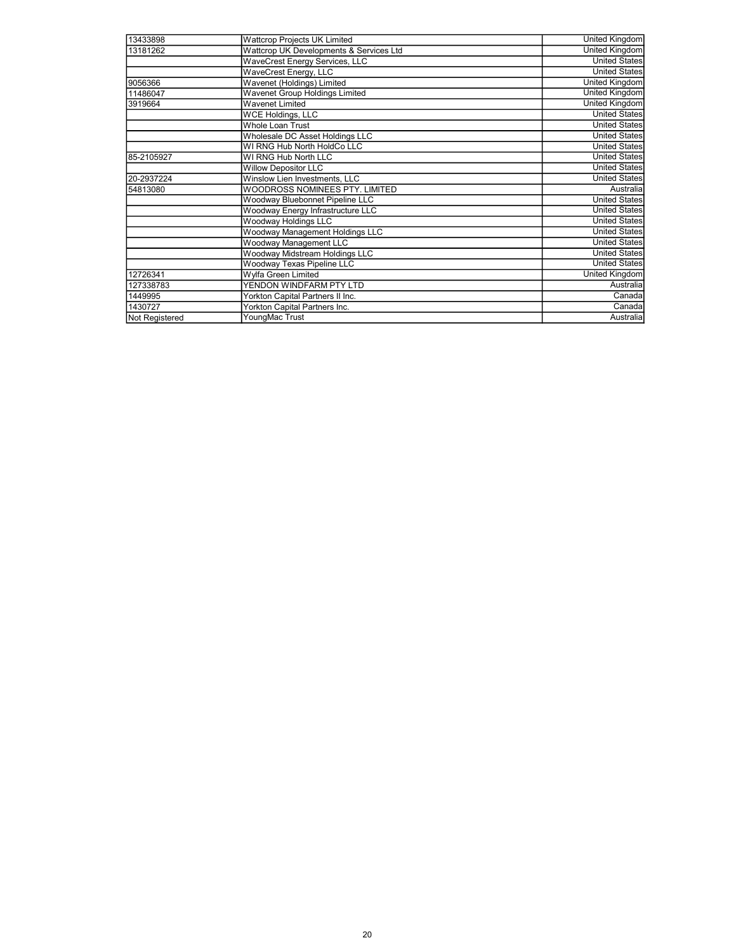| 13433898              | <b>Wattcrop Projects UK Limited</b>     | <b>United Kingdom</b> |
|-----------------------|-----------------------------------------|-----------------------|
| 13181262              | Wattcrop UK Developments & Services Ltd | <b>United Kingdom</b> |
|                       | WaveCrest Energy Services, LLC          | <b>United States</b>  |
|                       | WaveCrest Energy, LLC                   | <b>United States</b>  |
| 9056366               | Wavenet (Holdings) Limited              | <b>United Kingdom</b> |
| 11486047              | Wavenet Group Holdings Limited          | United Kingdom        |
| 3919664               | <b>Wavenet Limited</b>                  | <b>United Kingdom</b> |
|                       | <b>WCE Holdings, LLC</b>                | <b>United States</b>  |
|                       | Whole Loan Trust                        | <b>United States</b>  |
|                       | Wholesale DC Asset Holdings LLC         | <b>United States</b>  |
|                       | WI RNG Hub North HoldCo LLC             | <b>United States</b>  |
| 85-2105927            | WI RNG Hub North LLC                    | <b>United States</b>  |
|                       | <b>Willow Depositor LLC</b>             | <b>United States</b>  |
| 20-2937224            | Winslow Lien Investments, LLC           | <b>United States</b>  |
| 54813080              | WOODROSS NOMINEES PTY. LIMITED          | Australia             |
|                       | Woodway Bluebonnet Pipeline LLC         | <b>United States</b>  |
|                       | Woodway Energy Infrastructure LLC       | <b>United States</b>  |
|                       | Woodway Holdings LLC                    | <b>United States</b>  |
|                       | Woodway Management Holdings LLC         | <b>United States</b>  |
|                       | Woodway Management LLC                  | <b>United States</b>  |
|                       | Woodway Midstream Holdings LLC          | <b>United States</b>  |
|                       | Woodway Texas Pipeline LLC              | <b>United States</b>  |
| 12726341              | Wylfa Green Limited                     | <b>United Kingdom</b> |
| 127338783             | YENDON WINDFARM PTY LTD                 | Australia             |
| 1449995               | Yorkton Capital Partners II Inc.        | Canada                |
| 1430727               | Yorkton Capital Partners Inc.           | Canada                |
| <b>Not Registered</b> | YoungMac Trust                          | Australia             |
|                       |                                         |                       |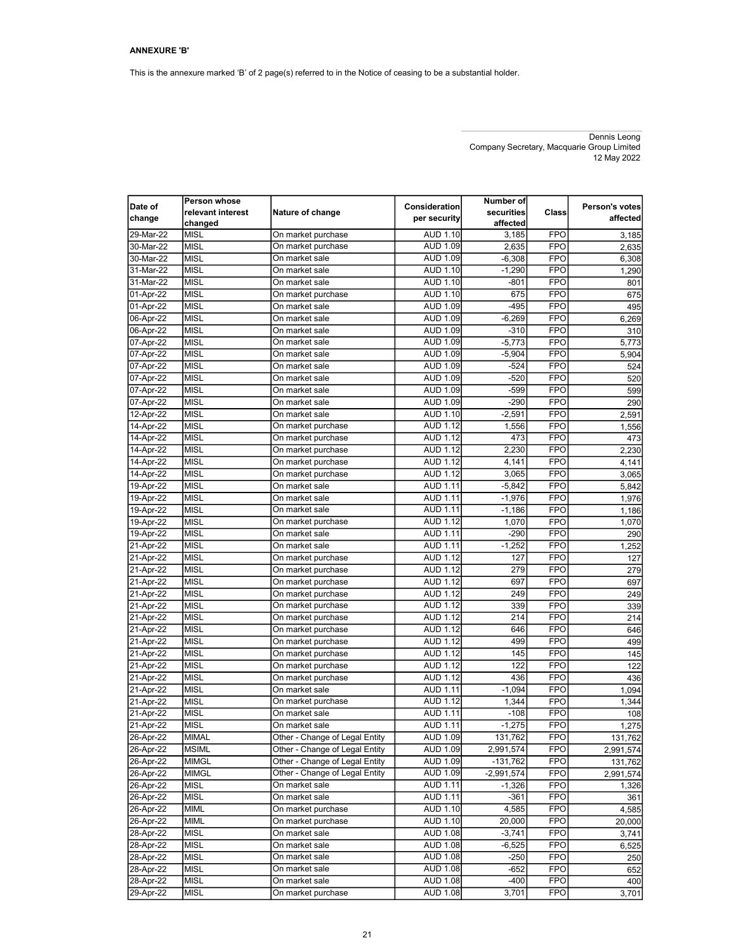This is the annexure marked 'B' of 2 page(s) referred to in the Notice of ceasing to be a substantial holder.

Dennis Leong Company Secretary, Macquarie Group Limited 12 May 2022

| Date of<br>change | <b>Person whose</b><br>relevant interest<br>changed | Nature of change               | Consideration<br>per security | Number of<br>securities<br>affected | Class      | Person's votes<br>affected |
|-------------------|-----------------------------------------------------|--------------------------------|-------------------------------|-------------------------------------|------------|----------------------------|
| 29-Mar-22         | <b>MISL</b>                                         | On market purchase             | AUD 1.10                      | 3,185                               | <b>FPO</b> | 3,185                      |
| 30-Mar-22         | MISL                                                | On market purchase             | <b>AUD 1.09</b>               | 2,635                               | <b>FPO</b> | 2,635                      |
| 30-Mar-22         | <b>MISL</b>                                         | On market sale                 | <b>AUD 1.09</b>               | $-6,308$                            | <b>FPO</b> | 6,308                      |
| 31-Mar-22         | <b>MISL</b>                                         | On market sale                 | AUD 1.10                      | $-1,290$                            | <b>FPO</b> | 1,290                      |
| 31-Mar-22         | MISL                                                | On market sale                 | AUD 1.10                      | -801                                | <b>FPO</b> | 801                        |
| 01-Apr-22         | <b>MISL</b>                                         | On market purchase             | AUD 1.10                      | 675                                 | <b>FPO</b> | 675                        |
| 01-Apr-22         | MISL                                                | On market sale                 | <b>AUD 1.09</b>               | $-495$                              | <b>FPO</b> | 495                        |
| 06-Apr-22         | <b>MISL</b>                                         | On market sale                 | <b>AUD 1.09</b>               | $-6,269$                            | <b>FPO</b> | 6,269                      |
| 06-Apr-22         | <b>MISL</b>                                         | On market sale                 | <b>AUD 1.09</b>               | $-310$                              | <b>FPO</b> | 310                        |
| 07-Apr-22         | <b>MISL</b>                                         | On market sale                 | <b>AUD 1.09</b>               | $-5,773$                            | <b>FPO</b> | 5,773                      |
| 07-Apr-22         | <b>MISL</b>                                         | On market sale                 | <b>AUD 1.09</b>               | $-5,904$                            | <b>FPO</b> | 5,904                      |
| 07-Apr-22         | <b>MISL</b>                                         | On market sale                 | <b>AUD 1.09</b>               | $-524$                              | <b>FPO</b> | 524                        |
| 07-Apr-22         | <b>MISL</b>                                         | On market sale                 | <b>AUD 1.09</b>               | $-520$                              | <b>FPO</b> | 520                        |
| 07-Apr-22         | <b>MISL</b>                                         | On market sale                 | <b>AUD 1.09</b>               | $-599$                              | <b>FPO</b> | 599                        |
| 07-Apr-22         | <b>MISL</b>                                         | On market sale                 | <b>AUD 1.09</b>               | $-290$                              | <b>FPO</b> | 290                        |
| 12-Apr-22         | <b>MISL</b>                                         | On market sale                 | AUD 1.10                      | $-2,591$                            | <b>FPO</b> | 2,591                      |
| 14-Apr-22         | <b>MISL</b>                                         | On market purchase             | <b>AUD 1.12</b>               | 1,556                               | <b>FPO</b> | 1,556                      |
| 14-Apr-22         | <b>MISL</b>                                         | On market purchase             | <b>AUD 1.12</b>               | 473                                 | <b>FPO</b> | 473                        |
| 14-Apr-22         | <b>MISL</b>                                         | On market purchase             | <b>AUD 1.12</b>               | 2,230                               | <b>FPO</b> | 2,230                      |
| 14-Apr-22         | <b>MISL</b>                                         | On market purchase             | <b>AUD 1.12</b>               | 4,141                               | <b>FPO</b> | 4,141                      |
| 14-Apr-22         | <b>MISL</b>                                         | On market purchase             | <b>AUD 1.12</b>               | 3,065                               | <b>FPO</b> | 3,065                      |
| 19-Apr-22         | <b>MISL</b>                                         | On market sale                 | <b>AUD 1.11</b>               | $-5,842$                            | <b>FPO</b> | 5,842                      |
| 19-Apr-22         | <b>MISL</b>                                         | On market sale                 | <b>AUD 1.11</b>               | $-1,976$                            | <b>FPO</b> | 1,976                      |
| 19-Apr-22         | <b>MISL</b>                                         | On market sale                 | <b>AUD 1.11</b>               | $-1,186$                            | <b>FPO</b> | 1,186                      |
| 19-Apr-22         | <b>IMISL</b>                                        | On market purchase             | <b>AUD 1.12</b>               | 1,070                               | <b>FPO</b> | 1,070                      |
| 19-Apr-22         | <b>MISL</b>                                         | On market sale                 | <b>AUD 1.11</b>               | $-290$                              | <b>FPO</b> | 290                        |
| 21-Apr-22         | <b>MISL</b>                                         | On market sale                 | <b>AUD 1.11</b>               | $-1,252$                            | <b>FPO</b> | 1,252                      |
| 21-Apr-22         | <b>MISL</b>                                         | On market purchase             | <b>AUD 1.12</b>               | 127                                 | <b>FPO</b> | 127                        |
| 21-Apr-22         | <b>MISL</b>                                         | On market purchase             | <b>AUD 1.12</b>               | 279                                 | <b>FPO</b> | 279                        |
| 21-Apr-22         | <b>MISL</b>                                         | On market purchase             | <b>AUD 1.12</b>               | 697                                 | <b>FPO</b> | 697                        |
| 21-Apr-22         | <b>MISL</b>                                         | On market purchase             | <b>AUD 1.12</b>               | 249                                 | <b>FPO</b> | 249                        |
| 21-Apr-22         | <b>MISL</b>                                         | On market purchase             | <b>AUD 1.12</b>               | 339                                 | <b>FPO</b> | 339                        |
| 21-Apr-22         | <b>MISL</b>                                         | On market purchase             | <b>AUD 1.12</b>               | 214                                 | <b>FPO</b> | 214                        |
| 21-Apr-22         | MISL                                                | On market purchase             | <b>AUD 1.12</b>               | 646                                 | <b>FPO</b> | 646                        |
| 21-Apr-22         | <b>MISL</b>                                         | On market purchase             | <b>AUD 1.12</b>               | 499                                 | <b>FPO</b> | 499                        |
| 21-Apr-22         | <b>MISL</b>                                         | On market purchase             | <b>AUD 1.12</b>               | 145                                 | <b>FPO</b> | 145                        |
| 21-Apr-22         | <b>MISL</b>                                         | On market purchase             | <b>AUD 1.12</b>               | 122                                 | <b>FPO</b> | 122                        |
| 21-Apr-22         | <b>MISL</b>                                         | On market purchase             | <b>AUD 1.12</b>               | 436                                 | <b>FPO</b> | 436                        |
| 21-Apr-22         | MISL                                                | On market sale                 | <b>AUD 1.11</b>               | $-1,094$                            | <b>FPO</b> | 1,094                      |
| 21-Apr-22         | <b>MISL</b>                                         | On market purchase             | <b>AUD 1.12</b>               | 1,344                               | <b>FPO</b> | 1,344                      |
| 21-Apr-22         | <b>MISL</b>                                         | On market sale                 | <b>AUD 1.11</b>               | $-108$                              | <b>FPO</b> | 108                        |
| 21-Apr-22         | <b>MISL</b>                                         | On market sale                 | <b>AUD 1.11</b>               | $-1,275$                            | <b>FPO</b> | 1,275                      |
| 26-Apr-22         | <b>MIMAL</b>                                        | Other - Change of Legal Entity | AUD 1.09                      | 131,762                             | FPO        | 131,762                    |
| 26-Apr-22         | <b>MSIML</b>                                        | Other - Change of Legal Entity | AUD 1.09                      | 2,991,574                           | <b>FPO</b> | 2,991,574                  |
| 26-Apr-22         | <b>MIMGL</b>                                        | Other - Change of Legal Entity | <b>AUD 1.09</b>               | $-131,762$                          | <b>FPO</b> | 131,762                    |
| 26-Apr-22         | <b>MIMGL</b>                                        | Other - Change of Legal Entity | AUD 1.09                      | $-2,991,574$                        | <b>FPO</b> | 2,991,574                  |
| 26-Apr-22         | <b>MISL</b>                                         | On market sale                 | AUD 1.11                      | $-1,326$                            | FPO        | 1,326                      |
| 26-Apr-22         | <b>MISL</b>                                         | On market sale                 | <b>AUD 1.11</b>               | -361                                | <b>FPO</b> | 361                        |
| 26-Apr-22         | <b>MIML</b>                                         | On market purchase             | AUD 1.10                      | 4,585                               | <b>FPO</b> | 4,585                      |
| 26-Apr-22         | <b>MIML</b>                                         | On market purchase             | AUD 1.10                      | 20,000                              | <b>FPO</b> | 20,000                     |
| 28-Apr-22         | MISL                                                | On market sale                 | AUD 1.08                      | $-3,741$                            | <b>FPO</b> | 3,741                      |
| 28-Apr-22         | <b>MISL</b>                                         | On market sale                 | <b>AUD 1.08</b>               | $-6,525$                            | <b>FPO</b> | 6,525                      |
| 28-Apr-22         | <b>MISL</b>                                         | On market sale                 | <b>AUD 1.08</b>               | $-250$                              | <b>FPO</b> | 250                        |
| 28-Apr-22         | <b>MISL</b>                                         | On market sale                 | <b>AUD 1.08</b>               | -652                                | <b>FPO</b> | 652                        |
| 28-Apr-22         | MISL                                                | On market sale                 | <b>AUD 1.08</b>               | $-400$                              | FPO        | 400                        |
| 29-Apr-22         | <b>MISL</b>                                         | On market purchase             | <b>AUD 1.08</b>               | 3,701                               | <b>FPO</b> | 3,701                      |